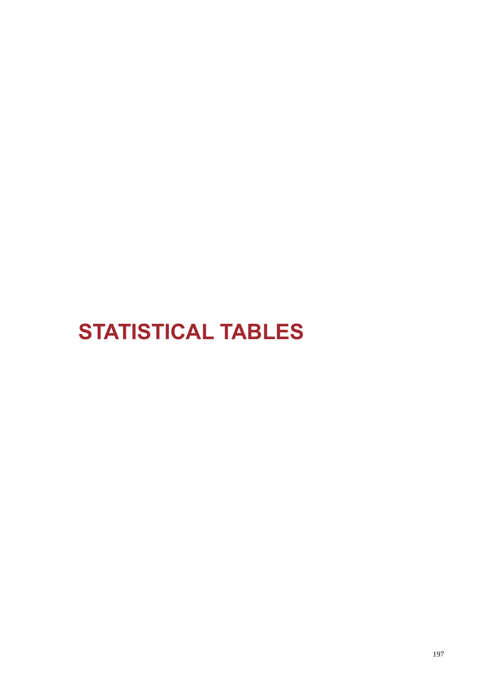# **STATISTICAL TABLES**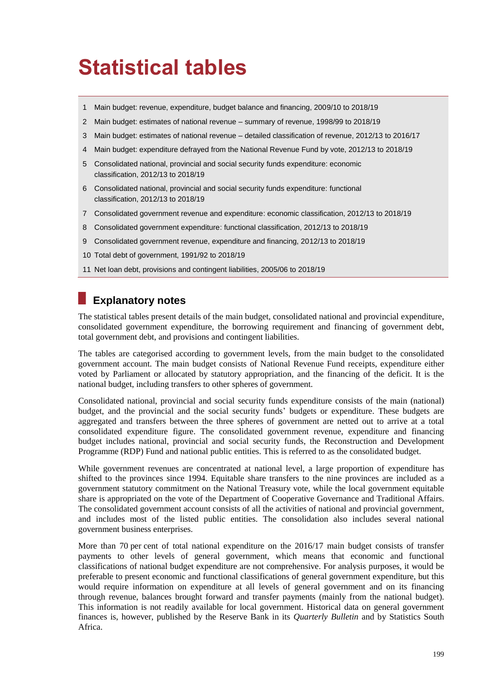# **Statistical tables**

- 1 Main budget: revenue, expenditure, budget balance and financing, 2009/10 to 2018/19
- 2 Main budget: estimates of national revenue summary of revenue, 1998/99 to 2018/19
- 3 Main budget: estimates of national revenue detailed classification of revenue, 2012/13 to 2016/17
- 4 Main budget: expenditure defrayed from the National Revenue Fund by vote, 2012/13 to 2018/19
- 5 Consolidated national, provincial and social security funds expenditure: economic classification, 2012/13 to 2018/19
- 6 Consolidated national, provincial and social security funds expenditure: functional classification, 2012/13 to 2018/19
- 7 Consolidated government revenue and expenditure: economic classification, 2012/13 to 2018/19
- 8 Consolidated government expenditure: functional classification, 2012/13 to 2018/19
- 9 Consolidated government revenue, expenditure and financing, 2012/13 to 2018/19
- 10 Total debt of government, 1991/92 to 2018/19
- 11 Net loan debt, provisions and contingent liabilities, 2005/06 to 2018/19

## **Explanatory notes**

The statistical tables present details of the main budget, consolidated national and provincial expenditure, consolidated government expenditure, the borrowing requirement and financing of government debt, total government debt, and provisions and contingent liabilities.

The tables are categorised according to government levels, from the main budget to the consolidated government account. The main budget consists of National Revenue Fund receipts, expenditure either voted by Parliament or allocated by statutory appropriation, and the financing of the deficit. It is the national budget, including transfers to other spheres of government.

Consolidated national, provincial and social security funds expenditure consists of the main (national) budget, and the provincial and the social security funds' budgets or expenditure. These budgets are aggregated and transfers between the three spheres of government are netted out to arrive at a total consolidated expenditure figure. The consolidated government revenue, expenditure and financing budget includes national, provincial and social security funds, the Reconstruction and Development Programme (RDP) Fund and national public entities. This is referred to as the consolidated budget.

While government revenues are concentrated at national level, a large proportion of expenditure has shifted to the provinces since 1994. Equitable share transfers to the nine provinces are included as a government statutory commitment on the National Treasury vote, while the local government equitable share is appropriated on the vote of the Department of Cooperative Governance and Traditional Affairs. The consolidated government account consists of all the activities of national and provincial government, and includes most of the listed public entities. The consolidation also includes several national government business enterprises.

More than 70 per cent of total national expenditure on the 2016/17 main budget consists of transfer payments to other levels of general government, which means that economic and functional classifications of national budget expenditure are not comprehensive. For analysis purposes, it would be preferable to present economic and functional classifications of general government expenditure, but this would require information on expenditure at all levels of general government and on its financing through revenue, balances brought forward and transfer payments (mainly from the national budget). This information is not readily available for local government. Historical data on general government finances is, however, published by the Reserve Bank in its *Quarterly Bulletin* and by Statistics South Africa.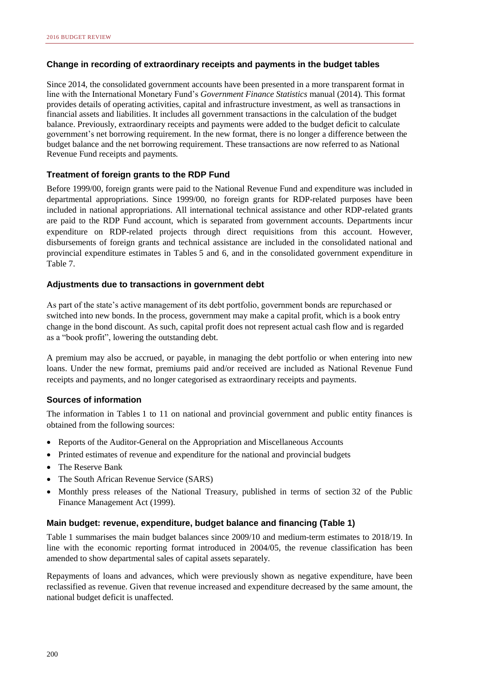### **Change in recording of extraordinary receipts and payments in the budget tables**

Since 2014, the consolidated government accounts have been presented in a more transparent format in line with the International Monetary Fund's *Government Finance Statistics* manual (2014). This format provides details of operating activities, capital and infrastructure investment, as well as transactions in financial assets and liabilities. It includes all government transactions in the calculation of the budget balance. Previously, extraordinary receipts and payments were added to the budget deficit to calculate government's net borrowing requirement. In the new format, there is no longer a difference between the budget balance and the net borrowing requirement. These transactions are now referred to as National Revenue Fund receipts and payments*.*

### **Treatment of foreign grants to the RDP Fund**

Before 1999/00, foreign grants were paid to the National Revenue Fund and expenditure was included in departmental appropriations. Since 1999/00, no foreign grants for RDP-related purposes have been included in national appropriations. All international technical assistance and other RDP-related grants are paid to the RDP Fund account, which is separated from government accounts. Departments incur expenditure on RDP-related projects through direct requisitions from this account. However, disbursements of foreign grants and technical assistance are included in the consolidated national and provincial expenditure estimates in Tables 5 and 6, and in the consolidated government expenditure in Table 7.

### **Adjustments due to transactions in government debt**

As part of the state's active management of its debt portfolio, government bonds are repurchased or switched into new bonds. In the process, government may make a capital profit, which is a book entry change in the bond discount. As such, capital profit does not represent actual cash flow and is regarded as a "book profit", lowering the outstanding debt.

A premium may also be accrued, or payable, in managing the debt portfolio or when entering into new loans. Under the new format, premiums paid and/or received are included as National Revenue Fund receipts and payments, and no longer categorised as extraordinary receipts and payments.

### **Sources of information**

The information in Tables 1 to 11 on national and provincial government and public entity finances is obtained from the following sources:

- Reports of the Auditor-General on the Appropriation and Miscellaneous Accounts
- Printed estimates of revenue and expenditure for the national and provincial budgets
- The Reserve Bank
- The South African Revenue Service (SARS)
- Monthly press releases of the National Treasury, published in terms of section 32 of the Public Finance Management Act (1999).

### **Main budget: revenue, expenditure, budget balance and financing (Table 1)**

Table 1 summarises the main budget balances since 2009/10 and medium-term estimates to 2018/19. In line with the economic reporting format introduced in 2004/05, the revenue classification has been amended to show departmental sales of capital assets separately.

Repayments of loans and advances, which were previously shown as negative expenditure, have been reclassified as revenue. Given that revenue increased and expenditure decreased by the same amount, the national budget deficit is unaffected.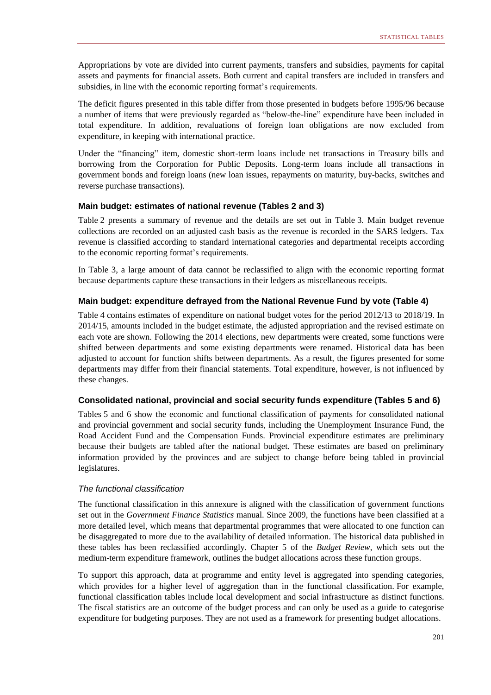Appropriations by vote are divided into current payments, transfers and subsidies, payments for capital assets and payments for financial assets. Both current and capital transfers are included in transfers and subsidies, in line with the economic reporting format's requirements.

The deficit figures presented in this table differ from those presented in budgets before 1995/96 because a number of items that were previously regarded as "below-the-line" expenditure have been included in total expenditure. In addition, revaluations of foreign loan obligations are now excluded from expenditure, in keeping with international practice.

Under the "financing" item, domestic short-term loans include net transactions in Treasury bills and borrowing from the Corporation for Public Deposits. Long-term loans include all transactions in government bonds and foreign loans (new loan issues, repayments on maturity, buy-backs, switches and reverse purchase transactions).

### **Main budget: estimates of national revenue (Tables 2 and 3)**

Table 2 presents a summary of revenue and the details are set out in Table 3. Main budget revenue collections are recorded on an adjusted cash basis as the revenue is recorded in the SARS ledgers. Tax revenue is classified according to standard international categories and departmental receipts according to the economic reporting format's requirements.

In Table 3, a large amount of data cannot be reclassified to align with the economic reporting format because departments capture these transactions in their ledgers as miscellaneous receipts.

### **Main budget: expenditure defrayed from the National Revenue Fund by vote (Table 4)**

Table 4 contains estimates of expenditure on national budget votes for the period 2012/13 to 2018/19. In 2014/15, amounts included in the budget estimate, the adjusted appropriation and the revised estimate on each vote are shown. Following the 2014 elections, new departments were created, some functions were shifted between departments and some existing departments were renamed. Historical data has been adjusted to account for function shifts between departments. As a result, the figures presented for some departments may differ from their financial statements. Total expenditure, however, is not influenced by these changes.

### **Consolidated national, provincial and social security funds expenditure (Tables 5 and 6)**

Tables 5 and 6 show the economic and functional classification of payments for consolidated national and provincial government and social security funds, including the Unemployment Insurance Fund, the Road Accident Fund and the Compensation Funds. Provincial expenditure estimates are preliminary because their budgets are tabled after the national budget. These estimates are based on preliminary information provided by the provinces and are subject to change before being tabled in provincial legislatures.

### *The functional classification*

The functional classification in this annexure is aligned with the classification of government functions set out in the *Government Finance Statistics* manual. Since 2009, the functions have been classified at a more detailed level, which means that departmental programmes that were allocated to one function can be disaggregated to more due to the availability of detailed information. The historical data published in these tables has been reclassified accordingly. Chapter 5 of the *Budget Review*, which sets out the medium-term expenditure framework, outlines the budget allocations across these function groups.

To support this approach, data at programme and entity level is aggregated into spending categories, which provides for a higher level of aggregation than in the functional classification. For example, functional classification tables include local development and social infrastructure as distinct functions. The fiscal statistics are an outcome of the budget process and can only be used as a guide to categorise expenditure for budgeting purposes. They are not used as a framework for presenting budget allocations.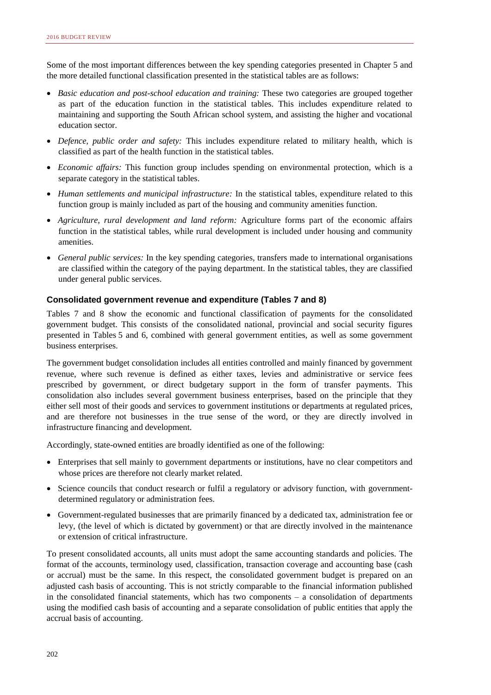Some of the most important differences between the key spending categories presented in Chapter 5 and the more detailed functional classification presented in the statistical tables are as follows:

- *Basic education and post-school education and training:* These two categories are grouped together as part of the education function in the statistical tables. This includes expenditure related to maintaining and supporting the South African school system, and assisting the higher and vocational education sector.
- *Defence, public order and safety:* This includes expenditure related to military health, which is classified as part of the health function in the statistical tables.
- *Economic affairs:* This function group includes spending on environmental protection, which is a separate category in the statistical tables.
- *Human settlements and municipal infrastructure:* In the statistical tables, expenditure related to this function group is mainly included as part of the housing and community amenities function.
- *Agriculture, rural development and land reform:* Agriculture forms part of the economic affairs function in the statistical tables, while rural development is included under housing and community amenities.
- *General public services:* In the key spending categories, transfers made to international organisations are classified within the category of the paying department. In the statistical tables, they are classified under general public services.

### **Consolidated government revenue and expenditure (Tables 7 and 8)**

Tables 7 and 8 show the economic and functional classification of payments for the consolidated government budget. This consists of the consolidated national, provincial and social security figures presented in Tables 5 and 6, combined with general government entities, as well as some government business enterprises.

The government budget consolidation includes all entities controlled and mainly financed by government revenue, where such revenue is defined as either taxes, levies and administrative or service fees prescribed by government, or direct budgetary support in the form of transfer payments. This consolidation also includes several government business enterprises, based on the principle that they either sell most of their goods and services to government institutions or departments at regulated prices, and are therefore not businesses in the true sense of the word, or they are directly involved in infrastructure financing and development.

Accordingly, state-owned entities are broadly identified as one of the following:

- Enterprises that sell mainly to government departments or institutions, have no clear competitors and whose prices are therefore not clearly market related.
- Science councils that conduct research or fulfil a regulatory or advisory function, with governmentdetermined regulatory or administration fees.
- Government-regulated businesses that are primarily financed by a dedicated tax, administration fee or levy, (the level of which is dictated by government) or that are directly involved in the maintenance or extension of critical infrastructure.

To present consolidated accounts, all units must adopt the same accounting standards and policies. The format of the accounts, terminology used, classification, transaction coverage and accounting base (cash or accrual) must be the same. In this respect, the consolidated government budget is prepared on an adjusted cash basis of accounting. This is not strictly comparable to the financial information published in the consolidated financial statements, which has two components  $-$  a consolidation of departments using the modified cash basis of accounting and a separate consolidation of public entities that apply the accrual basis of accounting.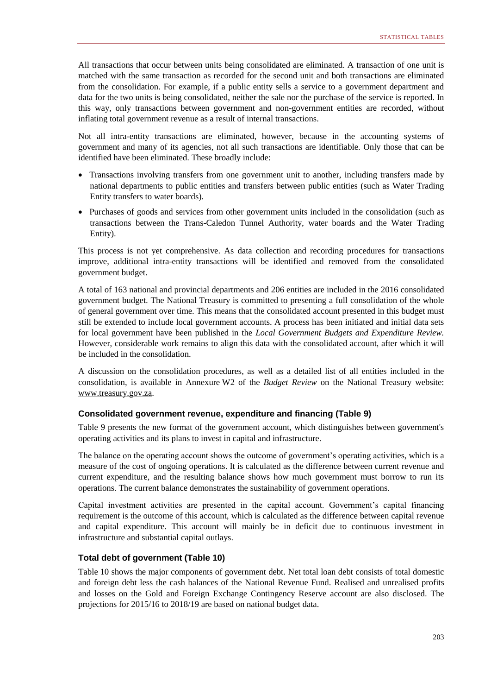All transactions that occur between units being consolidated are eliminated. A transaction of one unit is matched with the same transaction as recorded for the second unit and both transactions are eliminated from the consolidation. For example, if a public entity sells a service to a government department and data for the two units is being consolidated, neither the sale nor the purchase of the service is reported. In this way, only transactions between government and non-government entities are recorded, without inflating total government revenue as a result of internal transactions.

Not all intra-entity transactions are eliminated, however, because in the accounting systems of government and many of its agencies, not all such transactions are identifiable. Only those that can be identified have been eliminated. These broadly include:

- Transactions involving transfers from one government unit to another, including transfers made by national departments to public entities and transfers between public entities (such as Water Trading Entity transfers to water boards).
- Purchases of goods and services from other government units included in the consolidation (such as transactions between the Trans-Caledon Tunnel Authority, water boards and the Water Trading Entity).

This process is not yet comprehensive. As data collection and recording procedures for transactions improve, additional intra-entity transactions will be identified and removed from the consolidated government budget.

A total of 163 national and provincial departments and 206 entities are included in the 2016 consolidated government budget. The National Treasury is committed to presenting a full consolidation of the whole of general government over time. This means that the consolidated account presented in this budget must still be extended to include local government accounts. A process has been initiated and initial data sets for local government have been published in the *Local Government Budgets and Expenditure Review.*  However, considerable work remains to align this data with the consolidated account, after which it will be included in the consolidation.

A discussion on the consolidation procedures, as well as a detailed list of all entities included in the consolidation, is available in Annexure W2 of the *Budget Review* on the National Treasury website: [www.treasury.gov.za.](http://www.treasury.gov.za/)

### **Consolidated government revenue, expenditure and financing (Table 9)**

Table 9 presents the new format of the government account, which distinguishes between government's operating activities and its plans to invest in capital and infrastructure.

The balance on the operating account shows the outcome of government's operating activities, which is a measure of the cost of ongoing operations. It is calculated as the difference between current revenue and current expenditure, and the resulting balance shows how much government must borrow to run its operations. The current balance demonstrates the sustainability of government operations.

Capital investment activities are presented in the capital account. Government's capital financing requirement is the outcome of this account, which is calculated as the difference between capital revenue and capital expenditure. This account will mainly be in deficit due to continuous investment in infrastructure and substantial capital outlays.

### **Total debt of government (Table 10)**

Table 10 shows the major components of government debt. Net total loan debt consists of total domestic and foreign debt less the cash balances of the National Revenue Fund. Realised and unrealised profits and losses on the Gold and Foreign Exchange Contingency Reserve account are also disclosed. The projections for 2015/16 to 2018/19 are based on national budget data.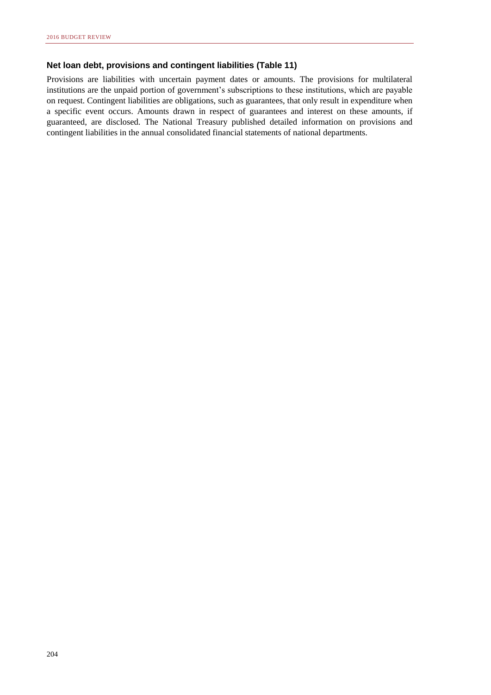### **Net loan debt, provisions and contingent liabilities (Table 11)**

Provisions are liabilities with uncertain payment dates or amounts. The provisions for multilateral institutions are the unpaid portion of government's subscriptions to these institutions, which are payable on request. Contingent liabilities are obligations, such as guarantees, that only result in expenditure when a specific event occurs. Amounts drawn in respect of guarantees and interest on these amounts, if guaranteed, are disclosed. The National Treasury published detailed information on provisions and contingent liabilities in the annual consolidated financial statements of national departments.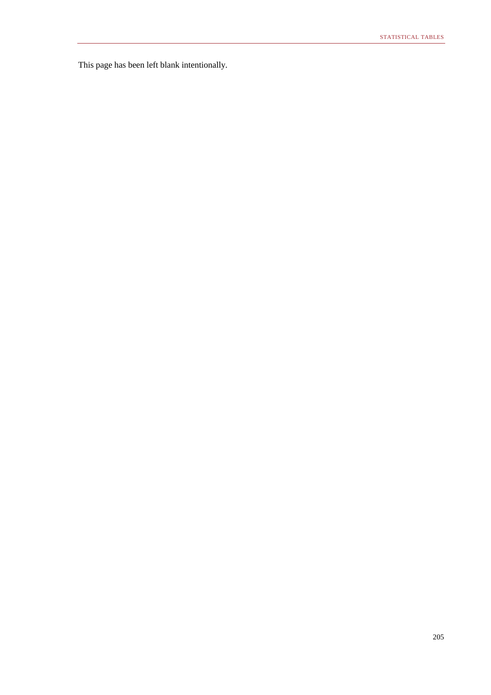This page has been left blank intentionally.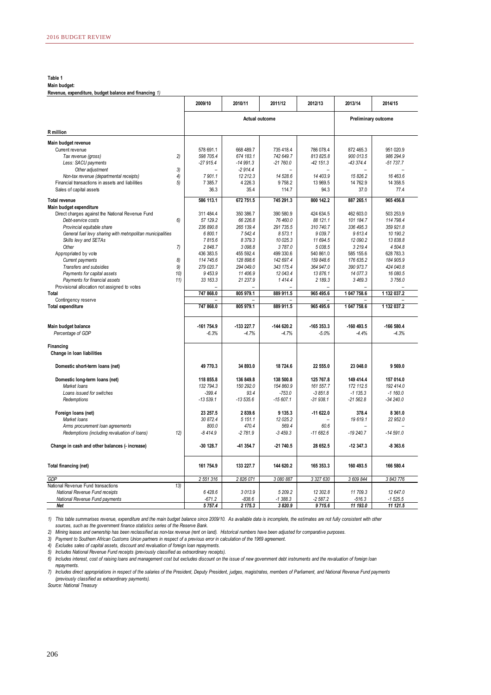**Main budget: Revenue, expenditure, budget balance and financing** *1)*

| Revenue, expenditure, budget balance and financing <i>T</i> |            |             |                |             |             |                     |
|-------------------------------------------------------------|------------|-------------|----------------|-------------|-------------|---------------------|
|                                                             | 2009/10    | 2010/11     | 2011/12        | 2012/13     | 2013/14     | 2014/15             |
|                                                             |            |             | Actual outcome |             |             | Preliminary outcome |
| R million                                                   |            |             |                |             |             |                     |
| Main budget revenue                                         |            |             |                |             |             |                     |
| Current revenue                                             | 578 691.1  | 668 489.7   | 735 418.4      | 786 078.4   | 872 465.3   | 951 020.9           |
| 2)<br>Tax revenue (gross)                                   | 598 705.4  | 674 183.1   | 742 649.7      | 813 825.8   | 900 013.5   | 986 294.9           |
| Less: SACU payments                                         | -27 915.4  | $-14991.3$  | -21 760.0      | -42 151.3   | -43 374.4   | -51 737.7           |
| 3)<br>Other adjustment                                      |            | $-2914.4$   |                |             |             |                     |
|                                                             | 7 901.1    | 12 212.3    | 14 528.6       | 14 403.9    | 15 826.2    | 16 463.6            |
| 4)<br>Non-tax revenue (departmental receipts)               |            |             |                |             |             |                     |
| 5)<br>Financial transactions in assets and liabilities      | 7 385.7    | 4 2 2 6 . 3 | 9758.2         | 13 969.5    | 14 762.9    | 14 358.5            |
| Sales of capital assets                                     | 36.3       | 35.4        | 114.7          | 94.3        | 37.0        | 77.4                |
| <b>Total revenue</b>                                        | 586 113.1  | 672 751.5   | 745 291.3      | 800 142.2   | 887 265.1   | 965 456.8           |
| Main budget expenditure                                     |            |             |                |             |             |                     |
| Direct charges against the National Revenue Fund            | 311 484.4  | 350 386.7   | 390 580.9      | 424 634.5   | 462 603.0   | 503 253.9           |
| Debt-service costs<br>6)                                    | 57 129.2   | 66 226.8    | 76 460.0       | 88 121.1    | 101 184.7   | 114 798.4           |
| Provincial equitable share                                  | 236 890.8  | 265 139.4   | 291 735.5      | 310 740.7   | 336 495.3   | 359 921.8           |
| General fuel levy sharing with metropolitan municipalities  | 6 800.1    | 7 542.4     | 8 573.1        | 9 0 39.7    | 9 613.4     | 10 190.2            |
| Skills levy and SETAs                                       | 7815.6     | 8 379.3     | 10 025.3       | 11 694.5    | 12 090.2    | 13 838.8            |
| Other<br>7)                                                 | 2 848.7    | 3 098.8     | 3787.0         | 5 0 38.5    | 3 219.4     | 4 504.8             |
| Appropriated by vote                                        | 436 383.5  | 455 592.4   | 499 330.6      | 540 861.0   | 585 155.6   | 628 783.3           |
| Current payments<br>8)                                      | 114 745.6  | 128 898.6   | 142 697.4      | 159 848.6   | 176 635.2   | 184 905.9           |
| Transfers and subsidies<br>9)                               | 279 020.7  | 294 049.0   | 343 175.4      | 364 947.0   | 390 973.7   | 424 040.8           |
| 10)<br>Payments for capital assets                          | 9 453.9    | 11 406.9    | 12 043.4       | 13 876.1    | 14 077.3    | 16 080.5            |
|                                                             | 33 163.3   | 21 237.9    | 1414.4         | 2 189.3     | 3 469.3     | 3756.0              |
| Payments for financial assets<br>11)                        |            |             |                |             |             |                     |
| Provisional allocation not assigned to votes                |            |             |                |             |             |                     |
| Total                                                       | 747 868.0  | 805 979.1   | 889 911.5      | 965 495.6   | 1 047 758.6 | 1 132 037.2         |
| Contingency reserve<br><b>Total expenditure</b>             | 747 868.0  | 805 979.1   | 889 911.5      | 965 495.6   | 1 047 758.6 | 1 132 037.2         |
|                                                             |            |             |                |             |             |                     |
| Main budget balance                                         | -161 754.9 | -133 227.7  | $-144620.2$    | $-165353.3$ | -160 493.5  | $-1665580.4$        |
| Percentage of GDP                                           | $-6.3%$    | $-4.7%$     | $-4.7%$        | $-5.0%$     | $-4.4%$     | $-4.3%$             |
| Financing                                                   |            |             |                |             |             |                     |
| Change in Ioan liabilities                                  |            |             |                |             |             |                     |
| Domestic short-term loans (net)                             | 49 770.3   | 34 893.0    | 18 724.6       | 22 555.0    | 23 048.0    | 9 5 6 9.0           |
|                                                             |            |             |                |             |             |                     |
| Domestic long-term loans (net)                              | 118 855.8  | 136 849.8   | 138 500.8      | 125 767.8   | 149 414.4   | 157 014.0           |
| Market loans                                                | 132 794.3  | 150 292.0   | 154 860.9      | 161 557.7   | 172 112.5   | 192 414.0           |
| Loans issued for switches                                   | $-399.4$   | 93.4        | $-753.0$       | $-3851.8$   | $-1135.3$   | $-1160.0$           |
| Redemptions                                                 | $-13539.1$ | $-13535.6$  | $-15607.1$     | $-31938.1$  | $-21562.8$  | -34 240.0           |
| Foreign loans (net)                                         | 23 257.5   | 2839.6      | 9 135.3        | $-11622.0$  | 378.4       | 8 3 6 1.0           |
| Market loans                                                | 30 872.4   | 5 151.1     | 12 025.2       |             | 19 619.1    | 22 952.0            |
|                                                             | 800.0      | 470.4       | 569.4          | 60.6        |             |                     |
| Arms procurement loan agreements                            |            |             |                |             |             |                     |
| Redemptions (including revaluation of loans)<br>12)         | $-8414.9$  | $-2781.9$   | $-3459.3$      | $-11682.6$  | -19 240.7   | $-14591.0$          |
| Change in cash and other balances (- increase)              | -30 128.7  | -41 354.7   | -21 740.5      | 28 652.5    | $-12347.3$  | $-8363.6$           |
| Total financing (net)                                       | 161 754.9  | 133 227.7   | 144 620.2      | 165 353.3   | 160 493.5   | 166 580.4           |
|                                                             |            |             |                |             |             |                     |
| <b>GDP</b>                                                  | 2 551 316  | 2 826 071   | 3 080 887      | 3 327 630   | 3 609 844   | 3 843 776           |
| National Revenue Fund transactions<br>13)                   |            |             |                |             |             |                     |
| National Revenue Fund receipts                              | 6 4 28.6   | 3013.9      | 5 209.2        | 12 302.8    | 11 709.3    | 12 647.0            |
| National Revenue Fund payments                              | $-671.2$   | $-838.6$    | $-1388.3$      | $-2587.2$   | $-516.3$    | $-1525.5$           |
| Net                                                         | 5 757.4    | 2 175.3     | 3820.9         | 9715.6      | 11 193.0    | 11 121.5            |

*1) This table summarises revenue, expenditure and the main budget balance since 2009/10. As available data is incomplete, the estimates are not fully consistent with other*

*sources, such as the government finance statistics series of the Reserve Bank.*

*2) Mining leases and ownership has been reclassified as non-tax revenue (rent on land). Historical numbers have been adjusted for comparative purposes.*

*3) Payment to Southern African Customs Union partners in respect of a previous error in calculation of the 1969 agreement.*

*4) Excludes sales of capital assets, discount and revaluation of foreign loan repayments.* 

*5) Includes National Revenue Fund receipts (previously classified as extraordinary receipts).*

*6) Includes interest, cost of raising loans and management cost but excludes discount on the issue of new government debt instruments and the revaluation of foreign loan repayments.*

*7) Includes direct appropriations in respect of the salaries of the President, Deputy President, judges, magistrates, members of Parliament, and National Revenue Fund payments (previously classified as extraordinary payments).*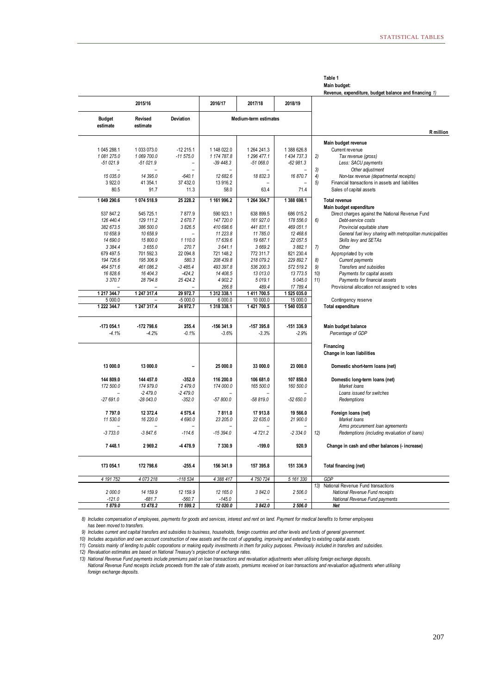## **Main budget:**

|                                                                                                                                                        |                           |                                 |                           |                           |                           | Table 1<br>Main budget:                                                                                                                                                                                                                                                                                                                                                                                                                                                                                                                                                                                                                                                                                                                                                                                                                                                                                                                                         |
|--------------------------------------------------------------------------------------------------------------------------------------------------------|---------------------------|---------------------------------|---------------------------|---------------------------|---------------------------|-----------------------------------------------------------------------------------------------------------------------------------------------------------------------------------------------------------------------------------------------------------------------------------------------------------------------------------------------------------------------------------------------------------------------------------------------------------------------------------------------------------------------------------------------------------------------------------------------------------------------------------------------------------------------------------------------------------------------------------------------------------------------------------------------------------------------------------------------------------------------------------------------------------------------------------------------------------------|
|                                                                                                                                                        |                           |                                 |                           |                           |                           | Revenue, expenditure, budget balance and financing 1)                                                                                                                                                                                                                                                                                                                                                                                                                                                                                                                                                                                                                                                                                                                                                                                                                                                                                                           |
|                                                                                                                                                        | 2015/16                   |                                 | 2016/17                   | 2017/18                   | 2018/19                   |                                                                                                                                                                                                                                                                                                                                                                                                                                                                                                                                                                                                                                                                                                                                                                                                                                                                                                                                                                 |
| <b>Budget</b><br>estimate                                                                                                                              | Revised<br>estimate       | <b>Deviation</b>                |                           | Medium-term estimates     |                           |                                                                                                                                                                                                                                                                                                                                                                                                                                                                                                                                                                                                                                                                                                                                                                                                                                                                                                                                                                 |
|                                                                                                                                                        |                           |                                 |                           |                           |                           | <b>R</b> million                                                                                                                                                                                                                                                                                                                                                                                                                                                                                                                                                                                                                                                                                                                                                                                                                                                                                                                                                |
|                                                                                                                                                        |                           |                                 |                           |                           |                           | Main budget revenue                                                                                                                                                                                                                                                                                                                                                                                                                                                                                                                                                                                                                                                                                                                                                                                                                                                                                                                                             |
| 1 045 288.1                                                                                                                                            | 1 033 073.0               | $-12215.1$                      | 1 148 022.0               | 1 264 241.3               | 1 388 626.8               | Current revenue                                                                                                                                                                                                                                                                                                                                                                                                                                                                                                                                                                                                                                                                                                                                                                                                                                                                                                                                                 |
| 1 081 275.0<br>$-51021.9$                                                                                                                              | 1 069 700.0<br>$-51021.9$ | $-11575.0$<br>$\qquad \qquad -$ | 1 174 787.8<br>$-39448.3$ | 1 296 477.1<br>$-51068.0$ | 1 434 737.3<br>$-62981.3$ | 2)<br>Tax revenue (gross)<br>Less: SACU payments                                                                                                                                                                                                                                                                                                                                                                                                                                                                                                                                                                                                                                                                                                                                                                                                                                                                                                                |
|                                                                                                                                                        |                           | $\overline{\phantom{0}}$        |                           |                           |                           | 3)<br>Other adjustment                                                                                                                                                                                                                                                                                                                                                                                                                                                                                                                                                                                                                                                                                                                                                                                                                                                                                                                                          |
| 15 035.0                                                                                                                                               | 14 395.0                  | $-640.1$                        | 12 682.6                  | 18 832.3                  | 16 870.7                  | 4)<br>Non-tax revenue (departmental receipts)                                                                                                                                                                                                                                                                                                                                                                                                                                                                                                                                                                                                                                                                                                                                                                                                                                                                                                                   |
| 3 9 2 2.0                                                                                                                                              | 41 354.1                  | 37 432.0                        | 13 916.2                  |                           |                           | 5)<br>Financial transactions in assets and liabilities                                                                                                                                                                                                                                                                                                                                                                                                                                                                                                                                                                                                                                                                                                                                                                                                                                                                                                          |
| 80.5                                                                                                                                                   | 91.7                      | 11.3                            | 58.0                      | 63.4                      | 71.4                      | Sales of capital assets                                                                                                                                                                                                                                                                                                                                                                                                                                                                                                                                                                                                                                                                                                                                                                                                                                                                                                                                         |
| 1 049 290.6                                                                                                                                            | 1 074 518.9               | 25 228.2                        | 1 161 996.2               | 1 264 304.7               | 1 388 698.1               | <b>Total revenue</b>                                                                                                                                                                                                                                                                                                                                                                                                                                                                                                                                                                                                                                                                                                                                                                                                                                                                                                                                            |
|                                                                                                                                                        |                           |                                 |                           |                           |                           | Main budget expenditure                                                                                                                                                                                                                                                                                                                                                                                                                                                                                                                                                                                                                                                                                                                                                                                                                                                                                                                                         |
| 537 847.2<br>126 440.4                                                                                                                                 | 545 725.1<br>129 111.2    | 7877.9<br>2670.7                | 590 923.1<br>147 720.0    | 638 899.5<br>161 927.0    | 686 015.2<br>178 556.0    | Direct charges against the National Revenue Fund<br>6)<br>Debt-service costs                                                                                                                                                                                                                                                                                                                                                                                                                                                                                                                                                                                                                                                                                                                                                                                                                                                                                    |
| 382 673.5                                                                                                                                              | 386 500.0                 | 3 8 26.5                        | 410 698.6                 | 441 831.1                 | 469 051.1                 | Provincial equitable share                                                                                                                                                                                                                                                                                                                                                                                                                                                                                                                                                                                                                                                                                                                                                                                                                                                                                                                                      |
| 10 658.9                                                                                                                                               | 10 658.9                  |                                 | 11 223.8                  | 11 785.0                  | 12 468.6                  | General fuel levy sharing with metropolitan municipalities                                                                                                                                                                                                                                                                                                                                                                                                                                                                                                                                                                                                                                                                                                                                                                                                                                                                                                      |
| 14 690.0                                                                                                                                               | 15 800.0                  | 1 110.0                         | 17 639.6                  | 19 687.1                  | 22 057.5                  | Skills levy and SETAs                                                                                                                                                                                                                                                                                                                                                                                                                                                                                                                                                                                                                                                                                                                                                                                                                                                                                                                                           |
| 3 3 8 4.4                                                                                                                                              | 3 655.0                   | 270.7                           | 3641.1                    | 3 669.2                   | 3 882.1                   | Other<br>7)                                                                                                                                                                                                                                                                                                                                                                                                                                                                                                                                                                                                                                                                                                                                                                                                                                                                                                                                                     |
| 679 497.5                                                                                                                                              | 701 592.3                 | 22 094.8                        | 721 148.2                 | 772 311.7                 | 821 230.4                 | Appropriated by vote                                                                                                                                                                                                                                                                                                                                                                                                                                                                                                                                                                                                                                                                                                                                                                                                                                                                                                                                            |
| 194 726.6<br>464 571.6                                                                                                                                 | 195 306.9<br>461 086.2    | 580.3<br>$-3485.4$              | 208 439.8<br>493 397.8    | 218 079.2<br>536 200.3    | 229 892.7<br>572 519.2    | 8)<br>Current payments<br>9)<br>Transfers and subsidies                                                                                                                                                                                                                                                                                                                                                                                                                                                                                                                                                                                                                                                                                                                                                                                                                                                                                                         |
| 16 828.6                                                                                                                                               | 16 404.3                  | $-424.2$                        | 14 408.5                  | 13 013.0                  | 13 773.5                  | 10)<br>Payments for capital assets                                                                                                                                                                                                                                                                                                                                                                                                                                                                                                                                                                                                                                                                                                                                                                                                                                                                                                                              |
| 3 3 7 0.7                                                                                                                                              | 28 794.8                  | 25 424.2                        | 4 902.2                   | 5 0 1 9.1                 | 5 045.0                   | 11)<br>Payments for financial assets                                                                                                                                                                                                                                                                                                                                                                                                                                                                                                                                                                                                                                                                                                                                                                                                                                                                                                                            |
|                                                                                                                                                        |                           |                                 | 266.8                     | 489.4                     | 17 789.4                  | Provisional allocation not assigned to votes                                                                                                                                                                                                                                                                                                                                                                                                                                                                                                                                                                                                                                                                                                                                                                                                                                                                                                                    |
| 1 217 344.7                                                                                                                                            | 1 247 317.4               | 29 972.7                        | 1 312 338.1               | 1411 700.5                | 1 525 035.0               |                                                                                                                                                                                                                                                                                                                                                                                                                                                                                                                                                                                                                                                                                                                                                                                                                                                                                                                                                                 |
| 5 000.0                                                                                                                                                |                           | $-5000.0$                       | 6 000.0                   | 10 000.0                  | 15 000.0                  | Contingency reserve                                                                                                                                                                                                                                                                                                                                                                                                                                                                                                                                                                                                                                                                                                                                                                                                                                                                                                                                             |
| 1 222 344.7                                                                                                                                            | 1 247 317.4               | 24 972.7                        | 1 318 338.1               | 1421700.5                 | 1 540 035.0               | <b>Total expenditure</b>                                                                                                                                                                                                                                                                                                                                                                                                                                                                                                                                                                                                                                                                                                                                                                                                                                                                                                                                        |
|                                                                                                                                                        |                           |                                 |                           |                           |                           |                                                                                                                                                                                                                                                                                                                                                                                                                                                                                                                                                                                                                                                                                                                                                                                                                                                                                                                                                                 |
| -173 054.1<br>$-4.1%$                                                                                                                                  | -172 798.6<br>$-4.2%$     | 255.4<br>$-0.1%$                | -156 341.9<br>$-3.6%$     | -157 395.8<br>$-3.3%$     | -151 336.9<br>$-2.9%$     | Main budget balance<br>Percentage of GDP                                                                                                                                                                                                                                                                                                                                                                                                                                                                                                                                                                                                                                                                                                                                                                                                                                                                                                                        |
|                                                                                                                                                        |                           |                                 |                           |                           |                           | Financing                                                                                                                                                                                                                                                                                                                                                                                                                                                                                                                                                                                                                                                                                                                                                                                                                                                                                                                                                       |
|                                                                                                                                                        |                           |                                 |                           |                           |                           | Change in Ioan liabilities                                                                                                                                                                                                                                                                                                                                                                                                                                                                                                                                                                                                                                                                                                                                                                                                                                                                                                                                      |
| 13 000.0                                                                                                                                               | 13 000.0                  |                                 | 25 000.0                  | 33 000.0                  | 23 000.0                  | Domestic short-term loans (net)                                                                                                                                                                                                                                                                                                                                                                                                                                                                                                                                                                                                                                                                                                                                                                                                                                                                                                                                 |
| 144 809.0                                                                                                                                              | 144 457.0                 | $-352.0$                        | 116 200.0                 | 106 681.0                 | 107 850.0                 | Domestic long-term loans (net)                                                                                                                                                                                                                                                                                                                                                                                                                                                                                                                                                                                                                                                                                                                                                                                                                                                                                                                                  |
| 172 500.0                                                                                                                                              | 174 979.0                 | 2 479.0                         | 174 000.0                 | 165 500.0                 | 160 500.0                 | Market Ioans                                                                                                                                                                                                                                                                                                                                                                                                                                                                                                                                                                                                                                                                                                                                                                                                                                                                                                                                                    |
|                                                                                                                                                        | $-2479.0$                 | $-2479.0$                       |                           |                           |                           | Loans issued for switches                                                                                                                                                                                                                                                                                                                                                                                                                                                                                                                                                                                                                                                                                                                                                                                                                                                                                                                                       |
| $-27691.0$                                                                                                                                             | -28 043.0                 | $-352.0$                        | -57 800.0                 | -58 819.0                 | -52 650.0                 | Redemptions                                                                                                                                                                                                                                                                                                                                                                                                                                                                                                                                                                                                                                                                                                                                                                                                                                                                                                                                                     |
| 7797.0                                                                                                                                                 | 12 372.4<br>16 220.0      | 4 575.4                         | 7811.0                    | 17913.8                   | 19 566.0                  | Foreign loans (net)<br>Market Ioans                                                                                                                                                                                                                                                                                                                                                                                                                                                                                                                                                                                                                                                                                                                                                                                                                                                                                                                             |
| 11 530.0                                                                                                                                               |                           | 4 690.0<br>$\equiv$             | 23 205.0                  | 22 635.0                  | 21 900.0                  | Arms procurement loan agreements                                                                                                                                                                                                                                                                                                                                                                                                                                                                                                                                                                                                                                                                                                                                                                                                                                                                                                                                |
| $-3733.0$                                                                                                                                              | $-3847.6$                 | -114.6                          | $-15394.0$                | -4 721.2                  | -2 334.0                  | 12)<br>Redemptions (including revaluation of loans)                                                                                                                                                                                                                                                                                                                                                                                                                                                                                                                                                                                                                                                                                                                                                                                                                                                                                                             |
| 7 448.1                                                                                                                                                | 2969.2                    | -4478.9                         | 7 330.9                   | $-199.0$                  | 920.9                     | Change in cash and other balances (- increase)                                                                                                                                                                                                                                                                                                                                                                                                                                                                                                                                                                                                                                                                                                                                                                                                                                                                                                                  |
| 173 054.1                                                                                                                                              | 172 798.6                 | $-255.4$                        | 156 341.9                 | 157 395.8                 | 151 336.9                 | Total financing (net)                                                                                                                                                                                                                                                                                                                                                                                                                                                                                                                                                                                                                                                                                                                                                                                                                                                                                                                                           |
| 4 191 752                                                                                                                                              | 4 073 218                 | $-118534$                       | 4 388 417                 | 4750724                   | 5 161 330                 | GDP                                                                                                                                                                                                                                                                                                                                                                                                                                                                                                                                                                                                                                                                                                                                                                                                                                                                                                                                                             |
|                                                                                                                                                        |                           |                                 |                           |                           |                           | 13)<br>National Revenue Fund transactions                                                                                                                                                                                                                                                                                                                                                                                                                                                                                                                                                                                                                                                                                                                                                                                                                                                                                                                       |
| 2 000.0                                                                                                                                                | 14 159.9                  | 12 159.9                        | 12 165.0                  | 3 842.0                   | 2 506.0                   | National Revenue Fund receipts                                                                                                                                                                                                                                                                                                                                                                                                                                                                                                                                                                                                                                                                                                                                                                                                                                                                                                                                  |
| $-121.0$                                                                                                                                               | -681.7                    | $-560.7$                        | -145.0                    |                           |                           | National Revenue Fund payments                                                                                                                                                                                                                                                                                                                                                                                                                                                                                                                                                                                                                                                                                                                                                                                                                                                                                                                                  |
| 1879.0                                                                                                                                                 | 13 478.2                  | 11 599.2                        | 12 020.0                  | 3 842.0                   | 2 506.0                   | <b>Net</b>                                                                                                                                                                                                                                                                                                                                                                                                                                                                                                                                                                                                                                                                                                                                                                                                                                                                                                                                                      |
| has been moved to transfers.<br>12) Revaluation estimates are based on National Treasury's projection of exchange rates.<br>foreign exchange deposits. |                           |                                 |                           |                           |                           | 8) Includes compensation of employees, payments for goods and services, interest and rent on land. Payment for medical benefits to former employees<br>9) Includes current and capital transfers and subsidies to business, households, foreign countries and other levels and funds of general government.<br>10) Includes acquisition and own account construction of new assets and the cost of upgrading, improving and extending to existing capital assets.<br>11) Consists mainly of lending to public corporations or making equity investments in them for policy purposes. Previously included in transfers and subsidies.<br>13) National Revenue Fund payments include premiums paid on loan transactions and revaluation adjustments when utilising foreign exchange deposits.<br>National Revenue Fund receipts include proceeds from the sale of state assets, premiums received on loan transactions and revaluation adjustments when utilising |
|                                                                                                                                                        |                           |                                 |                           |                           |                           |                                                                                                                                                                                                                                                                                                                                                                                                                                                                                                                                                                                                                                                                                                                                                                                                                                                                                                                                                                 |
|                                                                                                                                                        |                           |                                 |                           |                           |                           |                                                                                                                                                                                                                                                                                                                                                                                                                                                                                                                                                                                                                                                                                                                                                                                                                                                                                                                                                                 |
|                                                                                                                                                        |                           |                                 |                           |                           |                           |                                                                                                                                                                                                                                                                                                                                                                                                                                                                                                                                                                                                                                                                                                                                                                                                                                                                                                                                                                 |
|                                                                                                                                                        |                           |                                 |                           |                           |                           | 207                                                                                                                                                                                                                                                                                                                                                                                                                                                                                                                                                                                                                                                                                                                                                                                                                                                                                                                                                             |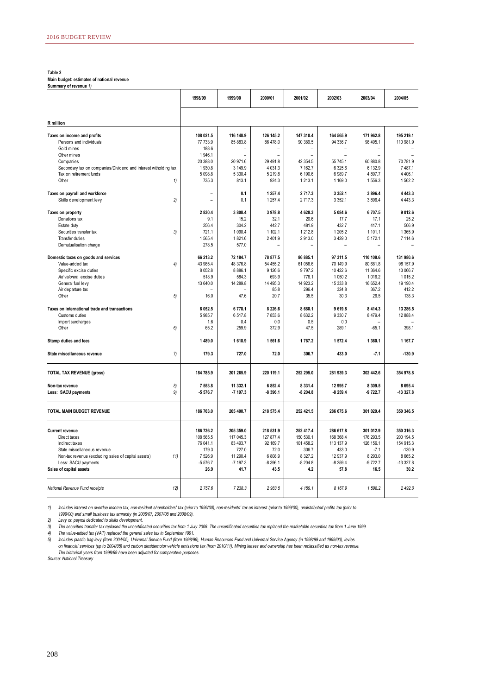**Main budget: estimates of national revenue**<br>Summary of revenue <sup>1</sup> **Summary of revenue** *1)*

| Summary of revenue 1                                            |           |           |             |             |           |             |             |
|-----------------------------------------------------------------|-----------|-----------|-------------|-------------|-----------|-------------|-------------|
|                                                                 | 1998/99   | 1999/00   | 2000/01     | 2001/02     | 2002/03   | 2003/04     | 2004/05     |
|                                                                 |           |           |             |             |           |             |             |
| R million                                                       |           |           |             |             |           |             |             |
| Taxes on income and profits                                     | 108 021.5 | 116 148.9 | 126 145.2   | 147 310.4   | 164 565.9 | 171 962.8   | 195 219.1   |
| Persons and individuals                                         | 77 733.9  | 85 883.8  | 86 478.0    | 90 389.5    | 94 336.7  | 98 495.1    | 110 981.9   |
| Gold mines                                                      | 188.6     |           |             |             |           |             |             |
| Other mines                                                     | 1946.1    |           |             |             |           |             |             |
| Companies                                                       | 20 388.0  | 20 971.6  | 29 49 1.8   | 42 354.5    | 55 745.1  | 60 880.8    | 70 781.9    |
| Secondary tax on companies/Dividend and interest witholding tax | 1930.8    | 3 149.9   | 4 0 3 1 . 3 | 7 162.7     | 6 3 25.6  | 6 132.9     | 7 487.1     |
| Tax on retirement funds                                         | 5 0 98.8  | 5 3 3 0.4 | 5 2 1 9.8   | 6 190.6     | 6 989.7   | 4 8 9 7.7   | 4 4 0 6.1   |
| Other<br>1)                                                     | 735.3     | 813.1     | 924.3       | 1 2 1 3 . 1 | 1 169.0   | 1556.3      | 1562.2      |
| Taxes on payroll and workforce                                  | ۰         | 0.1       | 1 257.4     | 2 7 1 7.3   | 3 3 5 2.1 | 3896.4      | 4 4 4 3 .3  |
| Skills development levy<br>2)                                   | L,        | 0.1       | 1 257.4     | 2717.3      | 3 3 5 2.1 | 3 8 9 6.4   | 4 4 4 3 . 3 |
| Taxes on property                                               | 2 830.4   | 3 808.4   | 3978.8      | 4 628.3     | 5 0 8 4.6 | 6707.5      | 9 0 1 2.6   |
| Donations tax                                                   | 9.1       | 15.2      | 32.1        | 20.6        | 17.7      | 17.1        | 25.2        |
| Estate duty                                                     | 256.4     | 304.2     | 442.7       | 481.9       | 432.7     | 417.1       | 506.9       |
| Securities transfer tax<br>3)                                   | 721.1     | 1 0 9 0.4 | 1 102.1     | 1 2 1 2.8   | 1 205.2   | 1 101.1     | 1 3 6 5.9   |
| Transfer duties                                                 | 1 565.4   | 1821.6    | 2 401.9     | 2913.0      | 3 4 29.0  | 5 172.1     | 7 114.6     |
| Demutualisation charge                                          | 278.5     | 577.0     |             |             |           |             |             |
| Domestic taxes on goods and services                            | 66 213.2  | 72 184.7  | 78 877.5    | 86 885.1    | 97 311.5  | 110 108.6   | 131 980.6   |
| Value-added tax<br>4)                                           | 43 985.4  | 48 376.8  | 54 455.2    | 61 056.6    | 70 149.9  | 80 681.8    | 98 157.9    |
| Specific excise duties                                          | 8 0 5 2.8 | 8 8 8 6.1 | 9 1 26.6    | 9797.2      | 10 422.6  | 11 364.6    | 13 066.7    |
| Ad valorem excise duties                                        | 518.9     | 584.3     | 693.9       | 776.1       | 1 0 5 0.2 | 1016.2      | 1015.2      |
| General fuel levy                                               | 13 640.0  | 14 289.8  | 14 495.3    | 14 923.2    | 15 333.8  | 16 652.4    | 19 190.4    |
| Air departure tax                                               |           |           | 85.8        | 296.4       | 324.8     | 367.2       | 412.2       |
| Other<br>5)                                                     | 16.0      | 47.6      | 20.7        | 35.5        | 30.3      | 26.5        | 138.3       |
| Taxes on international trade and transactions                   | 6 0 5 2.5 | 6778.1    | 8 2 2 6.6   | 8 680.1     | 9619.8    | 8 4 1 4 . 3 | 13 286.5    |
| Customs duties                                                  | 5 985.7   | 6517.8    | 7853.6      | 8 632.2     | 9 3 3 0.7 | 8 4 7 9.4   | 12 888.4    |
| Import surcharges                                               | 1.6       | 0.4       | 0.0         | 0.5         | 0.0       |             |             |
| 6)<br>Other                                                     | 65.2      | 259.9     | 372.9       | 47.5        | 289.1     | $-65.1$     | 398.1       |
|                                                                 |           |           |             |             |           |             |             |
| Stamp duties and fees                                           | 1 489.0   | 1618.9    | 1561.6      | 1767.2      | 1 572.4   | 1 3 6 0.1   | 1 167.7     |
| 7)<br>State miscellaneous revenue                               | 179.3     | 727.0     | 72.0        | 306.7       | 433.0     | $-7.1$      | $-130.9$    |
| <b>TOTAL TAX REVENUE (gross)</b>                                | 184 785.9 | 201 265.9 | 220 119.1   | 252 295.0   | 281 939.3 | 302 442.6   | 354 978.8   |
|                                                                 | 7 5 5 3.8 | 11 332.1  | 6 8 5 2.4   | 8 3 3 1.4   | 12 995.7  | 8 3 0 9.5   | 8 695.4     |
| 8)<br>Non-tax revenue<br>9)<br>Less: SACU payments              | $-5576.7$ | $-7197.3$ | $-8396.1$   | $-8204.8$   | $-8259.4$ | $-9722.7$   | $-13327.8$  |
|                                                                 |           |           |             |             |           |             |             |
| <b>TOTAL MAIN BUDGET REVENUE</b>                                | 186 763.0 | 205 400.7 | 218 575.4   | 252 421.5   | 286 675.6 | 301 029.4   | 350 346.5   |
| <b>Current revenue</b>                                          | 186 736.2 | 205 359.0 | 218 531.9   | 252 417.4   | 286 617.8 | 301 012.9   | 350 316.3   |
|                                                                 | 108 565.5 | 117 045.3 | 127 877.4   | 150 530.1   | 168 368.4 | 176 293.5   | 200 194.5   |
| Direct taxes<br>Indirect taxes                                  | 76 041.1  | 83 493.7  | 92 169.7    | 101 458.2   | 113 137.9 | 126 156.1   | 154 915.3   |
|                                                                 | 179.3     | 727.0     | 72.0        | 306.7       | 433.0     | $-7.1$      | $-130.9$    |
| State miscellaneous revenue                                     | 7526.9    | 11 290.4  | 6 808.9     | 8 3 27.2    | 12 937.9  | 8 2 9 3.0   | 8 6 6 5.2   |
| Non-tax revenue (excluding sales of capital assets)<br>11)      | $-5576.7$ | $-7197.3$ | $-8396.1$   | $-8204.8$   | $-8259.4$ | $-9722.7$   | $-13327.8$  |
| Less: SACU payments<br>Sales of capital assets                  | 26.9      | 41.7      | 43.5        | 4.2         | 57.8      | 16.5        | 30.2        |
|                                                                 |           |           |             |             |           |             |             |
| National Revenue Fund receipts<br>12)                           | 2757.6    | 7 238.3   | 2 983.5     | 4 159.1     | 8 167.9   | 1598.2      | 2 492.0     |

hcludes interest on overdue income tax, non-resident shareholders' tax (prior to 1999/00), non-residents' tax on interest (prior to 1999/00), undistributed profits tax (prior to 1999/00) and small business tax amnesty (in

2) Levy on payroll dedicated to skills development.<br>3) The securities transfer tax replaced the uncertificated securities tax from 1 July 2008. The uncertificated securities tax replaced the marketable securities tax from

5) Includes plastic bag levy (from 2004/05), Universal Service Fund (from 1998/99), Human Resources Fund and Universal Service Agency (in 1998/99 and 1999/00), levies<br>on financial services (up to 2004/05) and carbon dioxid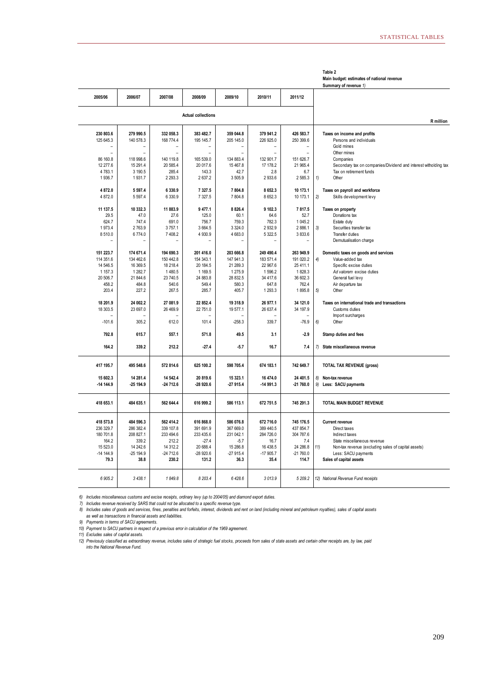## **Main budget: estimates of national revenue**

|  | main baaget. commates or national |  |
|--|-----------------------------------|--|
|  |                                   |  |

|                                                                                                                                                                                                                                                                                                                                                                                                        |                                                                                                       |                        |                           |                        |                        |                        | Table 2<br>Main budget: estimates of national revenue<br>Summary of revenue 1)                                                                                                                                                                                                                                                                                     |
|--------------------------------------------------------------------------------------------------------------------------------------------------------------------------------------------------------------------------------------------------------------------------------------------------------------------------------------------------------------------------------------------------------|-------------------------------------------------------------------------------------------------------|------------------------|---------------------------|------------------------|------------------------|------------------------|--------------------------------------------------------------------------------------------------------------------------------------------------------------------------------------------------------------------------------------------------------------------------------------------------------------------------------------------------------------------|
| 2005/06                                                                                                                                                                                                                                                                                                                                                                                                | 2006/07                                                                                               | 2007/08                | 2008/09                   | 2009/10                | 2010/11                | 2011/12                |                                                                                                                                                                                                                                                                                                                                                                    |
|                                                                                                                                                                                                                                                                                                                                                                                                        |                                                                                                       |                        | <b>Actual collections</b> |                        |                        |                        | R million                                                                                                                                                                                                                                                                                                                                                          |
|                                                                                                                                                                                                                                                                                                                                                                                                        |                                                                                                       |                        |                           |                        |                        |                        |                                                                                                                                                                                                                                                                                                                                                                    |
| 230 803.6                                                                                                                                                                                                                                                                                                                                                                                              | 279 990.5                                                                                             | 332 058.3              | 383 482.7                 | 359 044.8              | 379 941.2              | 426 583.7              | Taxes on income and profits                                                                                                                                                                                                                                                                                                                                        |
| 125 645.3                                                                                                                                                                                                                                                                                                                                                                                              | 140 578.3                                                                                             | 168 774.4              | 195 145.7                 | 205 145.0              | 226 925.0              | 250 399.6              | Persons and individuals<br>Gold mines                                                                                                                                                                                                                                                                                                                              |
| ÷                                                                                                                                                                                                                                                                                                                                                                                                      | $\overline{a}$                                                                                        | ۰                      | -                         | $\overline{a}$         | $\overline{a}$         | ۰                      | Other mines                                                                                                                                                                                                                                                                                                                                                        |
| 86 160.8                                                                                                                                                                                                                                                                                                                                                                                               | 118 998.6                                                                                             | 140 119.8              | 165 539.0                 | 134 883.4              | 132 901.7              | 151 626.7              | Companies                                                                                                                                                                                                                                                                                                                                                          |
| 12 277.6                                                                                                                                                                                                                                                                                                                                                                                               | 15 291.4                                                                                              | 20 585.4               | 20 017.6                  | 15 4 67.8              | 17 178.2               | 21 965.4               | Secondary tax on companies/Dividend and interest witholding tax                                                                                                                                                                                                                                                                                                    |
| 4 783.1<br>1936.7                                                                                                                                                                                                                                                                                                                                                                                      | 3 190.5<br>1931.7                                                                                     | 285.4<br>2 2 9 3 . 3   | 143.3<br>2637.2           | 42.7<br>3505.9         | 2.8<br>2 9 3 3.6       | 6.7<br>2 585.3         | Tax on retirement funds<br>1)<br>Other                                                                                                                                                                                                                                                                                                                             |
|                                                                                                                                                                                                                                                                                                                                                                                                        |                                                                                                       |                        |                           |                        |                        |                        |                                                                                                                                                                                                                                                                                                                                                                    |
| 4 872.0                                                                                                                                                                                                                                                                                                                                                                                                | 5 5 9 7.4                                                                                             | 6 3 3 0.9              | 7 3 2 7 .5                | 7804.8                 | 8 6 5 2.3              | 10 173.1               | Taxes on payroll and workforce                                                                                                                                                                                                                                                                                                                                     |
| 4 872.0                                                                                                                                                                                                                                                                                                                                                                                                | 5 5 9 7.4                                                                                             | 6 3 3 0.9              | 7 3 2 7.5                 | 7804.8                 | 8 6 5 2.3              | 10 173.1               | 2)<br>Skills development levy                                                                                                                                                                                                                                                                                                                                      |
| 11 137.5                                                                                                                                                                                                                                                                                                                                                                                               | 10 332.3                                                                                              | 11 883.9               | 9 477.1                   | 8 8 2 6.4              | 9 102.3                | 7817.5                 | Taxes on property                                                                                                                                                                                                                                                                                                                                                  |
| 29.5                                                                                                                                                                                                                                                                                                                                                                                                   | 47.0                                                                                                  | 27.6                   | 125.0                     | 60.1                   | 64.6                   | 52.7                   | Donations tax                                                                                                                                                                                                                                                                                                                                                      |
| 624.7                                                                                                                                                                                                                                                                                                                                                                                                  | 747.4                                                                                                 | 691.0                  | 756.7                     | 759.3                  | 782.3                  | 1 045.2                | Estate duty                                                                                                                                                                                                                                                                                                                                                        |
| 1973.4                                                                                                                                                                                                                                                                                                                                                                                                 | 2 763.9                                                                                               | 3 7 5 7.1              | 3 6 6 4 .5                | 3 3 2 4 .0             | 2932.9                 | 2 886.1                | 3)<br>Securities transfer tax                                                                                                                                                                                                                                                                                                                                      |
| 8510.0                                                                                                                                                                                                                                                                                                                                                                                                 | 6774.0                                                                                                | 7 408.2                | 4 9 3 0.9                 | 4 683.0                | 5 3 2 2.5              | 3 833.6                | Transfer duties                                                                                                                                                                                                                                                                                                                                                    |
|                                                                                                                                                                                                                                                                                                                                                                                                        |                                                                                                       |                        |                           |                        |                        | L.                     | Demutualisation charge                                                                                                                                                                                                                                                                                                                                             |
| 151 223.7                                                                                                                                                                                                                                                                                                                                                                                              | 174 671.4                                                                                             | 194 690.3              | 201 416.0                 | 203 666.8              | 249 490.4              | 263 949.9              | Domestic taxes on goods and services                                                                                                                                                                                                                                                                                                                               |
| 114 351.6                                                                                                                                                                                                                                                                                                                                                                                              | 134 462.6                                                                                             | 150 442.8              | 154 343.1                 | 147 941.3              | 183 571.4              | 191 020.2              | 4)<br>Value-added tax                                                                                                                                                                                                                                                                                                                                              |
| 14 546.5                                                                                                                                                                                                                                                                                                                                                                                               | 16 369.5                                                                                              | 18 218.4               | 20 184.5                  | 21 289.3               | 22 967.6               | 25 411.1               | Specific excise duties                                                                                                                                                                                                                                                                                                                                             |
| 1 1 5 7 . 3<br>20 506.7                                                                                                                                                                                                                                                                                                                                                                                | 1 282.7<br>21 844.6                                                                                   | 1480.5<br>23 740.5     | 1 1 69.5<br>24 883.8      | 1 275.9<br>28 832.5    | 1596.2<br>34 417.6     | 1828.3<br>36 602.3     | Ad valorem excise duties<br>General fuel levy                                                                                                                                                                                                                                                                                                                      |
| 458.2                                                                                                                                                                                                                                                                                                                                                                                                  | 484.8                                                                                                 | 540.6                  | 549.4                     | 580.3                  | 647.8                  | 762.4                  | Air departure tax                                                                                                                                                                                                                                                                                                                                                  |
| 203.4                                                                                                                                                                                                                                                                                                                                                                                                  | 227.2                                                                                                 | 267.5                  | 285.7                     | 405.7                  | 1 293.3                | 1895.8                 | 5)<br>Other                                                                                                                                                                                                                                                                                                                                                        |
|                                                                                                                                                                                                                                                                                                                                                                                                        |                                                                                                       |                        |                           |                        |                        |                        |                                                                                                                                                                                                                                                                                                                                                                    |
| 18 201.9<br>18 303.5                                                                                                                                                                                                                                                                                                                                                                                   | 24 002.2<br>23 697.0                                                                                  | 27 081.9<br>26 469.9   | 22 852.4<br>22 751.0      | 19 318.9<br>19 577.1   | 26 977.1<br>26 637.4   | 34 121.0<br>34 197.9   | Taxes on international trade and transactions<br>Customs duties                                                                                                                                                                                                                                                                                                    |
|                                                                                                                                                                                                                                                                                                                                                                                                        |                                                                                                       |                        |                           |                        |                        |                        | Import surcharges                                                                                                                                                                                                                                                                                                                                                  |
| $-101.6$                                                                                                                                                                                                                                                                                                                                                                                               | 305.2                                                                                                 | 612.0                  | 101.4                     | $-258.3$               | 339.7                  | -76.9                  | 6)<br>Other                                                                                                                                                                                                                                                                                                                                                        |
|                                                                                                                                                                                                                                                                                                                                                                                                        |                                                                                                       |                        |                           |                        |                        |                        |                                                                                                                                                                                                                                                                                                                                                                    |
| 792.8                                                                                                                                                                                                                                                                                                                                                                                                  | 615.7                                                                                                 | 557.1                  | 571.8                     | 49.5                   | 3.1                    | $-2.9$                 | Stamp duties and fees                                                                                                                                                                                                                                                                                                                                              |
| 164.2                                                                                                                                                                                                                                                                                                                                                                                                  | 339.2                                                                                                 | 212.2                  | $-27.4$                   | $-5.7$                 | 16.7                   | 7.4                    | 7) State miscellaneous revenue                                                                                                                                                                                                                                                                                                                                     |
| 417 195.7                                                                                                                                                                                                                                                                                                                                                                                              | 495 548.6                                                                                             | 572 814.6              | 625 100.2                 | 598 705.4              | 674 183.1              | 742 649.7              | <b>TOTAL TAX REVENUE (gross)</b>                                                                                                                                                                                                                                                                                                                                   |
| 15 602.3                                                                                                                                                                                                                                                                                                                                                                                               | 14 281.4                                                                                              | 14 542.4               | 20 819.6                  | 15 323.1               | 16 474.0               | 24 401.5               | Non-tax revenue<br>8)                                                                                                                                                                                                                                                                                                                                              |
| -14 144.9                                                                                                                                                                                                                                                                                                                                                                                              | -25 194.9                                                                                             | -24 712.6              | -28 920.6                 | -27 915.4              | -14 991.3              | $-21760.0$             | 9) Less: SACU payments                                                                                                                                                                                                                                                                                                                                             |
| 418 653.1                                                                                                                                                                                                                                                                                                                                                                                              | 484 635.1                                                                                             | 562 644.4              | 616 999.2                 | 586 113.1              | 672 751.5              | 745 291.3              | TOTAL MAIN BUDGET REVENUE                                                                                                                                                                                                                                                                                                                                          |
|                                                                                                                                                                                                                                                                                                                                                                                                        |                                                                                                       |                        |                           |                        |                        |                        |                                                                                                                                                                                                                                                                                                                                                                    |
| 418 573.8<br>236 329.7                                                                                                                                                                                                                                                                                                                                                                                 | 484 596.3<br>286 382.4                                                                                | 562 414.2<br>339 107.8 | 616 868.0<br>391 691.9    | 586 076.8<br>367 669.0 | 672 716.0<br>389 440.5 | 745 176.5<br>437 854.7 | <b>Current revenue</b><br>Direct taxes                                                                                                                                                                                                                                                                                                                             |
| 180 701.8                                                                                                                                                                                                                                                                                                                                                                                              | 208 827.1                                                                                             | 233 494.6              | 233 435.6                 | 231 042.1              | 284 726.0              | 304 787.6              | Indirect taxes                                                                                                                                                                                                                                                                                                                                                     |
| 164.2                                                                                                                                                                                                                                                                                                                                                                                                  | 339.2                                                                                                 | 212.2                  | -27.4                     | -5.7                   | 16.7                   | 7.4                    | State miscellaneous revenue                                                                                                                                                                                                                                                                                                                                        |
| 15 523.0                                                                                                                                                                                                                                                                                                                                                                                               | 14 24 2.6                                                                                             | 14 312.2               | 20 688.4                  | 15 286.8               | 16 438.5               | 24 286.8               | 11)<br>Non-tax revenue (excluding sales of capital assets)                                                                                                                                                                                                                                                                                                         |
| $-14144.9$<br>79.3                                                                                                                                                                                                                                                                                                                                                                                     | -25 194.9<br>38.8                                                                                     | -24 712.6<br>230.2     | -28 920.6<br>131.2        | -27 915.4<br>36.3      | $-17905.7$<br>35.4     | -21 760.0<br>114.7     | Less: SACU payments<br>Sales of capital assets                                                                                                                                                                                                                                                                                                                     |
|                                                                                                                                                                                                                                                                                                                                                                                                        |                                                                                                       |                        |                           |                        |                        |                        |                                                                                                                                                                                                                                                                                                                                                                    |
| 6 905.2                                                                                                                                                                                                                                                                                                                                                                                                | 3 4 38.1                                                                                              | 1849.8                 | 8 203.4                   | 6 4 28.6               | 3 013.9                | 5 209.2                | 12) National Revenue Fund receipts                                                                                                                                                                                                                                                                                                                                 |
| 6) Includes miscellaneous customs and excise receipts, ordinary levy (up to 2004/05) and diamond export duties.<br>7) Includes revenue received by SARS that could not be allocated to a specific revenue type.<br>9)<br>10) Payment to SACU partners in respect of a previous error in calculation of the 1969 agreement.<br>11) Excludes sales of capital assets.<br>into the National Revenue Fund. | as well as transactions in financial assets and liabilities.<br>Payments in terms of SACU agreements. |                        |                           |                        |                        |                        | 8) Includes sales of goods and services, fines, penalties and forfeits, interest, dividends and rent on land (including mineral and petroleum royalties), sales of capital assets<br>12) Previosuly classified as extraordinary revenue, includes sales of strategic fuel stocks, proceeds from sales of state assets and certain other receipts are, by law, paid |
|                                                                                                                                                                                                                                                                                                                                                                                                        |                                                                                                       |                        |                           |                        |                        |                        |                                                                                                                                                                                                                                                                                                                                                                    |
|                                                                                                                                                                                                                                                                                                                                                                                                        |                                                                                                       |                        |                           |                        |                        |                        | 209                                                                                                                                                                                                                                                                                                                                                                |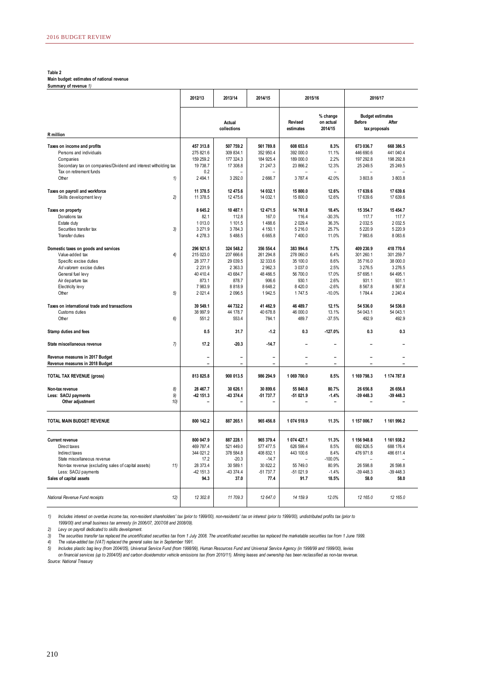**Main budget: estimates of national revenue**

**Summary of revenue** *1)* **2012/13 2013/14 2014/15 2016/17 % change Budget estimates Revised on actual**<br>estimates **2014/15 estimates 2014/15 tax proposals R million Taxes on income and profits 15.2 668 336.5 457 313.8 507 759.2 561 789.8 608 653.6 8.3% 673 036.7 668 386.5**<br>Persons and individuals **8.3 Alternative Concerned African Concerned African Concerned African and Afr** Persons and individuals and the companies and individuals 275 821.6 309 834.1 352 950.4 392 000.0 11.1% 446 690.6 441 040.4 392.8 446 992.8 392.8 493 992.8 392.8 Companies 159 259.2 177 324.3 184 925.4 189 000.0 2.2% 197 292.8 198 292.8 Secondary tax on companies/Dividend and interest witholding tax<br>Tax on retirement funds vitholding tax | 19 738.7 | 17 308.8 | 21 247.3 | 23 866.2 12.3% | 25 249.5 25 249.5 Tax on retirement funds 0.2 | — — — — — — Other *1)* 2 494.1 3 292.0 2 666.7 3 787.4 42.0% 3 803.8 3 803.8 **Taxes on payroll and workforce** 11 **378.5** 12 475.6 12 475.6 14 **032.1** 15 800.0 12.6% 17 **639.6** 17 **639.6** 17 **639.6** 17 **639.6** 17 **639.6** 17 **639.6** 17 **639.6** 17 **639.6** 17 **639.6** 17 **639.6** 17 **639.6** 17 **639.6** 17 Skills development levy 2) | 11 378.5 | 12 475.6 | 14 032.1 | 15 800.0 12.6% | 17 639.6 17 639.6 **Taxes on property 8 645.2 10 487.1 12 471.5 14 761.8 18.4% 15 354.7 15 454.7** Donations tax 82.1 112.8 167.0 116.4 -30.3% 117.7 117.7 Estate duty 1 013.0 1 101.5 1 488.6 2 029.4 36.3% 2 032.5 2 032.5 Securities transfer tax 3) | 3 271.9 | 3 784.3 | 4 150.1 | 5 216.0 25.7% | 5 220.9 5 220.9 Transfer duties 4 278.3 5 488.5 6 665.8 7 400.0 11.0% 7 983.6 8 083.6 **Domestic taxes on goods and services** 2008 296 296 296 296 296 296 296 324 548.2 356 554.4 383 994.6 7.7% 409 230.9 418 770.6<br>19 215 023.0 237 666.6 261 294.8 278 060.0 6.4% 301 260.1 301 259.7 Value-added tax *4)* 215 023.0 237 666.6 261 294.8 278 060.0 6.4% 301 260.1 301 259.7 Specific excise duties | 28 377.7 | 29 039.5 | 32 333.6 | 35 100.0 8.6% | 35 716.0 38 000.0 *Ad valorem* excise duties 2 231.9 2 363.3 2 962.3 3 037.0 2.5% 3 276.5 3 276.5 General fuel levy 40 410.4 43 684.7 48 466.5 56 700.0 17.0% 57 695.1 64 495.1 Air departure tax | 873.1 | 878.7 | 906.6 | 930.1 2.6% | 931.1 931.1 Electricity levy 7 983.9 8 818.9 8 648.2 8 420.0 -2.6% 8 567.8 8 567.8 Other *5)* 2 021.4 2 096.5 1 942.5 1 747.5 -10.0% 1 784.4 2 240.4 **Taxes on international trade and transactions 1988.1 44 732.2 44 1732.2 44 178.7 44 732.2 44 178.7 44 732.2 44 178.7 44 778.7 46 489.7 46 489.7 47 54 043.1 54 043.1** Customs duties 38 997.9 44 178.7 40 678.8 46 000.0 13.1% 54 043.1 54 043.1 Other *6)* 551.2 553.4 784.1 489.7 -37.5% 492.9 492.9 **Stamp duties and fees 0.5 31.7 -1.2 0.3 -127.0% 0.3 0.3 State miscellaneous revenue** *7)* **17.2 -20.3 -14.7 – – – – Revenue measures in 2017 Budget – – – – – – – Revenue measures in 2018 Budget – – – – – – – TOTAL TAX REVENUE (gross) 813 825.8 900 013.5 986 294.9 1 069 700.0 8.5% 1 169 798.3 1 174 787.8 Non-tax revenue** *8)* **28 467.7 30 626.1 30 899.6 55 840.8 80.7% 26 656.8 26 656.8 Less: SACU payments** *9)* **-42 151.3 -43 374.4 -51 737.7 -51 021.9 -1.4% -39 448.3 -39 448.3 Other adjustment** *10)* **– – – – – – – TOTAL MAIN BUDGET REVENUE 800 142.2 887 265.1 965 456.8 1 074 518.9 11.3% 1 157 006.7 1 161 996.2 Current revenue 800 047.9 887 228.1 965 379.4 1 074 427.1 11.3% 1 156 948.8 1 161 938.2** Direct taxes 469 787.4 521 449.0 577 477.5 626 599.4 8.5% 692 826.5 688 176.4 Indirect taxes 344 021.2 378 584.8 408 832.1 443 100.6 8.4% 476 971.8 486 611.4 State miscellaneous revenue 17.2 -20.3 -14.7 – -100.0% – – Non-tax revenue (excluding sales of capital assets) Less: SACU payments -42 151.3 -43 374.4 -51 737.7 -51 021.9 -1.4% -39 448.3 -39 448.3 **Sales of capital assets 94.3 37.0 77.4 91.7 18.5% 58.0 58.0** *National Revenue Fund receipts 12) 12 302.8 11 709.3 12 647.0 14 159.9 12.0% 12 165.0 12 165.0* **collections Actual 2015/16**

*1) Includes interest on overdue income tax, non-resident shareholders' tax (prior to 1999/00), non-residents' tax on interest (prior to 1999/00), undistributed profits tax (prior to* 

*1999/00) and small business tax amnesty (in 2006/07, 2007/08 and 2008/09).*

*2) Levy on payroll dedicated to skills development.*

*3) The securities transfer tax replaced the uncertificated securities tax from 1 July 2008. The uncertificated securities tax replaced the marketable securities tax from 1 June 1999.* 

*4) The value-added tax (VAT) replaced the general sales tax in September 1991.*

*5) Includes plastic bag levy (from 2004/05), Universal Service Fund (from 1998/99), Human Resources Fund and Universal Service Agency (in 1998/99 and 1999/00), levies on financial services (up to 2004/05) and carbon dioxidemotor vehicle emissions tax (from 2010/11). Mining leases and ownership has been reclassified as non-tax revenue. Source: National Treasury*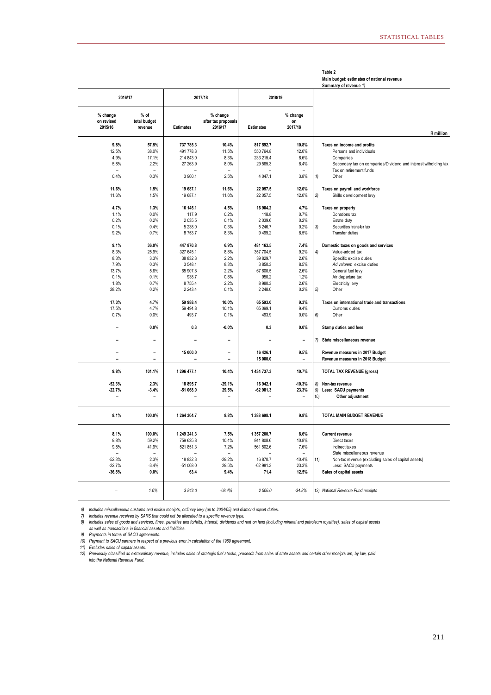## **Main budget: estimates of national revenue**

**Summary of revenue** *1)*

|                                                                                                                                                  |                                                              |                      |                                                                                                                                                                                                                                                                                                            |                       |                                  | Table 2<br>Main budget: estimates of national revenue<br>Summary of revenue 1)                                                                                                                                                                                                                                                                                  |
|--------------------------------------------------------------------------------------------------------------------------------------------------|--------------------------------------------------------------|----------------------|------------------------------------------------------------------------------------------------------------------------------------------------------------------------------------------------------------------------------------------------------------------------------------------------------------|-----------------------|----------------------------------|-----------------------------------------------------------------------------------------------------------------------------------------------------------------------------------------------------------------------------------------------------------------------------------------------------------------------------------------------------------------|
| 2016/17                                                                                                                                          |                                                              |                      | 2017/18                                                                                                                                                                                                                                                                                                    | 2018/19               |                                  |                                                                                                                                                                                                                                                                                                                                                                 |
| % change<br>on revised<br>2015/16                                                                                                                | $%$ of<br>total budget<br>revenue                            | <b>Estimates</b>     | % change<br>after tax proposals<br>2016/17                                                                                                                                                                                                                                                                 | Estimates             | % change<br>on<br>2017/18        |                                                                                                                                                                                                                                                                                                                                                                 |
|                                                                                                                                                  |                                                              |                      |                                                                                                                                                                                                                                                                                                            |                       |                                  | <b>R</b> million                                                                                                                                                                                                                                                                                                                                                |
| 9.8%                                                                                                                                             | 57.5%                                                        | 737 785.3            | 10.4%                                                                                                                                                                                                                                                                                                      | 817 592.7             | 10.8%                            | Taxes on income and profits                                                                                                                                                                                                                                                                                                                                     |
| 12.5%                                                                                                                                            | 38.0%                                                        | 491 778.3            | 11.5%                                                                                                                                                                                                                                                                                                      | 550 764.8             | 12.0%                            | Persons and individuals                                                                                                                                                                                                                                                                                                                                         |
| 4.9%                                                                                                                                             | 17.1%                                                        | 214 843.0            | 8.3%                                                                                                                                                                                                                                                                                                       | 233 215.4             | 8.6%                             | Companies                                                                                                                                                                                                                                                                                                                                                       |
| 5.8%                                                                                                                                             | 2.2%                                                         | 27 263.9             | 8.0%                                                                                                                                                                                                                                                                                                       | 29 565.3              | 8.4%                             | Secondary tax on companies/Dividend and interest witholding tax                                                                                                                                                                                                                                                                                                 |
| ۰                                                                                                                                                | ۰                                                            |                      |                                                                                                                                                                                                                                                                                                            |                       | ۰                                | Tax on retirement funds                                                                                                                                                                                                                                                                                                                                         |
| 0.4%                                                                                                                                             | 0.3%                                                         | 3 900.1              | 2.5%                                                                                                                                                                                                                                                                                                       | 4 047.1               | 3.8%                             | 1)<br>Other                                                                                                                                                                                                                                                                                                                                                     |
| 11.6%<br>11.6%                                                                                                                                   | 1.5%<br>1.5%                                                 | 19 687.1<br>19 687.1 | 11.6%<br>11.6%                                                                                                                                                                                                                                                                                             | 22 057.5<br>22 057.5  | 12.0%<br>12.0%                   | Taxes on payroll and workforce<br>2)<br>Skills development levy                                                                                                                                                                                                                                                                                                 |
| 4.7%                                                                                                                                             | 1.3%                                                         | 16 145.1             | 4.5%                                                                                                                                                                                                                                                                                                       | 16 904.2              | 4.7%                             | Taxes on property                                                                                                                                                                                                                                                                                                                                               |
| 1.1%                                                                                                                                             | 0.0%                                                         | 117.9                | 0.2%                                                                                                                                                                                                                                                                                                       | 118.8                 | 0.7%                             | Donations tax                                                                                                                                                                                                                                                                                                                                                   |
| 0.2%                                                                                                                                             | 0.2%                                                         | 2 0 3 5.5            | 0.1%                                                                                                                                                                                                                                                                                                       | 2039.6                | 0.2%                             | Estate duty                                                                                                                                                                                                                                                                                                                                                     |
| 0.1%                                                                                                                                             | 0.4%                                                         | 5 238.0              | 0.3%                                                                                                                                                                                                                                                                                                       | 5 246.7               | 0.2%                             | 3)<br>Securities transfer tax                                                                                                                                                                                                                                                                                                                                   |
| 9.2%                                                                                                                                             | 0.7%                                                         | 8753.7               | 8.3%                                                                                                                                                                                                                                                                                                       | 9499.2                | 8.5%                             | Transfer duties                                                                                                                                                                                                                                                                                                                                                 |
| 9.1%                                                                                                                                             | 36.0%                                                        | 447 870.8            | 6.9%                                                                                                                                                                                                                                                                                                       | 481 163.5             | 7.4%                             | Domestic taxes on goods and services                                                                                                                                                                                                                                                                                                                            |
| 8.3%                                                                                                                                             | 25.9%                                                        | 327 645.1            | 8.8%                                                                                                                                                                                                                                                                                                       | 357 704.5             | 9.2%                             | 4)<br>Value-added tax                                                                                                                                                                                                                                                                                                                                           |
| 8.3%                                                                                                                                             | 3.3%                                                         | 38 832.3             | 2.2%                                                                                                                                                                                                                                                                                                       | 39 829.7              | 2.6%                             | Specific excise duties                                                                                                                                                                                                                                                                                                                                          |
| 7.9%                                                                                                                                             | 0.3%                                                         | 3 548.1              | 8.3%                                                                                                                                                                                                                                                                                                       | 3 8 5 0.3             | 8.5%                             | Ad valorem excise duties                                                                                                                                                                                                                                                                                                                                        |
| 13.7%                                                                                                                                            | 5.6%                                                         | 65 907.8             | 2.2%                                                                                                                                                                                                                                                                                                       | 67 600.5              | 2.6%                             | General fuel levy                                                                                                                                                                                                                                                                                                                                               |
| 0.1%                                                                                                                                             | 0.1%                                                         | 938.7                | 0.8%                                                                                                                                                                                                                                                                                                       | 950.2                 | 1.2%                             | Air departure tax                                                                                                                                                                                                                                                                                                                                               |
| 1.8%                                                                                                                                             | 0.7%                                                         | 8 7 5 5.4            | 2.2%                                                                                                                                                                                                                                                                                                       | 8 980.3               | 2.6%                             | Electricity levy                                                                                                                                                                                                                                                                                                                                                |
| 28.2%                                                                                                                                            | 0.2%                                                         | 2 2 4 3 . 4          | 0.1%                                                                                                                                                                                                                                                                                                       | 2 2 4 8 .0            | 0.2%                             | 5)<br>Other                                                                                                                                                                                                                                                                                                                                                     |
| 17.3%                                                                                                                                            | 4.7%                                                         | 59 988.4             | 10.0%                                                                                                                                                                                                                                                                                                      | 65 593.0              | 9.3%                             | Taxes on international trade and transactions                                                                                                                                                                                                                                                                                                                   |
| 17.5%                                                                                                                                            | 4.7%                                                         | 59 494.8             | 10.1%                                                                                                                                                                                                                                                                                                      | 65 099.1              | 9.4%                             | Customs duties                                                                                                                                                                                                                                                                                                                                                  |
| 0.7%                                                                                                                                             | 0.0%                                                         | 493.7                | 0.1%                                                                                                                                                                                                                                                                                                       | 493.9                 | 0.0%                             | 6)<br>Other                                                                                                                                                                                                                                                                                                                                                     |
|                                                                                                                                                  | 0.0%                                                         | 0.3                  | $-0.0\%$                                                                                                                                                                                                                                                                                                   | 0.3                   | 0.0%                             | Stamp duties and fees                                                                                                                                                                                                                                                                                                                                           |
|                                                                                                                                                  | ۰                                                            | L,                   | ۰                                                                                                                                                                                                                                                                                                          |                       | $\overline{\phantom{0}}$         | State miscellaneous revenue<br>7)                                                                                                                                                                                                                                                                                                                               |
| $\overline{\phantom{0}}$                                                                                                                         | ۰<br>۰                                                       | 15 000.0             | $\overline{a}$<br>$\blacksquare$                                                                                                                                                                                                                                                                           | 16 4 26.1<br>15 000.0 | 9.5%<br>$\overline{\phantom{a}}$ | Revenue measures in 2017 Budget<br>Revenue measures in 2018 Budget                                                                                                                                                                                                                                                                                              |
| 9.8%                                                                                                                                             | 101.1%                                                       | 1 296 477.1          | 10.4%                                                                                                                                                                                                                                                                                                      | 1 434 737.3           | 10.7%                            | <b>TOTAL TAX REVENUE (gross)</b>                                                                                                                                                                                                                                                                                                                                |
| $-52.3%$                                                                                                                                         | 2.3%                                                         | 18 895.7             | $-29.1%$                                                                                                                                                                                                                                                                                                   | 16 942.1              | $-10.3%$                         | Non-tax revenue<br>8)                                                                                                                                                                                                                                                                                                                                           |
| $-22.7%$                                                                                                                                         | $-3.4%$                                                      | -51 068.0            | 29.5%                                                                                                                                                                                                                                                                                                      | -62 981.3             | 23.3%<br>$\overline{a}$          | 9)<br>Less: SACU payments<br>10)<br>Other adjustment                                                                                                                                                                                                                                                                                                            |
| 8.1%                                                                                                                                             | 100.0%                                                       | 1 264 304.7          | 8.8%                                                                                                                                                                                                                                                                                                       | 1 388 698.1           | 9.8%                             | TOTAL MAIN BUDGET REVENUE                                                                                                                                                                                                                                                                                                                                       |
| 8.1%                                                                                                                                             | 100.0%                                                       | 1 249 241.3          |                                                                                                                                                                                                                                                                                                            | 1 357 200.7           | 8.6%                             |                                                                                                                                                                                                                                                                                                                                                                 |
| 9.8%                                                                                                                                             | 59.2%                                                        | 759 625.8            | 7.5%<br>10.4%                                                                                                                                                                                                                                                                                              | 841 808.6             | 10.8%                            | <b>Current revenue</b><br>Direct taxes                                                                                                                                                                                                                                                                                                                          |
| 9.8%                                                                                                                                             | 41.9%                                                        | 521 851.3            | 7.2%                                                                                                                                                                                                                                                                                                       | 561 502.6             | 7.6%                             | Indirect taxes                                                                                                                                                                                                                                                                                                                                                  |
| $\overline{a}$                                                                                                                                   | $\overline{a}$                                               |                      | $\overline{\phantom{a}}$                                                                                                                                                                                                                                                                                   |                       | $\overline{a}$                   | State miscellaneous revenue                                                                                                                                                                                                                                                                                                                                     |
| $-52.3%$                                                                                                                                         | 2.3%                                                         | 18 832.3             | $-29.2%$                                                                                                                                                                                                                                                                                                   | 16 870.7              | $-10.4%$                         | 11)<br>Non-tax revenue (excluding sales of capital assets)                                                                                                                                                                                                                                                                                                      |
| $-22.7%$                                                                                                                                         | $-3.4%$                                                      | -51 068.0            | 29.5%                                                                                                                                                                                                                                                                                                      | -62 981.3             | 23.3%                            | Less: SACU payments                                                                                                                                                                                                                                                                                                                                             |
| $-36.8%$                                                                                                                                         | 0.0%                                                         | 63.4                 | 9.4%                                                                                                                                                                                                                                                                                                       | 71.4                  | 12.5%                            | Sales of capital assets                                                                                                                                                                                                                                                                                                                                         |
|                                                                                                                                                  |                                                              |                      |                                                                                                                                                                                                                                                                                                            |                       |                                  |                                                                                                                                                                                                                                                                                                                                                                 |
| ۰                                                                                                                                                | 1.0%                                                         | 3 842.0              | $-68.4%$                                                                                                                                                                                                                                                                                                   | 2 506.0               | $-34.8%$                         | 12) National Revenue Fund receipts                                                                                                                                                                                                                                                                                                                              |
| 6)<br>7)<br>8)<br>Payments in terms of SACU agreements.<br>9)<br>10)<br>11) Excludes sales of capital assets.<br>into the National Revenue Fund. | as well as transactions in financial assets and liabilities. |                      | Includes miscellaneous customs and excise receipts, ordinary levy (up to 2004/05) and diamond export duties.<br>Includes revenue received by SARS that could not be allocated to a specific revenue type.<br>Payment to SACU partners in respect of a previous error in calculation of the 1969 agreement. |                       |                                  | Includes sales of goods and services, fines, penalties and forfeits, interest, dividends and rent on land (including mineral and petroleum royalties), sales of capital assets<br>12) Previosuly classified as extraordinary revenue, includes sales of strategic fuel stocks, proceeds from sales of state assets and certain other receipts are, by law, paid |
|                                                                                                                                                  |                                                              |                      |                                                                                                                                                                                                                                                                                                            |                       |                                  | 211                                                                                                                                                                                                                                                                                                                                                             |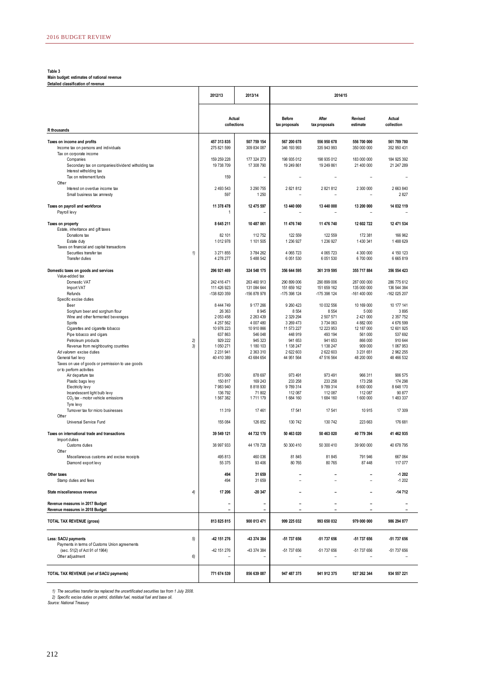**Table 3 Main budget: estimates of national revenue Detailed classification of revenue**

| Detailed classification of revenue                                           |                             |                             |                                |                             |                             |                             |
|------------------------------------------------------------------------------|-----------------------------|-----------------------------|--------------------------------|-----------------------------|-----------------------------|-----------------------------|
|                                                                              | 2012/13                     | 2013/14                     |                                | 2014/15                     |                             |                             |
| R thousands                                                                  |                             | Actual<br>collections       | <b>Before</b><br>tax proposals | After<br>tax proposals      | Revised<br>estimate         | Actual<br>collection        |
|                                                                              |                             |                             |                                |                             |                             |                             |
| Taxes on income and profits<br>Income tax on persons and individuals         | 457 313 835<br>275 821 599  | 507 759 154<br>309 834 087  | 567 200 678<br>346 193 993     | 556 950 678<br>335 943 993  | 556 700 000<br>350 000 000  | 561 789 780<br>352 950 431  |
| Tax on corporate income                                                      |                             |                             |                                |                             |                             |                             |
| Companies<br>Secondary tax on companies/dividend witholding tax              | 159 259 228<br>19 738 709   | 177 324 273<br>17 308 790   | 198 935 012<br>19 249 861      | 198 935 012<br>19 249 861   | 183 000 000<br>21 400 000   | 184 925 392<br>21 247 289   |
| Interest witholding tax                                                      |                             |                             |                                |                             |                             |                             |
| Tax on retirement funds<br>Other                                             | 159                         | $\overline{\phantom{0}}$    |                                | $\overline{a}$              | $\overline{a}$              |                             |
| Interest on overdue income tax<br>Small business tax amnesty                 | 2 493 543<br>597            | 3 290 755<br>1 250          | 2 821 812                      | 2821812                     | 2 300 000                   | 2 663 840<br>2827           |
| Taxes on payroll and workforce<br>Payroll levy                               | 11 378 478<br>1             | 12 475 597                  | 13 440 000                     | 13 440 000                  | 13 200 000                  | 14 032 119                  |
| Taxes on property                                                            | 8 645 211                   | 10 487 061                  | 11 476 740                     | 11 476 740                  | 12 602 722                  | 12 471 534                  |
| Estate, inheritance and gift taxes<br>Donations tax                          | 82 101                      | 112 752                     | 122 559                        | 122 559                     | 172 381                     | 166 962                     |
| Estate duty                                                                  | 1012978                     | 1 101 505                   | 1 236 927                      | 1 236 927                   | 1 430 341                   | 1 488 629                   |
| Taxes on financial and capital transactions<br>1)<br>Securities transfer tax | 3 271 855                   | 3784262                     | 4 0 65 7 23                    | 4 065 723                   | 4 300 000                   | 4 150 123                   |
| Transfer duties                                                              | 4 278 277                   | 5 488 542                   | 6 051 530                      | 6 0 5 1 5 3 0               | 6700 000                    | 6 665 819                   |
| Domestic taxes on goods and services<br>Value-added tax                      | 296 921 469                 | 324 548 175                 | 356 644 595                    | 361 319 595                 | 355 717 884                 | 356 554 423                 |
| Domestic VAT                                                                 | 242 416 471                 | 263 460 913                 | 290 899 006                    | 290 899 006                 | 287 000 000                 | 286 775 612                 |
| Import VAT<br>Refunds                                                        | 111 426 923<br>-138 820 359 | 131 084 644<br>-156 878 978 | 151 659 162<br>-175 398 124    | 151 659 162<br>-175 398 124 | 135 000 000<br>$-161400000$ | 136 544 384<br>-162 025 207 |
| Specific excise duties                                                       |                             |                             |                                |                             |                             |                             |
| Beer<br>Sorghum beer and sorghum flour                                       | 8 444 749<br>26 36 3        | 9 177 266<br>8 9 45         | 9 260 423<br>8 5 5 4           | 10 032 556<br>8 5 5 4       | 10 169 000<br>5 0 0 0       | 10 177 141<br>3895          |
| Wine and other fermented beverages                                           | 2 053 458                   | 2 2 6 3 4 3 9               | 2 329 294                      | 2 507 571                   | 2 421 000                   | 2 3 5 7 7 5 2               |
| Spirits                                                                      | 4 257 562                   | 4 007 480<br>10 910 866     | 3 269 473                      | 3734063                     | 4 882 000                   | 4 676 599                   |
| Cigarettes and cigarette tobacco<br>Pipe tobacco and cigars                  | 10 978 223<br>637 863       | 546 048                     | 11 573 227<br>448 919          | 12 223 953<br>493 194       | 12 187 000<br>561 000       | 12 601 925<br>537 692       |
| 2)<br>Petroleum products                                                     | 929 222                     | 945 323                     | 941 653                        | 941 653                     | 866 000                     | 910 644                     |
| 3)<br>Revenue from neighbouring countries                                    | 1 050 271                   | 1 180 103                   | 1 138 247                      | 1 138 247                   | 909 000                     | 1 067 953                   |
| Ad valorem excise duties<br>General fuel levy                                | 2 2 3 1 9 4 1<br>40 410 389 | 2 363 310<br>43 684 654     | 2 622 603<br>44 951 564        | 2 622 603<br>47 516 564     | 3 231 651<br>48 200 000     | 2 962 255<br>48 466 532     |
| Taxes on use of goods or permission to use goods                             |                             |                             |                                |                             |                             |                             |
| or to perform activities<br>Air departure tax                                | 873 060                     | 878 697                     | 973 491                        | 973 491                     | 966 311                     | 906 575                     |
| Plastic bags levy                                                            | 150 817                     | 169 243                     | 233 258                        | 233 258                     | 173 258                     | 174 298                     |
| Electricity levy                                                             | 7 983 940                   | 8 8 18 9 30                 | 9 789 314                      | 9789314                     | 8 600 000                   | 8 648 170                   |
| Incandescent light bulb levy<br>$CO2$ tax - motor vehicle emissions          | 136 792<br>1567382          | 71 802<br>1711 179          | 112 087<br>1684 160            | 112 087<br>1684 160         | 112 087<br>1 600 000        | 90 877<br>1 483 337         |
| Tyre levy                                                                    |                             |                             |                                |                             |                             |                             |
| Turnover tax for micro businesses<br>Other                                   | 11 319                      | 17461                       | 17 541                         | 17541                       | 10 915                      | 17 309                      |
| Universal Service Fund                                                       | 155 084                     | 126 852                     | 130 742                        | 130 742                     | 223 663                     | 176 681                     |
| Taxes on international trade and transactions<br>Import duties               | 39 549 121                  | 44 732 170                  | 50 463 020                     | 50 463 020                  | 40 779 394                  | 41 462 935                  |
| Customs duties<br>Other                                                      | 38 997 933                  | 44 178 728                  | 50 300 410                     | 50 300 410                  | 39 900 000                  | 40 678 795                  |
| Miscellaneous customs and excise receipts                                    | 495 813                     | 460 036                     | 81 845                         | 81845                       | 791 946                     | 667 064                     |
| Diamond export levy                                                          | 55 375                      | 93 406                      | 80 765                         | 80 765                      | 87 448                      | 117 077                     |
| Other taxes<br>Stamp duties and fees                                         | 494<br>494                  | 31 659<br>31 659            |                                |                             | $\overline{a}$              | -1 202<br>$-1202$           |
| State miscellaneous revenue<br>4)                                            | 17 206                      | $-20347$                    |                                |                             |                             | $-14712$                    |
| Revenue measures in 2017 Budget                                              | ۰                           | -                           |                                |                             | $\overline{\phantom{0}}$    |                             |
| Revenue measures in 2018 Budget                                              | ٠                           | $\overline{a}$              |                                |                             | -                           | $\overline{a}$              |
| <b>TOTAL TAX REVENUE (gross)</b>                                             | 813 825 815                 | 900 013 471                 | 999 225 032                    | 993 650 032                 | 979 000 000                 | 986 294 877                 |
| 5)<br>Less: SACU payments<br>Payments in terms of Customs Union agreements   | -42 151 276                 | -43 374 384                 | -51 737 656                    | -51 737 656                 | -51 737 656                 | -51 737 656                 |
| (sec. 51(2) of Act 91 of 1964)<br>Other adjustment<br>6)                     | -42 151 276                 | -43 374 384                 | -51 737 656                    | -51 737 656                 | -51 737 656                 | -51 737 656                 |
|                                                                              |                             |                             |                                |                             |                             |                             |
| TOTAL TAX REVENUE (net of SACU payments)                                     | 771 674 539                 | 856 639 087                 | 947 487 375                    | 941 912 375                 | 927 262 344                 | 934 557 221                 |

1) The securities transfer tax replaced the uncertificated securities tax from 1 July 2008.<br>2) Specific excise duties on petrol, distillate fuel, residual fuel and base oil.<br>Source: National Treasury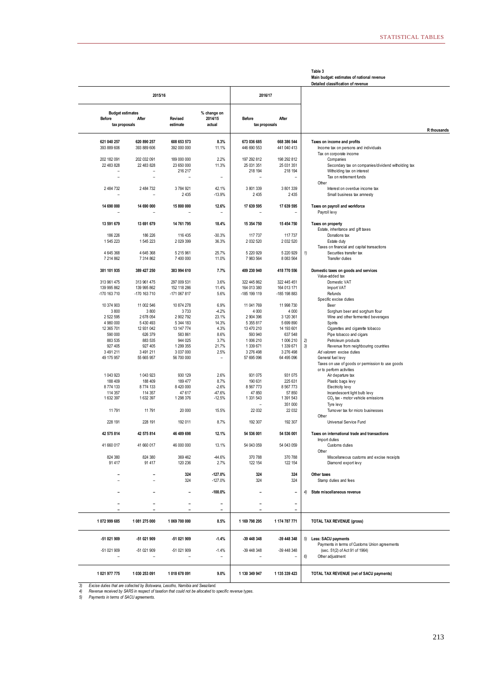| % change on<br><b>Revised</b><br>2014/15<br>After<br><b>Before</b><br>estimate<br>actual<br>tax proposals<br>R thousands<br>668 386 544<br>608 653 573<br>8.3%<br>673 036 685<br>Taxes on income and profits<br>441 040 413<br>392 000 000<br>11.1%<br>446 690 553<br>Income tax on persons and individuals<br>Tax on corporate income<br>189 000 000<br>2.2%<br>197 292 812<br>198 292 812<br>Companies<br>23 650 000<br>11.3%<br>25 031 351<br>25 031 351<br>Secondary tax on companies/dividend witholding tax<br>216 217<br>218 194<br>218 194<br>Witholding tax on interest<br>Tax on retirement funds<br>Other<br>3784921<br>42.1%<br>3 801 339<br>3 801 339<br>Interest on overdue income tax<br>2 4 3 5<br>$-13.9%$<br>2 4 3 5<br>2 4 3 5<br>Small business tax amnesty<br>17 639 595<br>15 800 000<br>12.6%<br>17 639 595<br>Taxes on payroll and workforce<br>Payroll levy<br>14 761 795<br>18.4%<br>15 354 750<br>15 454 750<br>Taxes on property<br>Estate, inheritance and gift taxes<br>116 435<br>$-30.3%$<br>117 737<br>117 737<br>Donations tax<br>2 029 399<br>36.3%<br>2 032 520<br>2 032 520<br>Estate duty<br>Taxes on financial and capital transactions<br>5 215 961<br>25.7%<br>5 220 929<br>5 220 929<br>1)<br>Securities transfer tax<br>7 400 000<br>11.0%<br>7 983 564<br>8 083 564<br>Transfer duties<br>418 770 556<br>383 994 610<br>7.7%<br>409 230 940<br>Domestic taxes on goods and services<br>Value-added tax<br>297 009 531<br>3.6%<br>322 445 862<br>322 445 451<br>Domestic VAT<br>11.4%<br>164 013 380<br>164 013 171<br>Import VAT<br>152 118 286<br>-171 067 817<br>5.6%<br>-185 199 119<br>-185 198 883<br>Refunds<br>Specific excise duties<br>10 874 278<br>6.9%<br>11 041 769<br>11 998 730<br>Beer<br>$-4.2%$<br>4 0 0 0<br>3733<br>4 0 0 0<br>Sorghum beer and sorghum flour<br>2 902 792<br>23.1%<br>2 904 396<br>3 120 361<br>Wine and other fermented beverages<br>5 344 183<br>14.3%<br>5 355 817<br>5 699 890<br>Spirits<br>13 147 774<br>4.3%<br>13 470 210<br>14 193 601<br>Cigarettes and cigarette tobacco<br>8.6%<br>593 940<br>583 861<br>637 548<br>Pipe tobacco and cigars<br>944 025<br>3.7%<br>1 006 210<br>1 006 210<br>2)<br>Petroleum products<br>21.7%<br>1 339 671<br>3)<br>1 299 355<br>1 339 671<br>Revenue from neighbouring countries<br>2.5%<br>3 276 498<br>3 276 498<br>3 037 000<br>Ad valorem excise duties<br>56 700 000<br>57 695 096<br>64 495 096<br>General fuel levy<br>Taxes on use of goods or permission to use goods<br>or to perform activities<br>930 129<br>2.6%<br>931 075<br>931 075<br>Air departure tax<br>189 477<br>8.7%<br>190 631<br>225 631<br>Plastic bags levy<br>8 420 000<br>$-2.6%$<br>8 5 67 773<br>8 5 67 773<br>Electricity levy<br>-47.6%<br>47 617<br>47 850<br>57 850<br>Incandescent light bulb levy<br>$-12.5%$<br>1 298 376<br>1 331 543<br>1 391 543<br>$CO2$ tax - motor vehicle emissions<br>351 000<br>Tyre levy<br>22 032<br>20 000<br>15.5%<br>22 032<br>Tumover tax for micro businesses<br>Other<br>192 011<br>8.7%<br>192 307<br>192 307<br>Universal Service Fund<br>12.1%<br>54 536 001<br>Taxes on international trade and transactions<br>46 489 698<br>54 536 001<br>Import duties<br>46 000 000<br>13.1%<br>54 043 059<br>54 043 059<br>Customs duties<br>Other<br>369 462<br>-44.6%<br>370 788<br>370 788<br>Miscellaneous customs and excise receipts<br>120 236<br>2.7%<br>122 154<br>122 154<br>Diamond export levy<br>324<br>$-127.0%$<br>324<br>324<br>Other taxes<br>324<br>$-127.0%$<br>324<br>324<br>Stamp duties and fees<br>$\overline{a}$ |                                |  | 2016/17 |           | 2015/16                 |                                                           |
|----------------------------------------------------------------------------------------------------------------------------------------------------------------------------------------------------------------------------------------------------------------------------------------------------------------------------------------------------------------------------------------------------------------------------------------------------------------------------------------------------------------------------------------------------------------------------------------------------------------------------------------------------------------------------------------------------------------------------------------------------------------------------------------------------------------------------------------------------------------------------------------------------------------------------------------------------------------------------------------------------------------------------------------------------------------------------------------------------------------------------------------------------------------------------------------------------------------------------------------------------------------------------------------------------------------------------------------------------------------------------------------------------------------------------------------------------------------------------------------------------------------------------------------------------------------------------------------------------------------------------------------------------------------------------------------------------------------------------------------------------------------------------------------------------------------------------------------------------------------------------------------------------------------------------------------------------------------------------------------------------------------------------------------------------------------------------------------------------------------------------------------------------------------------------------------------------------------------------------------------------------------------------------------------------------------------------------------------------------------------------------------------------------------------------------------------------------------------------------------------------------------------------------------------------------------------------------------------------------------------------------------------------------------------------------------------------------------------------------------------------------------------------------------------------------------------------------------------------------------------------------------------------------------------------------------------------------------------------------------------------------------------------------------------------------------------------------------------------------------------------------------------------------------------------------------------------------------------------------------------------------------------------------------------------------------------------------------------------------------------------------------------------------------------------------------------------------------------------------------------------------------------------------------------------------------------------------------|--------------------------------|--|---------|-----------|-------------------------|-----------------------------------------------------------|
|                                                                                                                                                                                                                                                                                                                                                                                                                                                                                                                                                                                                                                                                                                                                                                                                                                                                                                                                                                                                                                                                                                                                                                                                                                                                                                                                                                                                                                                                                                                                                                                                                                                                                                                                                                                                                                                                                                                                                                                                                                                                                                                                                                                                                                                                                                                                                                                                                                                                                                                                                                                                                                                                                                                                                                                                                                                                                                                                                                                                                                                                                                                                                                                                                                                                                                                                                                                                                                                                                                                                                                                        |                                |  |         |           | After                   | <b>Budget estimates</b><br><b>Before</b><br>tax proposals |
|                                                                                                                                                                                                                                                                                                                                                                                                                                                                                                                                                                                                                                                                                                                                                                                                                                                                                                                                                                                                                                                                                                                                                                                                                                                                                                                                                                                                                                                                                                                                                                                                                                                                                                                                                                                                                                                                                                                                                                                                                                                                                                                                                                                                                                                                                                                                                                                                                                                                                                                                                                                                                                                                                                                                                                                                                                                                                                                                                                                                                                                                                                                                                                                                                                                                                                                                                                                                                                                                                                                                                                                        |                                |  |         |           | 620 890 257             | 621 040 257                                               |
|                                                                                                                                                                                                                                                                                                                                                                                                                                                                                                                                                                                                                                                                                                                                                                                                                                                                                                                                                                                                                                                                                                                                                                                                                                                                                                                                                                                                                                                                                                                                                                                                                                                                                                                                                                                                                                                                                                                                                                                                                                                                                                                                                                                                                                                                                                                                                                                                                                                                                                                                                                                                                                                                                                                                                                                                                                                                                                                                                                                                                                                                                                                                                                                                                                                                                                                                                                                                                                                                                                                                                                                        |                                |  |         |           | 393 889 606             | 393 889 606                                               |
|                                                                                                                                                                                                                                                                                                                                                                                                                                                                                                                                                                                                                                                                                                                                                                                                                                                                                                                                                                                                                                                                                                                                                                                                                                                                                                                                                                                                                                                                                                                                                                                                                                                                                                                                                                                                                                                                                                                                                                                                                                                                                                                                                                                                                                                                                                                                                                                                                                                                                                                                                                                                                                                                                                                                                                                                                                                                                                                                                                                                                                                                                                                                                                                                                                                                                                                                                                                                                                                                                                                                                                                        |                                |  |         |           | 202 032 091             | 202 182 091                                               |
|                                                                                                                                                                                                                                                                                                                                                                                                                                                                                                                                                                                                                                                                                                                                                                                                                                                                                                                                                                                                                                                                                                                                                                                                                                                                                                                                                                                                                                                                                                                                                                                                                                                                                                                                                                                                                                                                                                                                                                                                                                                                                                                                                                                                                                                                                                                                                                                                                                                                                                                                                                                                                                                                                                                                                                                                                                                                                                                                                                                                                                                                                                                                                                                                                                                                                                                                                                                                                                                                                                                                                                                        |                                |  |         |           | 22 483 828              | 22 483 828                                                |
|                                                                                                                                                                                                                                                                                                                                                                                                                                                                                                                                                                                                                                                                                                                                                                                                                                                                                                                                                                                                                                                                                                                                                                                                                                                                                                                                                                                                                                                                                                                                                                                                                                                                                                                                                                                                                                                                                                                                                                                                                                                                                                                                                                                                                                                                                                                                                                                                                                                                                                                                                                                                                                                                                                                                                                                                                                                                                                                                                                                                                                                                                                                                                                                                                                                                                                                                                                                                                                                                                                                                                                                        |                                |  |         |           |                         |                                                           |
|                                                                                                                                                                                                                                                                                                                                                                                                                                                                                                                                                                                                                                                                                                                                                                                                                                                                                                                                                                                                                                                                                                                                                                                                                                                                                                                                                                                                                                                                                                                                                                                                                                                                                                                                                                                                                                                                                                                                                                                                                                                                                                                                                                                                                                                                                                                                                                                                                                                                                                                                                                                                                                                                                                                                                                                                                                                                                                                                                                                                                                                                                                                                                                                                                                                                                                                                                                                                                                                                                                                                                                                        |                                |  |         |           | 2 484 732               | 2 484 732                                                 |
|                                                                                                                                                                                                                                                                                                                                                                                                                                                                                                                                                                                                                                                                                                                                                                                                                                                                                                                                                                                                                                                                                                                                                                                                                                                                                                                                                                                                                                                                                                                                                                                                                                                                                                                                                                                                                                                                                                                                                                                                                                                                                                                                                                                                                                                                                                                                                                                                                                                                                                                                                                                                                                                                                                                                                                                                                                                                                                                                                                                                                                                                                                                                                                                                                                                                                                                                                                                                                                                                                                                                                                                        |                                |  |         |           |                         |                                                           |
|                                                                                                                                                                                                                                                                                                                                                                                                                                                                                                                                                                                                                                                                                                                                                                                                                                                                                                                                                                                                                                                                                                                                                                                                                                                                                                                                                                                                                                                                                                                                                                                                                                                                                                                                                                                                                                                                                                                                                                                                                                                                                                                                                                                                                                                                                                                                                                                                                                                                                                                                                                                                                                                                                                                                                                                                                                                                                                                                                                                                                                                                                                                                                                                                                                                                                                                                                                                                                                                                                                                                                                                        |                                |  |         |           | 14 690 000              | 14 690 000                                                |
|                                                                                                                                                                                                                                                                                                                                                                                                                                                                                                                                                                                                                                                                                                                                                                                                                                                                                                                                                                                                                                                                                                                                                                                                                                                                                                                                                                                                                                                                                                                                                                                                                                                                                                                                                                                                                                                                                                                                                                                                                                                                                                                                                                                                                                                                                                                                                                                                                                                                                                                                                                                                                                                                                                                                                                                                                                                                                                                                                                                                                                                                                                                                                                                                                                                                                                                                                                                                                                                                                                                                                                                        |                                |  |         |           | 13 691 679              | 13 591 679                                                |
|                                                                                                                                                                                                                                                                                                                                                                                                                                                                                                                                                                                                                                                                                                                                                                                                                                                                                                                                                                                                                                                                                                                                                                                                                                                                                                                                                                                                                                                                                                                                                                                                                                                                                                                                                                                                                                                                                                                                                                                                                                                                                                                                                                                                                                                                                                                                                                                                                                                                                                                                                                                                                                                                                                                                                                                                                                                                                                                                                                                                                                                                                                                                                                                                                                                                                                                                                                                                                                                                                                                                                                                        |                                |  |         |           | 186 226                 | 186 226                                                   |
|                                                                                                                                                                                                                                                                                                                                                                                                                                                                                                                                                                                                                                                                                                                                                                                                                                                                                                                                                                                                                                                                                                                                                                                                                                                                                                                                                                                                                                                                                                                                                                                                                                                                                                                                                                                                                                                                                                                                                                                                                                                                                                                                                                                                                                                                                                                                                                                                                                                                                                                                                                                                                                                                                                                                                                                                                                                                                                                                                                                                                                                                                                                                                                                                                                                                                                                                                                                                                                                                                                                                                                                        |                                |  |         |           | 1 545 223               | 1 545 223                                                 |
|                                                                                                                                                                                                                                                                                                                                                                                                                                                                                                                                                                                                                                                                                                                                                                                                                                                                                                                                                                                                                                                                                                                                                                                                                                                                                                                                                                                                                                                                                                                                                                                                                                                                                                                                                                                                                                                                                                                                                                                                                                                                                                                                                                                                                                                                                                                                                                                                                                                                                                                                                                                                                                                                                                                                                                                                                                                                                                                                                                                                                                                                                                                                                                                                                                                                                                                                                                                                                                                                                                                                                                                        |                                |  |         |           | 4 645 368               | 4 645 368                                                 |
|                                                                                                                                                                                                                                                                                                                                                                                                                                                                                                                                                                                                                                                                                                                                                                                                                                                                                                                                                                                                                                                                                                                                                                                                                                                                                                                                                                                                                                                                                                                                                                                                                                                                                                                                                                                                                                                                                                                                                                                                                                                                                                                                                                                                                                                                                                                                                                                                                                                                                                                                                                                                                                                                                                                                                                                                                                                                                                                                                                                                                                                                                                                                                                                                                                                                                                                                                                                                                                                                                                                                                                                        |                                |  |         |           | 7 314 862               | 7 214 862                                                 |
|                                                                                                                                                                                                                                                                                                                                                                                                                                                                                                                                                                                                                                                                                                                                                                                                                                                                                                                                                                                                                                                                                                                                                                                                                                                                                                                                                                                                                                                                                                                                                                                                                                                                                                                                                                                                                                                                                                                                                                                                                                                                                                                                                                                                                                                                                                                                                                                                                                                                                                                                                                                                                                                                                                                                                                                                                                                                                                                                                                                                                                                                                                                                                                                                                                                                                                                                                                                                                                                                                                                                                                                        |                                |  |         |           | 389 427 250             | 381 101 935                                               |
|                                                                                                                                                                                                                                                                                                                                                                                                                                                                                                                                                                                                                                                                                                                                                                                                                                                                                                                                                                                                                                                                                                                                                                                                                                                                                                                                                                                                                                                                                                                                                                                                                                                                                                                                                                                                                                                                                                                                                                                                                                                                                                                                                                                                                                                                                                                                                                                                                                                                                                                                                                                                                                                                                                                                                                                                                                                                                                                                                                                                                                                                                                                                                                                                                                                                                                                                                                                                                                                                                                                                                                                        |                                |  |         |           | 313 961 475             | 313 961 475                                               |
|                                                                                                                                                                                                                                                                                                                                                                                                                                                                                                                                                                                                                                                                                                                                                                                                                                                                                                                                                                                                                                                                                                                                                                                                                                                                                                                                                                                                                                                                                                                                                                                                                                                                                                                                                                                                                                                                                                                                                                                                                                                                                                                                                                                                                                                                                                                                                                                                                                                                                                                                                                                                                                                                                                                                                                                                                                                                                                                                                                                                                                                                                                                                                                                                                                                                                                                                                                                                                                                                                                                                                                                        |                                |  |         |           | 139 995 862             | 139 995 862                                               |
|                                                                                                                                                                                                                                                                                                                                                                                                                                                                                                                                                                                                                                                                                                                                                                                                                                                                                                                                                                                                                                                                                                                                                                                                                                                                                                                                                                                                                                                                                                                                                                                                                                                                                                                                                                                                                                                                                                                                                                                                                                                                                                                                                                                                                                                                                                                                                                                                                                                                                                                                                                                                                                                                                                                                                                                                                                                                                                                                                                                                                                                                                                                                                                                                                                                                                                                                                                                                                                                                                                                                                                                        |                                |  |         |           | -170 163 710            | -170 163 710                                              |
|                                                                                                                                                                                                                                                                                                                                                                                                                                                                                                                                                                                                                                                                                                                                                                                                                                                                                                                                                                                                                                                                                                                                                                                                                                                                                                                                                                                                                                                                                                                                                                                                                                                                                                                                                                                                                                                                                                                                                                                                                                                                                                                                                                                                                                                                                                                                                                                                                                                                                                                                                                                                                                                                                                                                                                                                                                                                                                                                                                                                                                                                                                                                                                                                                                                                                                                                                                                                                                                                                                                                                                                        |                                |  |         |           | 11 002 546              | 10 374 903                                                |
|                                                                                                                                                                                                                                                                                                                                                                                                                                                                                                                                                                                                                                                                                                                                                                                                                                                                                                                                                                                                                                                                                                                                                                                                                                                                                                                                                                                                                                                                                                                                                                                                                                                                                                                                                                                                                                                                                                                                                                                                                                                                                                                                                                                                                                                                                                                                                                                                                                                                                                                                                                                                                                                                                                                                                                                                                                                                                                                                                                                                                                                                                                                                                                                                                                                                                                                                                                                                                                                                                                                                                                                        |                                |  |         |           | 3 800                   | 3800                                                      |
|                                                                                                                                                                                                                                                                                                                                                                                                                                                                                                                                                                                                                                                                                                                                                                                                                                                                                                                                                                                                                                                                                                                                                                                                                                                                                                                                                                                                                                                                                                                                                                                                                                                                                                                                                                                                                                                                                                                                                                                                                                                                                                                                                                                                                                                                                                                                                                                                                                                                                                                                                                                                                                                                                                                                                                                                                                                                                                                                                                                                                                                                                                                                                                                                                                                                                                                                                                                                                                                                                                                                                                                        |                                |  |         |           | 2678054<br>5 430 493    | 2 522 595<br>4 980 000                                    |
|                                                                                                                                                                                                                                                                                                                                                                                                                                                                                                                                                                                                                                                                                                                                                                                                                                                                                                                                                                                                                                                                                                                                                                                                                                                                                                                                                                                                                                                                                                                                                                                                                                                                                                                                                                                                                                                                                                                                                                                                                                                                                                                                                                                                                                                                                                                                                                                                                                                                                                                                                                                                                                                                                                                                                                                                                                                                                                                                                                                                                                                                                                                                                                                                                                                                                                                                                                                                                                                                                                                                                                                        |                                |  |         |           | 12 931 042              | 12 365 701                                                |
|                                                                                                                                                                                                                                                                                                                                                                                                                                                                                                                                                                                                                                                                                                                                                                                                                                                                                                                                                                                                                                                                                                                                                                                                                                                                                                                                                                                                                                                                                                                                                                                                                                                                                                                                                                                                                                                                                                                                                                                                                                                                                                                                                                                                                                                                                                                                                                                                                                                                                                                                                                                                                                                                                                                                                                                                                                                                                                                                                                                                                                                                                                                                                                                                                                                                                                                                                                                                                                                                                                                                                                                        |                                |  |         |           | 626 379<br>883 535      | 590 000<br>883 535                                        |
|                                                                                                                                                                                                                                                                                                                                                                                                                                                                                                                                                                                                                                                                                                                                                                                                                                                                                                                                                                                                                                                                                                                                                                                                                                                                                                                                                                                                                                                                                                                                                                                                                                                                                                                                                                                                                                                                                                                                                                                                                                                                                                                                                                                                                                                                                                                                                                                                                                                                                                                                                                                                                                                                                                                                                                                                                                                                                                                                                                                                                                                                                                                                                                                                                                                                                                                                                                                                                                                                                                                                                                                        |                                |  |         |           | 927 405                 | 927 405                                                   |
|                                                                                                                                                                                                                                                                                                                                                                                                                                                                                                                                                                                                                                                                                                                                                                                                                                                                                                                                                                                                                                                                                                                                                                                                                                                                                                                                                                                                                                                                                                                                                                                                                                                                                                                                                                                                                                                                                                                                                                                                                                                                                                                                                                                                                                                                                                                                                                                                                                                                                                                                                                                                                                                                                                                                                                                                                                                                                                                                                                                                                                                                                                                                                                                                                                                                                                                                                                                                                                                                                                                                                                                        |                                |  |         |           | 3 491 211<br>55 665 957 | 3 491 211<br>49 175 957                                   |
|                                                                                                                                                                                                                                                                                                                                                                                                                                                                                                                                                                                                                                                                                                                                                                                                                                                                                                                                                                                                                                                                                                                                                                                                                                                                                                                                                                                                                                                                                                                                                                                                                                                                                                                                                                                                                                                                                                                                                                                                                                                                                                                                                                                                                                                                                                                                                                                                                                                                                                                                                                                                                                                                                                                                                                                                                                                                                                                                                                                                                                                                                                                                                                                                                                                                                                                                                                                                                                                                                                                                                                                        |                                |  |         |           | 1 043 923               | 1 043 923                                                 |
|                                                                                                                                                                                                                                                                                                                                                                                                                                                                                                                                                                                                                                                                                                                                                                                                                                                                                                                                                                                                                                                                                                                                                                                                                                                                                                                                                                                                                                                                                                                                                                                                                                                                                                                                                                                                                                                                                                                                                                                                                                                                                                                                                                                                                                                                                                                                                                                                                                                                                                                                                                                                                                                                                                                                                                                                                                                                                                                                                                                                                                                                                                                                                                                                                                                                                                                                                                                                                                                                                                                                                                                        |                                |  |         |           | 188 409                 | 188 409                                                   |
|                                                                                                                                                                                                                                                                                                                                                                                                                                                                                                                                                                                                                                                                                                                                                                                                                                                                                                                                                                                                                                                                                                                                                                                                                                                                                                                                                                                                                                                                                                                                                                                                                                                                                                                                                                                                                                                                                                                                                                                                                                                                                                                                                                                                                                                                                                                                                                                                                                                                                                                                                                                                                                                                                                                                                                                                                                                                                                                                                                                                                                                                                                                                                                                                                                                                                                                                                                                                                                                                                                                                                                                        |                                |  |         |           | 8774 133<br>114 357     | 8774 133<br>114 357                                       |
|                                                                                                                                                                                                                                                                                                                                                                                                                                                                                                                                                                                                                                                                                                                                                                                                                                                                                                                                                                                                                                                                                                                                                                                                                                                                                                                                                                                                                                                                                                                                                                                                                                                                                                                                                                                                                                                                                                                                                                                                                                                                                                                                                                                                                                                                                                                                                                                                                                                                                                                                                                                                                                                                                                                                                                                                                                                                                                                                                                                                                                                                                                                                                                                                                                                                                                                                                                                                                                                                                                                                                                                        |                                |  |         |           | 1 632 397               | 1632397                                                   |
|                                                                                                                                                                                                                                                                                                                                                                                                                                                                                                                                                                                                                                                                                                                                                                                                                                                                                                                                                                                                                                                                                                                                                                                                                                                                                                                                                                                                                                                                                                                                                                                                                                                                                                                                                                                                                                                                                                                                                                                                                                                                                                                                                                                                                                                                                                                                                                                                                                                                                                                                                                                                                                                                                                                                                                                                                                                                                                                                                                                                                                                                                                                                                                                                                                                                                                                                                                                                                                                                                                                                                                                        |                                |  |         |           |                         |                                                           |
|                                                                                                                                                                                                                                                                                                                                                                                                                                                                                                                                                                                                                                                                                                                                                                                                                                                                                                                                                                                                                                                                                                                                                                                                                                                                                                                                                                                                                                                                                                                                                                                                                                                                                                                                                                                                                                                                                                                                                                                                                                                                                                                                                                                                                                                                                                                                                                                                                                                                                                                                                                                                                                                                                                                                                                                                                                                                                                                                                                                                                                                                                                                                                                                                                                                                                                                                                                                                                                                                                                                                                                                        |                                |  |         |           | 11 791                  | 11 791                                                    |
|                                                                                                                                                                                                                                                                                                                                                                                                                                                                                                                                                                                                                                                                                                                                                                                                                                                                                                                                                                                                                                                                                                                                                                                                                                                                                                                                                                                                                                                                                                                                                                                                                                                                                                                                                                                                                                                                                                                                                                                                                                                                                                                                                                                                                                                                                                                                                                                                                                                                                                                                                                                                                                                                                                                                                                                                                                                                                                                                                                                                                                                                                                                                                                                                                                                                                                                                                                                                                                                                                                                                                                                        |                                |  |         |           | 228 191                 | 228 191                                                   |
|                                                                                                                                                                                                                                                                                                                                                                                                                                                                                                                                                                                                                                                                                                                                                                                                                                                                                                                                                                                                                                                                                                                                                                                                                                                                                                                                                                                                                                                                                                                                                                                                                                                                                                                                                                                                                                                                                                                                                                                                                                                                                                                                                                                                                                                                                                                                                                                                                                                                                                                                                                                                                                                                                                                                                                                                                                                                                                                                                                                                                                                                                                                                                                                                                                                                                                                                                                                                                                                                                                                                                                                        |                                |  |         |           | 42 575 814              | 42 575 814                                                |
|                                                                                                                                                                                                                                                                                                                                                                                                                                                                                                                                                                                                                                                                                                                                                                                                                                                                                                                                                                                                                                                                                                                                                                                                                                                                                                                                                                                                                                                                                                                                                                                                                                                                                                                                                                                                                                                                                                                                                                                                                                                                                                                                                                                                                                                                                                                                                                                                                                                                                                                                                                                                                                                                                                                                                                                                                                                                                                                                                                                                                                                                                                                                                                                                                                                                                                                                                                                                                                                                                                                                                                                        |                                |  |         |           | 41 660 017              | 41 660 017                                                |
|                                                                                                                                                                                                                                                                                                                                                                                                                                                                                                                                                                                                                                                                                                                                                                                                                                                                                                                                                                                                                                                                                                                                                                                                                                                                                                                                                                                                                                                                                                                                                                                                                                                                                                                                                                                                                                                                                                                                                                                                                                                                                                                                                                                                                                                                                                                                                                                                                                                                                                                                                                                                                                                                                                                                                                                                                                                                                                                                                                                                                                                                                                                                                                                                                                                                                                                                                                                                                                                                                                                                                                                        |                                |  |         |           | 824 380                 | 824 380                                                   |
|                                                                                                                                                                                                                                                                                                                                                                                                                                                                                                                                                                                                                                                                                                                                                                                                                                                                                                                                                                                                                                                                                                                                                                                                                                                                                                                                                                                                                                                                                                                                                                                                                                                                                                                                                                                                                                                                                                                                                                                                                                                                                                                                                                                                                                                                                                                                                                                                                                                                                                                                                                                                                                                                                                                                                                                                                                                                                                                                                                                                                                                                                                                                                                                                                                                                                                                                                                                                                                                                                                                                                                                        |                                |  |         |           | 91 417                  | 91 417                                                    |
|                                                                                                                                                                                                                                                                                                                                                                                                                                                                                                                                                                                                                                                                                                                                                                                                                                                                                                                                                                                                                                                                                                                                                                                                                                                                                                                                                                                                                                                                                                                                                                                                                                                                                                                                                                                                                                                                                                                                                                                                                                                                                                                                                                                                                                                                                                                                                                                                                                                                                                                                                                                                                                                                                                                                                                                                                                                                                                                                                                                                                                                                                                                                                                                                                                                                                                                                                                                                                                                                                                                                                                                        |                                |  |         |           |                         | $\overline{a}$                                            |
|                                                                                                                                                                                                                                                                                                                                                                                                                                                                                                                                                                                                                                                                                                                                                                                                                                                                                                                                                                                                                                                                                                                                                                                                                                                                                                                                                                                                                                                                                                                                                                                                                                                                                                                                                                                                                                                                                                                                                                                                                                                                                                                                                                                                                                                                                                                                                                                                                                                                                                                                                                                                                                                                                                                                                                                                                                                                                                                                                                                                                                                                                                                                                                                                                                                                                                                                                                                                                                                                                                                                                                                        | 4) State miscellaneous revenue |  |         | $-100.0%$ |                         |                                                           |
| $\overline{\phantom{a}}$<br>-<br>$\overline{\phantom{0}}$<br>$\overline{\phantom{a}}$<br>$\overline{a}$                                                                                                                                                                                                                                                                                                                                                                                                                                                                                                                                                                                                                                                                                                                                                                                                                                                                                                                                                                                                                                                                                                                                                                                                                                                                                                                                                                                                                                                                                                                                                                                                                                                                                                                                                                                                                                                                                                                                                                                                                                                                                                                                                                                                                                                                                                                                                                                                                                                                                                                                                                                                                                                                                                                                                                                                                                                                                                                                                                                                                                                                                                                                                                                                                                                                                                                                                                                                                                                                                |                                |  |         |           |                         |                                                           |
| 1 069 700 000<br>8.5%<br>1 169 798 295<br>1 174 787 771<br><b>TOTAL TAX REVENUE (gross)</b>                                                                                                                                                                                                                                                                                                                                                                                                                                                                                                                                                                                                                                                                                                                                                                                                                                                                                                                                                                                                                                                                                                                                                                                                                                                                                                                                                                                                                                                                                                                                                                                                                                                                                                                                                                                                                                                                                                                                                                                                                                                                                                                                                                                                                                                                                                                                                                                                                                                                                                                                                                                                                                                                                                                                                                                                                                                                                                                                                                                                                                                                                                                                                                                                                                                                                                                                                                                                                                                                                            |                                |  |         |           | 1 081 275 000           | 1 072 999 685                                             |
| $-1.4%$<br>-39 448 348<br>-39 448 348<br>5) Less: SACU payments<br>-51 021 909                                                                                                                                                                                                                                                                                                                                                                                                                                                                                                                                                                                                                                                                                                                                                                                                                                                                                                                                                                                                                                                                                                                                                                                                                                                                                                                                                                                                                                                                                                                                                                                                                                                                                                                                                                                                                                                                                                                                                                                                                                                                                                                                                                                                                                                                                                                                                                                                                                                                                                                                                                                                                                                                                                                                                                                                                                                                                                                                                                                                                                                                                                                                                                                                                                                                                                                                                                                                                                                                                                         |                                |  |         |           | -51 021 909             | -51 021 909                                               |
| Payments in terms of Customs Union agreements<br>(sec. 51(2) of Act 91 of 1964)<br>-51 021 909<br>$-1.4%$<br>-39 448 348<br>-39 448 348<br>6)<br>Other adjustment                                                                                                                                                                                                                                                                                                                                                                                                                                                                                                                                                                                                                                                                                                                                                                                                                                                                                                                                                                                                                                                                                                                                                                                                                                                                                                                                                                                                                                                                                                                                                                                                                                                                                                                                                                                                                                                                                                                                                                                                                                                                                                                                                                                                                                                                                                                                                                                                                                                                                                                                                                                                                                                                                                                                                                                                                                                                                                                                                                                                                                                                                                                                                                                                                                                                                                                                                                                                                      |                                |  |         |           | -51 021 909             | -51 021 909                                               |
| 1 018 678 091<br>9.0%<br>TOTAL TAX REVENUE (net of SACU payments)<br>1 130 349 947<br>1 135 339 423                                                                                                                                                                                                                                                                                                                                                                                                                                                                                                                                                                                                                                                                                                                                                                                                                                                                                                                                                                                                                                                                                                                                                                                                                                                                                                                                                                                                                                                                                                                                                                                                                                                                                                                                                                                                                                                                                                                                                                                                                                                                                                                                                                                                                                                                                                                                                                                                                                                                                                                                                                                                                                                                                                                                                                                                                                                                                                                                                                                                                                                                                                                                                                                                                                                                                                                                                                                                                                                                                    |                                |  |         |           | 1 030 253 091           | 1 021 977 775                                             |

## 3) Excise duties that are collected by Botswana, Lesotho, Namibia and Swaziland.<br>4) Revenue received by SARS in respect of taxation that could not be allocated to specific revenue types.<br>5) Payments in terms of SACU agreem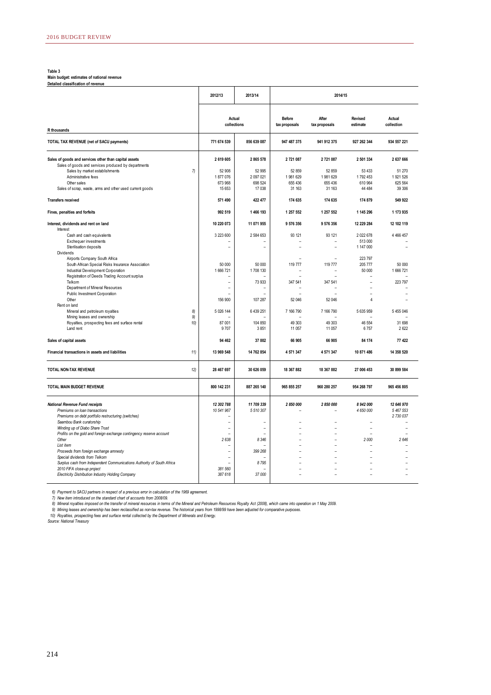**Main budget: estimates of national revenue Detailed classification of revenue**

| Detailed classification of revenue                                                    |     |                       |                          |                                |                        |                            |                      |
|---------------------------------------------------------------------------------------|-----|-----------------------|--------------------------|--------------------------------|------------------------|----------------------------|----------------------|
|                                                                                       |     | 2012/13               | 2013/14                  |                                | 2014/15                |                            |                      |
| R thousands                                                                           |     | Actual<br>collections |                          | <b>Before</b><br>tax proposals | After<br>tax proposals | <b>Revised</b><br>estimate | Actual<br>collection |
| TOTAL TAX REVENUE (net of SACU payments)                                              |     | 771 674 539           | 856 639 087              | 947 487 375                    | 941 912 375            | 927 262 344                | 934 557 221          |
| Sales of goods and services other than capital assets                                 |     | 2 619 605             | 2 865 578                | 2 721 087                      | 2 721 087              | 2 501 334                  | 2 637 666            |
| Sales of goods and services produced by departments<br>Sales by market establishments | 7)  | 52 908                | 52 995                   | 52 859                         | 52 859                 | 53 433                     | 51 270               |
| Administrative fees                                                                   |     | 1877076               | 2 097 021                | 1981629                        | 1981629                | 1792 453                   | 1 921 526            |
| Other sales                                                                           |     | 673 968               | 698 524                  | 655 436                        | 655 436                | 610 964                    | 625 564              |
| Sales of scrap, waste, arms and other used current goods                              |     | 15 653                | 17 038                   | 31 163                         | 31 163                 | 44 4 84                    | 39 30 6              |
| <b>Transfers received</b>                                                             |     | 571 490               | 422 477                  | 174 635                        | 174 635                | 174 879                    | 549 922              |
| Fines, penalties and forfeits                                                         |     | 992 519               | 1 466 193                | 1 257 552                      | 1 257 552              | 1 145 296                  | 1 173 935            |
|                                                                                       |     |                       |                          |                                |                        |                            |                      |
| Interest, dividends and rent on land<br>Interest                                      |     | 10 220 073            | 11 071 955               | 9 576 356                      | 9 576 356              | 12 229 284                 | 12 102 119           |
| Cash and cash equivalents                                                             |     | 3 223 600             | 2 584 653                | 93 121                         | 93 121                 | 2 022 678                  | 4 4 6 4 4 5 7        |
| Exchequer investments                                                                 |     |                       |                          |                                |                        | 513 000                    |                      |
| Sterilisation deposits<br>Dividends                                                   |     |                       | ۰                        |                                |                        | 1 147 000                  |                      |
| Airports Company South Africa                                                         |     |                       |                          |                                |                        | 223 797                    |                      |
| South African Special Risks Insurance Association                                     |     | 50 000                | 50 000                   | 119 777                        | 119 777                | 205 777                    | 50 000               |
| Industrial Development Corporation                                                    |     | 1666721               | 1708 130                 |                                |                        | 50 000                     | 1666721              |
| Registration of Deeds Trading Account surplus                                         |     |                       |                          |                                |                        |                            |                      |
| Telkom                                                                                |     |                       | 73 933                   | 347 541                        | 347 541                | $\overline{a}$             | 223 797              |
| Department of Mineral Resources                                                       |     |                       |                          |                                |                        | $\overline{a}$             |                      |
| Public Investment Corporation                                                         |     |                       |                          |                                |                        | $\overline{a}$             |                      |
| Other<br>Rent on land                                                                 |     | 156 900               | 107 287                  | 52 046                         | 52 046                 | $\overline{4}$             |                      |
| Mineral and petroleum royalties                                                       | 8)  | 5 0 26 144            | 6 439 251                | 7 166 790                      | 7 166 790              | 5 635 959                  | 5 455 046            |
| Mining leases and ownership                                                           | 9)  |                       |                          |                                |                        |                            |                      |
| Royalties, prospecting fees and surface rental                                        | 10) | 87 001                | 104 850                  | 49 30 3                        | 49 30 3                | 46 554                     | 31 698               |
| Land rent                                                                             |     | 9707                  | 3851                     | 11 057                         | 11 057                 | 6757                       | 2622                 |
| Sales of capital assets                                                               |     | 94 462                | 37 002                   | 66 905                         | 66 905                 | 84 174                     | 77 422               |
| Financial transactions in assets and liabilities                                      | 11) | 13 969 548            | 14 762 854               | 4 571 347                      | 4 571 347              | 10 871 486                 | 14 358 520           |
|                                                                                       |     |                       |                          |                                |                        |                            |                      |
| TOTAL NON-TAX REVENUE                                                                 | 12) | 28 467 697            | 30 626 059               | 18 367 882                     | 18 367 882             | 27 006 453                 | 30 899 584           |
| TOTAL MAIN BUDGET REVENUE                                                             |     | 800 142 231           | 887 265 140              | 965 855 257                    | 960 280 257            | 954 268 797                | 965 456 805          |
| <b>National Revenue Fund receipts</b>                                                 |     | 12 302 788            | 11 709 339               | 2 850 000                      | 2 850 000              | 8 942 000                  | 12 646 970           |
| Premiums on loan transactions                                                         |     | 10 541 967            | 5 510 307                |                                |                        | 4 650 000                  | 5 467 553            |
| Premiums on debt portfolio restructuring (switches)                                   |     |                       |                          |                                |                        |                            | 2 730 037            |
| Saambou Bank curatorship                                                              |     | L.                    |                          |                                |                        |                            |                      |
| Winding up of Diabo Share Trust                                                       |     | ÷                     | $\overline{\phantom{a}}$ |                                |                        | $\equiv$                   |                      |
| Profits on the gold and foreign exchange contingency reserve account                  |     |                       | 8 3 4 6                  |                                |                        | 2000                       |                      |
| Other<br>List item                                                                    |     | 2638                  |                          |                                | $\overline{a}$         |                            | 2646                 |
| Proceeds from foreign exchange amnesty                                                |     | L.                    | 399 268                  |                                | $\overline{a}$         | $\overline{a}$             |                      |
| Special dividends from Telkom                                                         |     |                       |                          |                                |                        |                            |                      |
| Surplus cash from Independent Communications Authority of South Africa                |     |                       | 8795                     |                                |                        |                            |                      |
| 2010 FIFA close-up project                                                            |     | 381 560               |                          |                                |                        |                            |                      |
| Electricity Distribution Industry Holding Company                                     |     | 387 618               | 37 000                   |                                |                        |                            |                      |
|                                                                                       |     |                       |                          |                                |                        |                            |                      |

6) Payment to SACU partners in respect of a previous error in calculation of the 1969 agreement.<br>7) New item introduced on the standard chart of accounts from 2008/09.<br>8) Mineral royalties imposed on the transfer of minera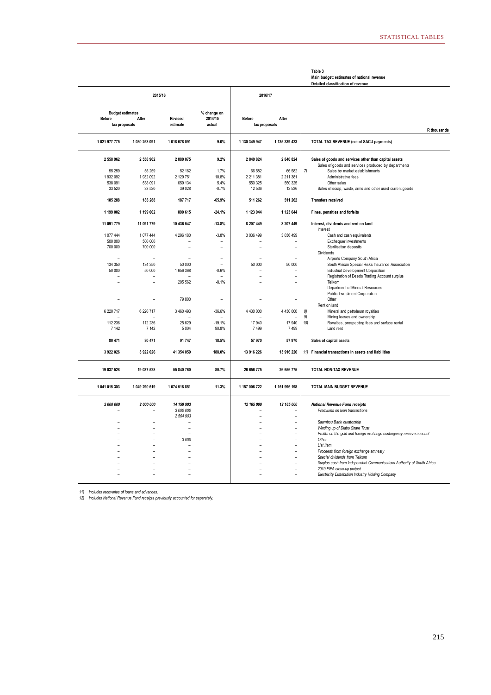## **Main budget: estimates of national revenue**

|                                                          |                                                                              |                                           |                                                                                   |                                          |                                            | Table 3<br>Main budget: estimates of national revenue<br>Detailed classification of revenue                                                                                                   |
|----------------------------------------------------------|------------------------------------------------------------------------------|-------------------------------------------|-----------------------------------------------------------------------------------|------------------------------------------|--------------------------------------------|-----------------------------------------------------------------------------------------------------------------------------------------------------------------------------------------------|
|                                                          | 2015/16                                                                      |                                           |                                                                                   | 2016/17                                  |                                            |                                                                                                                                                                                               |
| <b>Budget estimates</b><br>Before<br>tax proposals       | After                                                                        | <b>Revised</b><br>estimate                | % change on<br>2014/15<br>actual                                                  | <b>Before</b><br>tax proposals           | After                                      | R thousands                                                                                                                                                                                   |
| 1 021 977 775                                            | 1 030 253 091                                                                | 1 018 678 091                             | 9.0%                                                                              | 1 130 349 947                            | 1 135 339 423                              | TOTAL TAX REVENUE (net of SACU payments)                                                                                                                                                      |
| 2 558 962                                                | 2 558 962                                                                    | 2 880 075                                 | 9.2%                                                                              | 2 840 824                                | 2 840 824                                  | Sales of goods and services other than capital assets                                                                                                                                         |
| 55 259<br>1932092<br>538 091<br>33 5 20                  | 55 259<br>1 932 092<br>538 091<br>33 520                                     | 52 162<br>2 129 751<br>659 134<br>39 0 28 | 1.7%<br>10.8%<br>5.4%<br>$-0.7%$                                                  | 66 582<br>2 211 381<br>550 325<br>12 536 | 66 582<br>2 211 381<br>550 325<br>12 536   | Sales of goods and services produced by departments<br>7)<br>Sales by market establishments<br>Administrative fees<br>Other sales<br>Sales of scrap, waste, arms and other used current goods |
| 185 288                                                  | 185 288                                                                      | 187 717                                   | $-65.9%$                                                                          | 511 262                                  | 511 262                                    | <b>Transfers received</b>                                                                                                                                                                     |
| 1 199 002                                                | 1 199 002                                                                    | 890 615                                   | $-24.1%$                                                                          | 1 123 044                                | 1 123 044                                  | Fines, penalties and forfeits                                                                                                                                                                 |
| 11 091 779                                               | 11 091 779                                                                   | 10 436 547                                | $-13.8%$                                                                          | 8 207 449                                | 8 207 449                                  | Interest, dividends and rent on land<br>Interest                                                                                                                                              |
| 1077444<br>500 000<br>700 000                            | 1077444<br>500 000<br>700 000                                                | 4 296 180                                 | $-3.8%$<br>L,                                                                     | 3 0 36 4 99                              | 3 036 499<br>$\overline{a}$                | Cash and cash equivalents<br>Exchequer investments<br>Sterilisation deposits<br>Dividends                                                                                                     |
| 134 350<br>50 000<br>$\overline{a}$                      | 134 350<br>50 000                                                            | 50 000<br>1 656 368                       | $\overline{\phantom{0}}$<br>$\overline{a}$<br>$-0.6%$<br>$\overline{\phantom{0}}$ | 50 000                                   | 50 000<br>$\overline{a}$                   | Airports Company South Africa<br>South African Special Risks Insurance Association<br>Industrial Development Corporation<br>Registration of Deeds Trading Account surplus                     |
| $\overline{a}$                                           | L,<br>$\overline{a}$                                                         | 205 562                                   | $-8.1%$                                                                           |                                          | L,<br>$\overline{a}$                       | Telkom<br>Department of Mineral Resources                                                                                                                                                     |
| $\overline{a}$<br>$\overline{a}$                         | $\overline{a}$<br>÷,                                                         | $\overline{\phantom{a}}$<br>79 800        | $\overline{\phantom{a}}$<br>$\overline{a}$                                        | $\overline{\phantom{0}}$                 | $\overline{a}$<br>L,                       | Public Investment Corporation<br>Other                                                                                                                                                        |
| 6 220 717                                                | 6 220 717                                                                    | 3 460 493                                 | $-36.6%$                                                                          | 4 430 000                                | 4 430 000                                  | Rent on land<br>8)<br>Mineral and petroleum royalties                                                                                                                                         |
| 112 236<br>7 1 4 2                                       | 112 236<br>7 142                                                             | 25 6 29<br>5 0 0 4                        | $-19.1%$<br>90.8%                                                                 | 17 940<br>7499                           | 17 940<br>7499                             | 9)<br>Mining leases and ownership<br>10)<br>Royalties, prospecting fees and surface rental<br>Land rent                                                                                       |
| 80 471                                                   | 80 471                                                                       | 91 747                                    | 18.5%                                                                             | 57 970                                   | 57 970                                     | Sales of capital assets                                                                                                                                                                       |
| 3 922 026                                                | 3 922 026                                                                    | 41 354 059                                | 188.0%                                                                            | 13 916 226                               | 13 916 226                                 | 11)<br>Financial transactions in assets and liabilities                                                                                                                                       |
| 19 037 528                                               | 19 037 528                                                                   | 55 840 760                                | 80.7%                                                                             | 26 656 775                               | 26 656 775                                 | TOTAL NON-TAX REVENUE                                                                                                                                                                         |
| 1 041 015 303                                            | 1 049 290 619                                                                | 1 074 518 851                             | 11.3%                                                                             | 1 157 006 722                            | 1 161 996 198                              | TOTAL MAIN BUDGET REVENUE                                                                                                                                                                     |
| 2 000 000                                                | 2 000 000                                                                    | 14 159 903<br>3 000 000<br>2 564 903      |                                                                                   | 12 165 000                               | 12 165 000<br>$\overline{\phantom{a}}$     | <b>National Revenue Fund receipts</b><br>Premiums on loan transactions                                                                                                                        |
|                                                          |                                                                              |                                           |                                                                                   |                                          | $\overline{\phantom{0}}$<br>$\overline{a}$ | Saambou Bank curatorship<br>Winding up of Diabo Share Trust                                                                                                                                   |
| ۳                                                        | ÷,                                                                           | 3 000                                     |                                                                                   |                                          | $\overline{a}$                             | Profits on the gold and foreign exchange contingency reserve account<br>Other                                                                                                                 |
|                                                          |                                                                              |                                           |                                                                                   |                                          | $\overline{\phantom{0}}$<br>$\overline{a}$ | List item<br>Proceeds from foreign exchange amnesty                                                                                                                                           |
|                                                          |                                                                              |                                           |                                                                                   |                                          | $\overline{\phantom{a}}$                   | Special dividends from Telkom<br>Surplus cash from Independent Communications Authority of South Africa                                                                                       |
|                                                          |                                                                              |                                           |                                                                                   |                                          | -                                          | 2010 FIFA close-up project<br>Electricity Distribution Industry Holding Company                                                                                                               |
| Includes recoveries of loans and advances.<br>11)<br>12) | Includes National Revenue Fund receipts previously accounted for separately. |                                           |                                                                                   |                                          |                                            |                                                                                                                                                                                               |
|                                                          |                                                                              |                                           |                                                                                   |                                          |                                            | 215                                                                                                                                                                                           |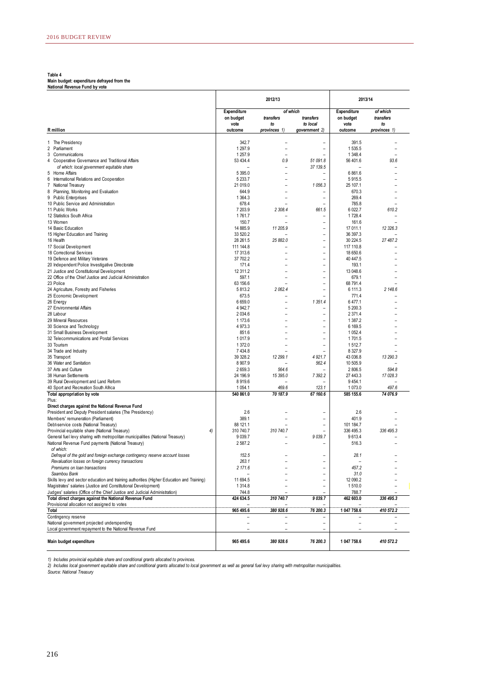**Table 4 Main budget: expenditure defrayed from the National Revenue Fund by vote**

|                                                                                                              |                          | 2012/13                  |                          | 2013/14                  |                          |  |
|--------------------------------------------------------------------------------------------------------------|--------------------------|--------------------------|--------------------------|--------------------------|--------------------------|--|
|                                                                                                              | Expenditure<br>on budget | of which<br>transfers    | transfers                | Expenditure<br>on budget | of which<br>transfers    |  |
|                                                                                                              | vote                     | to                       | to local                 | vote                     | to                       |  |
| R million                                                                                                    | outcome                  | provinces 1)             | government 2)            | outcome                  | provinces 1)             |  |
| 1 The Presidency                                                                                             | 342.7                    | ٠                        | $\overline{\phantom{a}}$ | 391.5                    |                          |  |
| 2<br>Parliament                                                                                              | 1 297.9                  | L.                       | ÷                        | 1535.5                   |                          |  |
| 3<br>Communications                                                                                          | 1 257.9                  | ÷.                       | ÷                        | 1 3 4 8.4                | $\overline{\phantom{a}}$ |  |
| Cooperative Governance and Traditional Affairs<br>4                                                          | 53 434.4                 | 0.9                      | 51 091.8                 | 56 401.6                 | 93.6                     |  |
| of which: local government equitable share                                                                   |                          | ÷.                       | 37 139.5                 |                          |                          |  |
| 5 Home Affairs                                                                                               | 5 3 9 5.0                | ۰                        | $\overline{\phantom{a}}$ | 6861.6                   |                          |  |
| 6 International Relations and Cooperation                                                                    | 5 233.7                  | ÷                        | ٠                        | 5915.5                   |                          |  |
| National Treasury<br>7                                                                                       | 21 019.0                 |                          | 1 056.3                  | 25 107.1                 |                          |  |
| 8 Planning, Monitoring and Evaluation                                                                        | 644.9                    |                          |                          | 670.3                    |                          |  |
| 9 Public Enterprises                                                                                         | 1 3 6 4 . 3              |                          | ٠                        | 269.4                    |                          |  |
| 10 Public Service and Administration                                                                         | 678.4                    |                          | L.                       | 785.8                    |                          |  |
| 11 Public Works                                                                                              | 7 203.9                  | 2 3 0 8.4                | 661.5                    | 6 0 22.7                 | 610.2                    |  |
| 12 Statistics South Africa                                                                                   | 1761.7                   |                          | ۳                        | 1728.4                   |                          |  |
| 13 Women                                                                                                     | 150.7<br>14 885.9        | 11 205.9                 | ٠<br>Ĭ.                  | 161.6<br>17 011.1        | 12 326.3                 |  |
| 14 Basic Education<br>15 Higher Education and Training                                                       | 33 520.2                 |                          |                          | 36 397.3                 |                          |  |
| 16 Health                                                                                                    | 28 261.5                 | 25 882.0                 | $\overline{\phantom{0}}$ | 30 224.5                 | 27 487.2                 |  |
| 17 Social Development                                                                                        | 111 144.8                |                          | $\overline{a}$           | 117 110.8                |                          |  |
| 18 Correctional Services                                                                                     | 17 313.6                 |                          | ÷                        | 18 650.6                 |                          |  |
| 19 Defence and Military Veterans                                                                             | 37 702.2                 |                          | $\overline{a}$           | 40 447.5                 |                          |  |
| 20 Independent Police Investigative Directorate                                                              | 171.4                    |                          | ٠                        | 193.1                    |                          |  |
| 21 Justice and Constitutional Development                                                                    | 12 311.2                 |                          | ٠                        | 13 048.6                 |                          |  |
| 22 Office of the Chief Justice and Judicial Administration                                                   | 597.1                    | ÷                        | ٠                        | 679.1                    | ÷.                       |  |
| 23 Police                                                                                                    | 63 156.6                 |                          | $\overline{\phantom{a}}$ | 68 791.4                 | ÷.                       |  |
| 24 Agriculture, Forestry and Fisheries                                                                       | 5 813.2                  | 2 062.4                  | $\overline{\phantom{a}}$ | 6 111.3                  | 2 148.6                  |  |
| 25 Economic Development                                                                                      | 673.5                    |                          |                          | 771.4                    |                          |  |
| 26 Energy                                                                                                    | 6659.0                   | ÷                        | 1 3 5 1 . 4              | 6477.1                   |                          |  |
| 27 Environmental Affairs                                                                                     | 4 942.7                  | ÷                        | ۰                        | 5 200.3                  |                          |  |
| 28 Labour                                                                                                    | 2 0 3 4.6                |                          | ٠                        | 2 3 7 1 . 4              |                          |  |
| 29 Mineral Resources                                                                                         | 1 173.6                  | L.                       | ٠                        | 1 3 8 7 . 2              |                          |  |
| 30 Science and Technology                                                                                    | 4 973.3                  |                          | ٠                        | 6 169.5                  |                          |  |
| 31 Small Business Development                                                                                | 851.6                    | ÷                        | ٠                        | 1 0 5 2.4                |                          |  |
| 32 Telecommunications and Postal Services                                                                    | 1017.9                   |                          | $\overline{a}$           | 1701.5                   |                          |  |
| 33 Tourism                                                                                                   | 1 3 7 2.0                |                          | ÷                        | 1512.7                   |                          |  |
| 34 Trade and Industry                                                                                        | 7 4 3 4.8                |                          |                          | 8 3 2 7 . 9              |                          |  |
| 35 Transport                                                                                                 | 39 328.2                 | 12 299.1                 | 4921.7                   | 43 036.8                 | 13 290.3                 |  |
| 36 Water and Sanitation                                                                                      | 8 9 0 7.9                |                          | 562.4                    | 10 505.9                 |                          |  |
| 37 Arts and Culture                                                                                          | 2659.3                   | 564.6                    |                          | 2806.5                   | 594.8                    |  |
| 38 Human Settlements                                                                                         | 24 196.9                 | 15 395.0                 | 7 392.2                  | 27 443.3                 | 17 028.3                 |  |
| 39 Rural Development and Land Reform                                                                         | 8919.6                   |                          |                          | 9 4 5 4.1                |                          |  |
| 40 Sport and Recreation South Africa                                                                         | 1 0 54.1                 | 469.6                    | 123.1                    | 1073.0                   | 497.6                    |  |
| Total appropriation by vote                                                                                  | 540 861.0                | 70 187.9                 | 67 160.6                 | 585 155.6                | 74 076.9                 |  |
| Plus:                                                                                                        |                          |                          |                          |                          |                          |  |
| Direct charges against the National Revenue Fund<br>President and Deputy President salaries (The Presidency) | 2.6                      |                          | ۰                        | 2.6                      |                          |  |
| Members' remuneration (Parliament)                                                                           | 389.1                    |                          | $\overline{\phantom{a}}$ | 401.9                    |                          |  |
| Debt-service costs (National Treasury)                                                                       | 88 121.1                 |                          | ٠                        | 101 184.7                |                          |  |
| Provincial equitable share (National Treasury)<br>4)                                                         | 310 740.7                | 310 740.7                | $\overline{\phantom{a}}$ | 336 495.3                | 336 495.3                |  |
| General fuel levy sharing with metropolitan municipalities (National Treasury)                               | 9 0 39.7                 |                          | 9 0 39.7                 | 9613.4                   |                          |  |
| National Revenue Fund payments (National Treasury)                                                           | 2587.2                   |                          |                          | 516.3                    |                          |  |
| of which:                                                                                                    |                          |                          |                          |                          |                          |  |
| Defrayal of the gold and foreign exchange contingency reserve account losses                                 | 152.5                    | ۰                        | $\overline{\phantom{a}}$ | 28.1                     |                          |  |
| Revaluation losses on foreign currency transactions                                                          | 263.1                    |                          |                          |                          |                          |  |
| Premiums on loan transactions                                                                                | 2 171.6                  |                          | $\overline{\phantom{a}}$ | 457.2                    |                          |  |
| Saambou Bank                                                                                                 |                          |                          | $\overline{\phantom{a}}$ | 31.0                     |                          |  |
| Skills levy and sector education and training authorities (Higher Education and Training)                    | 11 694.5                 |                          | $\overline{\phantom{a}}$ | 12 090.2                 |                          |  |
| Magistrates' salaries (Justice and Constitutional Development)                                               | 1 3 1 4.8                |                          | $\overline{\phantom{a}}$ | 1510.0                   |                          |  |
| Judges' salaries (Office of the Chief Justice and Judicial Administration)                                   | 744.8                    |                          |                          | 788.7                    |                          |  |
| Total direct charges against the National Revenue Fund                                                       | 424 634.5                | 310 740.7                | 9 039.7                  | 462 603.0                | 336 495.3                |  |
| Provisional allocation not assigned to votes                                                                 |                          |                          |                          |                          |                          |  |
| Total                                                                                                        | 965 495.6                | 380 928.6                | 76 200.3                 | 1 047 758.6              | 410 572.2                |  |
| Contingency reserve                                                                                          | ۰                        | $\overline{\phantom{a}}$ | -                        | $\overline{a}$           |                          |  |
| National government projected underspending                                                                  | ÷                        |                          | $\overline{\phantom{0}}$ | ÷                        |                          |  |
| Local government repayment to the National Revenue Fund                                                      |                          |                          |                          |                          |                          |  |
| Main budget expenditure                                                                                      | 965 495.6                | 380 928.6                | 76 200.3                 | 1 047 758.6              | 410 572.2                |  |

1) Includes provincial equitable share and conditional grants allocated to provinces.<br>2) Includes local government equitable share and conditional grants allocated to local government as well as general fuel levy sharing w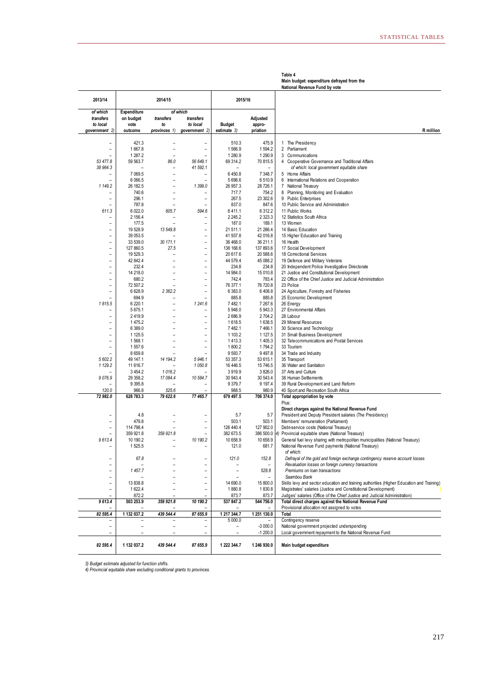|                                                                                                                                      |                                | 2015/16                        |                                            | 2014/15                          |                              | 2013/14                                |
|--------------------------------------------------------------------------------------------------------------------------------------|--------------------------------|--------------------------------|--------------------------------------------|----------------------------------|------------------------------|----------------------------------------|
|                                                                                                                                      |                                |                                | of which                                   |                                  | Expenditure                  | of which                               |
| R million                                                                                                                            | Adjusted<br>appro-<br>priation | <b>Budget</b><br>estimate $3)$ | transfers<br>to local<br>government 2)     | transfers<br>to<br>provinces 1)  | on budget<br>vote<br>outcome | transfers<br>to local<br>government 2) |
| 1 The Presidency                                                                                                                     | 475.9                          | 510.3                          | $\overline{\phantom{a}}$                   |                                  | 421.3                        | ۰                                      |
| 2 Parliament                                                                                                                         | 1594.2                         | 1566.9                         | ÷                                          | ÷                                | 1667.8                       | -                                      |
| 3 Communications<br>4 Cooperative Governance and Traditional Affairs                                                                 | 1 290.9<br>70 815.5            | 1 280.9<br>69 314.2            | $\overline{\phantom{a}}$<br>56 649.1       | $\overline{\phantom{a}}$<br>86.0 | 1 287.2<br>59 563.7          | L.<br>53 477.8                         |
| of which: local government equitable share                                                                                           |                                |                                | 41 592.1                                   | ۳                                |                              | 38 964.3                               |
| 5 Home Affairs                                                                                                                       | 7 348.7                        | 6 450.8                        | $\equiv$                                   | $\overline{\phantom{a}}$         | 7 0 69.5                     |                                        |
| 6 International Relations and Cooperation                                                                                            | 6510.9<br>28 726.1             | 5 6 98.6                       | $\overline{\phantom{a}}$                   | ۰<br>L.                          | 6 0 66.5<br>26 182.5         |                                        |
| 7 National Treasury<br>8 Planning, Monitoring and Evaluation                                                                         | 754.2                          | 26 957.3<br>717.7              | 1 399.0<br>$\overline{\phantom{a}}$        | ۰                                | 740.6                        | 1 149.2                                |
| 9 Public Enterprises                                                                                                                 | 23 302.6                       | 267.5                          | ۳                                          | ۰                                | 296.1                        |                                        |
| 10 Public Service and Administration<br>11 Public Works                                                                              | 847.6<br>6 3 1 2.2             | 837.0<br>6411.1                | $\overline{\phantom{a}}$<br>594.6          | ۰<br>605.7                       | 787.8<br>6 0 22.0            | 611.3                                  |
| 12 Statistics South Africa                                                                                                           | 2 3 2 3 . 3                    | 2 2 4 5 . 2                    | $\overline{\phantom{a}}$                   | ۰                                | 2 156.4                      |                                        |
| 13 Women                                                                                                                             | 189.1                          | 187.0                          | ۰                                          |                                  | 177.5                        |                                        |
| 14 Basic Education                                                                                                                   | 21 286.4                       | 21 511.1                       | ۳                                          | 13 549.8                         | 19 528.9                     | ä,                                     |
| 15 Higher Education and Training<br>16 Health                                                                                        | 42 016.8<br>36 211.1           | 41 937.8<br>36 468.0           | ۳<br>$\overline{\phantom{a}}$              | 30 171.1                         | 39 053.5<br>33 539.0         | ÷                                      |
| 17 Social Development                                                                                                                | 137 893.6                      | 138 168.6                      | ۳                                          | 27.5                             | 127 860.5                    | ÷                                      |
| 18 Correctional Services                                                                                                             | 20 588.6                       | 20 617.6                       | $\overline{\phantom{a}}$                   | ۳                                | 19 529.3                     | ÷                                      |
| 19 Defence and Military Veterans<br>20 Independent Police Investigative Directorate                                                  | 45 088.2<br>234.8              | 44 579.4<br>234.8              | ۳<br>$\overline{\phantom{a}}$              | L.<br>۰                          | 42 842.4<br>232.4            | L.<br>÷                                |
| 21 Justice and Constitutional Development                                                                                            | 15 010.8                       | 14 984.0                       | ۳                                          | ÷                                | 14 218.0                     | ä,                                     |
| 22 Office of the Chief Justice and Judicial Administration                                                                           | 783.4                          | 742.4                          | $\overline{\phantom{a}}$                   | ۰                                | 680.2                        | ÷                                      |
| 23 Police<br>24 Agriculture, Forestry and Fisheries                                                                                  | 76 720.8<br>6 4 0 8.8          | 76 377.1<br>6 383.0            | ۳<br>$\overline{\phantom{a}}$              | 2 3 6 2.2                        | 72 507.2<br>6 6 28.9         | L.<br>÷                                |
| 25 Economic Development                                                                                                              | 885.8                          | 885.8                          |                                            |                                  | 694.9                        |                                        |
| 26 Energy                                                                                                                            | 7 267.6                        | 7 482.1                        | 1 241.6                                    | ۳                                | 6 220.1                      | 1815.5                                 |
| 27 Environmental Affairs<br>28 Labour                                                                                                | 5943.3<br>2 704.2              | 5 948.0<br>2686.9              | L,<br>$\overline{\phantom{a}}$             |                                  | 5 675.1<br>2419.9            |                                        |
| 29 Mineral Resources                                                                                                                 | 1638.5                         | 1618.5                         | ۳                                          |                                  | 1475.2                       |                                        |
| 30 Science and Technology                                                                                                            | 7466.1                         | 7 482.1                        | $\overline{\phantom{0}}$                   |                                  | 6 389.0                      | ۰                                      |
| 31 Small Business Development                                                                                                        | 1 1 2 7 .5                     | 1 103.2                        | ÷                                          |                                  | 1 1 2 5 .5                   |                                        |
| 32 Telecommunications and Postal Services<br>33 Tourism                                                                              | 1 405.3<br>1794.2              | 1413.3<br>1800.2               | $\overline{a}$<br>$\overline{\phantom{0}}$ |                                  | 1568.1<br>1557.6             | ÷<br>÷                                 |
| 34 Trade and Industry                                                                                                                | 9 4 9 7.8                      | 9593.7                         |                                            |                                  | 8 6 5 9.8                    |                                        |
| 35 Transport                                                                                                                         | 53 615.1                       | 53 357.3                       | 5 946.1                                    | 14 194.2                         | 49 147.1                     | 5 602.2                                |
| 36 Water and Sanitation<br>37 Arts and Culture                                                                                       | 15 746.5<br>3 8 26.0           | 16 44 6.5<br>3919.9            | 1 050.8                                    | 1 016.2                          | 11 616.7<br>3 4 5 4.2        | 1 129.2                                |
| 38 Human Settlements                                                                                                                 | 30 543.4                       | 30 943.4                       | 10 584.7                                   | 17 084.4                         | 29 358.2                     | 9 0 76.9                               |
| 39 Rural Development and Land Reform                                                                                                 | 9 197.4                        | 9 3 7 9 . 7                    |                                            |                                  | 9 3 9 5.8                    |                                        |
| 40 Sport and Recreation South Africa<br>Total appropriation by vote                                                                  | 980.9<br>706 374.0             | 988.5<br>679 497.5             | 77 465.7                                   | 525.6<br>79 622.6                | 966.8<br>628 783.3           | 120.0<br>72 982.0                      |
| Plus:                                                                                                                                |                                |                                |                                            |                                  |                              |                                        |
| Direct charges against the National Revenue Fund<br>President and Deputy President salaries (The Presidency)                         | 5.7                            | 5.7                            |                                            |                                  | 4.8                          |                                        |
| Members' remuneration (Parliament)                                                                                                   | 503.1                          | 503.1                          | $\overline{\phantom{0}}$<br>۳              |                                  | 479.8                        | ۰                                      |
| Debt-service costs (National Treasury)                                                                                               | 127 902.0                      | 126 440.4                      | $\overline{a}$                             |                                  | 114 798.4                    |                                        |
| Provincial equitable share (National Treasury)                                                                                       | 386 500.0 4)<br>10 658.9       | 382 673.5                      |                                            | 359 921.8                        | 359 921.8                    | 9613.4                                 |
| General fuel levy sharing with metropolitan municipalities (National Treasury)<br>National Revenue Fund payments (National Treasury) | 681.7                          | 10 658.9<br>121.0              | 10 190.2                                   |                                  | 10 190.2<br>1 525.5          |                                        |
| of which:                                                                                                                            |                                |                                |                                            |                                  |                              |                                        |
| Defrayal of the gold and foreign exchange contingency reserve account losses                                                         | 152.8                          | 121.0                          | $\overline{\phantom{0}}$                   |                                  | 67.8                         |                                        |
|                                                                                                                                      | 528.8                          | $\overline{\phantom{a}}$       | $\overline{a}$<br>۳                        |                                  | 1 457.7                      |                                        |
| Revaluation losses on foreign currency transactions                                                                                  | ٠                              |                                | $\overline{a}$                             |                                  |                              |                                        |
| Premiums on loan transactions<br>Saambou Bank                                                                                        | 15 800.0                       | 14 690.0                       | $\overline{a}$                             |                                  | 13 838.8                     |                                        |
| Skills levy and sector education and training authorities (Higher Education and Training)                                            |                                |                                |                                            |                                  | 1 622.4                      | ۰                                      |
| Magistrates' salaries (Justice and Constitutional Development)                                                                       | 1830.8                         | 1880.8                         | $\overline{a}$                             |                                  |                              |                                        |
| Judges' salaries (Office of the Chief Justice and Judicial Administration)<br>Total direct charges against the National Revenue Fund | 873.7<br>544 756.0             | 873.7<br>537 847.2             | 10 190.2                                   | 359 921.8                        | 872.2<br>503 253.9           | 9 613.4                                |
| Provisional allocation not assigned to votes<br>Total                                                                                | 1 251 130.0                    | 1 217 344.7                    | 87 655.9                                   | 439 544.4                        | 1 132 037.2                  | 82 595.4                               |
| Contingency reserve                                                                                                                  |                                | 5 000.0                        | $\overline{a}$                             |                                  |                              |                                        |
| National government projected underspending<br>Local government repayment to the National Revenue Fund                               | $-3000.0$<br>$-1200.0$         |                                | -<br>L.                                    | $\overline{\phantom{0}}$         | $\overline{a}$               | ۰                                      |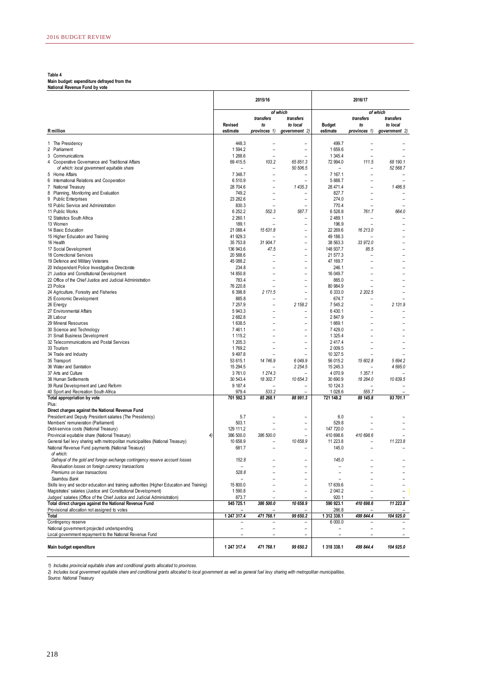**Table 4 Main budget: expenditure defrayed from the National Revenue Fund by vote**

|                                                                                                                                                             |                            | 2015/16                  |                                   | 2016/17                   |                    |                                   |
|-------------------------------------------------------------------------------------------------------------------------------------------------------------|----------------------------|--------------------------|-----------------------------------|---------------------------|--------------------|-----------------------------------|
|                                                                                                                                                             |                            |                          | of which                          |                           |                    | of which                          |
|                                                                                                                                                             |                            | transfers                | transfers                         |                           | transfers          | transfers                         |
| R million                                                                                                                                                   | <b>Revised</b><br>estimate | to<br>provinces 1)       | to local<br>government 2)         | <b>Budget</b><br>estimate | to<br>provinces 1) | to local<br>government 2)         |
|                                                                                                                                                             |                            |                          |                                   |                           |                    |                                   |
| 1 The Presidency                                                                                                                                            | 448.3                      |                          | $\overline{\phantom{0}}$          | 499.7                     | Ĭ.                 |                                   |
| 2 Parliament                                                                                                                                                | 1594.2                     |                          | $\overline{\phantom{a}}$          | 1659.6                    | Ē,                 |                                   |
| Communications<br>3                                                                                                                                         | 1 288.6                    | 103.2                    | 65 851.3                          | 1 3 4 5 . 4<br>72 994.0   | Ē,<br>111.5        | 68 190.1                          |
| 4 Cooperative Governance and Traditional Affairs<br>of which: local government equitable share                                                              | 69 415.5                   | ۳                        | 50 506.5                          |                           | ۳                  | 52 568.7                          |
| 5 Home Affairs                                                                                                                                              | 7 3 4 8.7                  | ۳                        | $\overline{\phantom{a}}$          | 7 167.1                   | Ē,                 |                                   |
| 6 International Relations and Cooperation                                                                                                                   | 6510.9                     |                          | $\overline{\phantom{a}}$          | 5 888.7                   | ÷,                 |                                   |
| 7 National Treasury                                                                                                                                         | 28 704.6                   | $\overline{\phantom{a}}$ | 1 435.3                           | 28 471.4                  | i.                 | 1486.5                            |
| 8 Planning, Monitoring and Evaluation                                                                                                                       | 749.2                      | $\overline{\phantom{a}}$ |                                   | 827.7                     | ۳                  |                                   |
| 9 Public Enterprises                                                                                                                                        | 23 282.6                   | ÷                        | $\overline{\phantom{a}}$          | 274.0                     | ÷                  | $\sim$                            |
| 10 Public Service and Administration<br>11 Public Works                                                                                                     | 830.3                      | $\overline{\phantom{a}}$ | $\overline{\phantom{a}}$          | 770.4                     | ٠                  | $\overline{\phantom{a}}$          |
| 12 Statistics South Africa                                                                                                                                  | 6 252.2<br>2 2 6 0.1       | 552.3<br>$\equiv$        | 587.7<br>$\overline{\phantom{0}}$ | 6528.8<br>2 489.1         | 761.7<br>۳         | 664.0<br>$\overline{\phantom{a}}$ |
| 13 Women                                                                                                                                                    | 189.1                      | ÷                        | ۳                                 | 196.9                     | ÷                  | $\sim$                            |
| 14 Basic Education                                                                                                                                          | 21 088.4                   | 15 631.8                 | ÷,                                | 22 269.6                  | 16 213.0           |                                   |
| 15 Higher Education and Training                                                                                                                            | 41 929.3                   |                          | ÷,                                | 49 188.3                  |                    |                                   |
| 16 Health                                                                                                                                                   | 35 753.8                   | 31 904.7                 | ÷,                                | 38 563.3                  | 33 972.0           |                                   |
| 17 Social Development                                                                                                                                       | 136 943.6                  | 47.5                     | $\overline{a}$                    | 148 937.7                 | 85.5               |                                   |
| 18 Correctional Services                                                                                                                                    | 20 588.6                   | ÷.                       | ÷,                                | 21 577.3                  | i.                 |                                   |
| 19 Defence and Military Veterans                                                                                                                            | 45 088.2<br>234.8          | ۳<br>÷                   | ÷,<br>۳                           | 47 169.7                  | ÷<br>i.            |                                   |
| 20 Independent Police Investigative Directorate<br>21 Justice and Constitutional Development                                                                | 14 850.8                   | ٠                        | ۳                                 | 246.1<br>16 049.7         | ÷                  |                                   |
| 22 Office of the Chief Justice and Judicial Administration                                                                                                  | 783.4                      | ٠                        | $\overline{\phantom{0}}$          | 865.0                     | ۳                  |                                   |
| 23 Police                                                                                                                                                   | 76 220.8                   | ÷                        | L.                                | 80 984.9                  | ÷                  |                                   |
| 24 Agriculture, Forestry and Fisheries                                                                                                                      | 6 3 9 8.8                  | 2 171.5                  | ۳                                 | 6 3 3 3.0                 | 2 202.5            |                                   |
| 25 Economic Development                                                                                                                                     | 885.8                      |                          |                                   | 674.7                     |                    |                                   |
| 26 Energy                                                                                                                                                   | 7 257.9                    | ÷                        | 2 158.2                           | 7 545.2                   | i.                 | 2 131.9                           |
| 27 Environmental Affairs                                                                                                                                    | 5 943.3                    | L.                       |                                   | 6 4 3 0.1                 | ۰                  |                                   |
| 28 Labour                                                                                                                                                   | 2682.8                     | L.<br>L.                 | $\overline{\phantom{a}}$          | 2847.9                    | ۰<br>۰             | ٠                                 |
| 29 Mineral Resources<br>30 Science and Technology                                                                                                           | 1 638.5<br>7461.1          | ٠                        | ۳<br>÷.                           | 1669.1<br>7 4 29.0        | ÷                  | ٠                                 |
| 31 Small Business Development                                                                                                                               | 1 1 1 5.2                  | ۷                        | ۳                                 | 1 3 2 5.4                 | ä,                 | ٠                                 |
| 32 Telecommunications and Postal Services                                                                                                                   | 1 205.3                    | ÷                        | ۳                                 | 2417.4                    | ÷                  | $\overline{\phantom{a}}$          |
| 33 Tourism                                                                                                                                                  | 1769.2                     | ٠                        | ۳                                 | 2 009.5                   | ÷                  |                                   |
| 34 Trade and Industry                                                                                                                                       | 9 4 9 7.8                  | ÷.                       | ÷.                                | 10 327.5                  | ÷,                 |                                   |
| 35 Transport                                                                                                                                                | 53 615.1                   | 14 746.9                 | 6 0 4 9.9                         | 56 015.2                  | 15 602.8           | 5 694.2                           |
| 36 Water and Sanitation                                                                                                                                     | 15 294.5                   |                          | 2 2 5 4.5                         | 15 245.3                  |                    | 4 695.0                           |
| 37 Arts and Culture                                                                                                                                         | 3761.0                     | 1 274.3                  |                                   | 4 0 7 0.9                 | 1 3 5 7 . 1        |                                   |
| 38 Human Settlements<br>39 Rural Development and Land Reform                                                                                                | 30 543.4<br>9 187.4        | 18 302.7                 | 10 654.3                          | 30 690.9<br>10 124.3      | 18 284.0           | 10 839.5                          |
| 40 Sport and Recreation South Africa                                                                                                                        | 979.4                      | 533.2                    |                                   | 1 0 28.6                  | 555.7              |                                   |
| Total appropriation by vote                                                                                                                                 | 701 592.3                  | 85 268.1                 | 88 991.3                          | 721 148.2                 | 89 145.8           | 93 701.1                          |
| Plus:                                                                                                                                                       |                            |                          |                                   |                           |                    |                                   |
| Direct charges against the National Revenue Fund                                                                                                            |                            |                          |                                   |                           |                    |                                   |
| President and Deputy President salaries (The Presidency)                                                                                                    | 5.7                        |                          |                                   | 6.0                       |                    |                                   |
| Members' remuneration (Parliament)                                                                                                                          | 503.1<br>129 111.2         | ÷,                       | -<br>-                            | 529.8<br>147 720.0        |                    |                                   |
| Debt-service costs (National Treasury)<br>Provincial equitable share (National Treasury)<br>4)                                                              | 386 500.0                  | 386 500.0                |                                   | 410 698.6                 | 410 698.6          |                                   |
| General fuel levy sharing with metropolitan municipalities (National Treasury)                                                                              | 10 658.9                   |                          | 10 658.9                          | 11 223.8                  |                    | 11 223.8                          |
| National Revenue Fund payments (National Treasury)                                                                                                          | 681.7                      |                          |                                   | 145.0                     |                    |                                   |
| of which:                                                                                                                                                   |                            |                          |                                   |                           |                    |                                   |
| Defrayal of the gold and foreign exchange contingency reserve account losses                                                                                | 152.8                      |                          |                                   | 145.0                     |                    |                                   |
| Revaluation losses on foreign currency transactions                                                                                                         | $\overline{\phantom{a}}$   |                          | $\overline{\phantom{0}}$          | $\overline{\phantom{a}}$  |                    |                                   |
| Premiums on loan transactions                                                                                                                               | 528.8                      |                          |                                   |                           |                    |                                   |
| Saambou Bank                                                                                                                                                |                            |                          |                                   |                           |                    |                                   |
| Skills levy and sector education and training authorities (Higher Education and Training)<br>Magistrates' salaries (Justice and Constitutional Development) | 15 800.0<br>1590.8         |                          | -<br>$\overline{\phantom{0}}$     | 17 639.6<br>2 040.2       |                    |                                   |
| Judges' salaries (Office of the Chief Justice and Judicial Administration)                                                                                  | 873.7                      |                          |                                   | 920.1                     |                    |                                   |
| Total direct charges against the National Revenue Fund                                                                                                      | 545 725.1                  | 386 500.0                | 10 658.9                          | 590 923.1                 | 410 698.6          | 11 223.8                          |
| Provisional allocation not assigned to votes                                                                                                                |                            |                          |                                   | 266.8                     |                    |                                   |
| Total                                                                                                                                                       | 1 247 317.4                | 471 768.1                | 99 650.2                          | 1 312 338.1               | 499 844.4          | 104 925.0                         |
| Contingency reserve                                                                                                                                         |                            |                          |                                   | 6 000.0                   |                    |                                   |
| National government projected underspending                                                                                                                 | ۳                          |                          | -                                 |                           | ۳                  |                                   |
| Local government repayment to the National Revenue Fund                                                                                                     |                            |                          |                                   | $\overline{\phantom{a}}$  |                    |                                   |
| Main budget expenditure                                                                                                                                     | 1 247 317.4                | 471 768.1                | 99 650.2                          | 1 318 338.1               | 499 844.4          | 104 925.0                         |

1) Includes provincial equitable share and conditional grants allocated to provinces.<br>2) Includes local government equitable share and conditional grants allocated to local government as well as general fuel levy sharing w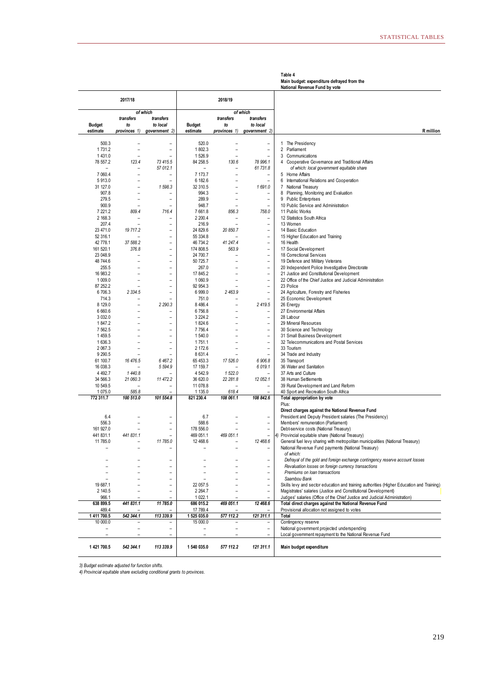| of which<br>transfers<br>transfers<br><b>Budget</b><br>to<br>to local<br>estimate<br>government 2)<br><b>R</b> million<br>provinces 1)<br>520.0<br>1 The Presidency<br>$\overline{\phantom{m}}$<br>۰<br>1802.3<br>2 Parliament<br>$\bar{ }$<br>÷<br>1526.9<br>3 Communications<br>÷<br>÷<br>84 258.5<br>130.6<br>78 996.1<br>4 Cooperative Governance and Traditional Affairs<br>61 731.8<br>of which: local government equitable share<br>$\equiv$<br>$\equiv$<br>7 173.7<br>5 Home Affairs<br>$\overline{\phantom{0}}$<br>$\overline{\phantom{a}}$<br>6 International Relations and Cooperation<br>6 182.6<br>÷<br>$\overline{\phantom{0}}$<br>32 310.5<br>1691.0<br>National Treasury<br>7<br>994.3<br>8 Planning, Monitoring and Evaluation<br>۳<br>$\overline{\phantom{a}}$<br>289.9<br>÷,<br>9 Public Enterprises<br>L.<br>948.7<br>10 Public Service and Administration<br>$\overline{\phantom{a}}$<br>۰<br>7661.8<br>856.3<br>758.0<br>11 Public Works<br>2 200.4<br>12 Statistics South Africa<br>۳<br>$\overline{\phantom{a}}$<br>13 Women<br>216.9<br>÷,<br>24 829.6<br>20 850.7<br>$\bar{ }$<br>14 Basic Education<br>55 334.8<br>15 Higher Education and Training<br>$\overline{\phantom{m}}$<br>41 247.4<br>16 Health<br>46 734.2<br>$\bar{ }$<br>174 808.5<br>563.9<br>$\overline{\phantom{a}}$<br>17 Social Development<br>24 700.7<br>18 Correctional Services<br>$\qquad \qquad -$<br>٠<br>50 725.7<br>19 Defence and Military Veterans<br>$\qquad \qquad -$<br>267.0<br>20 Independent Police Investigative Directorate<br>$\overline{\phantom{a}}$<br>21 Justice and Constitutional Development<br>17 845.2<br>$\bar{ }$<br>1 0 6 0.9<br>22 Office of the Chief Justice and Judicial Administration<br>$\sim$<br>92 954.3<br>23 Police<br>$\bar{a}$<br>6 9 9 9.0<br>2 463.9<br>24 Agriculture, Forestry and Fisheries<br>$\overline{\phantom{a}}$<br>25 Economic Development<br>751.0<br>8 4 8 6.4<br>2419.5<br>26 Energy<br>27 Environmental Affairs<br>6756.8<br>۳<br>3 2 2 4 .2<br>28 Labour<br>$\overline{a}$<br>29 Mineral Resources<br>1824.6<br>$\overline{a}$<br>7 7 5 6.4<br>30 Science and Technology<br>$\overline{\phantom{a}}$<br>31 Small Business Development<br>1 540.0<br>$\overline{\phantom{a}}$<br>1751.1<br>$\overline{\phantom{a}}$<br>32 Telecommunications and Postal Services<br>33 Tourism<br>2 172.6<br>$\overline{\phantom{a}}$<br>34 Trade and Industry<br>8631.4<br>65 453.3<br>17 526.0<br>6 906.8<br>35 Transport<br>17 159.7<br>6 019.1<br>36 Water and Sanitation<br>4 5 4 2.9<br>1 522.0<br>37 Arts and Culture<br>$\overline{\phantom{a}}$<br>36 620.0<br>22 281.8<br>12 052.1<br>38 Human Settlements<br>11 078.8<br>39 Rural Development and Land Reform<br>L, |                                      |       |         | of which<br>transfers<br>to local<br>government 2)<br>$\overline{a}$<br>$\overline{a}$<br>÷<br>73 415.5<br>57 012.1<br>$\overline{a}$<br>÷<br>1 598.3<br>$\overline{a}$<br>$\overline{a}$<br>L<br>716.4<br>÷,<br>÷,<br>÷, | transfers<br>to<br>provinces 1)<br>÷.<br>÷<br>٠<br>123.4<br>$\equiv$<br>L.<br>$\overline{\phantom{a}}$<br>۳<br>۳<br>$\overline{\phantom{a}}$<br>809.4<br>$\overline{\phantom{a}}$<br>19 717.2 | <b>Budget</b><br>estimate<br>500.3<br>1731.2<br>1 4 3 1 . 0<br>78 557.2<br>$\equiv$<br>7 060.4<br>5913.0<br>31 127.0<br>907.8<br>279.5<br>900.9<br>7 221.2<br>2 168.3<br>207.4 |
|--------------------------------------------------------------------------------------------------------------------------------------------------------------------------------------------------------------------------------------------------------------------------------------------------------------------------------------------------------------------------------------------------------------------------------------------------------------------------------------------------------------------------------------------------------------------------------------------------------------------------------------------------------------------------------------------------------------------------------------------------------------------------------------------------------------------------------------------------------------------------------------------------------------------------------------------------------------------------------------------------------------------------------------------------------------------------------------------------------------------------------------------------------------------------------------------------------------------------------------------------------------------------------------------------------------------------------------------------------------------------------------------------------------------------------------------------------------------------------------------------------------------------------------------------------------------------------------------------------------------------------------------------------------------------------------------------------------------------------------------------------------------------------------------------------------------------------------------------------------------------------------------------------------------------------------------------------------------------------------------------------------------------------------------------------------------------------------------------------------------------------------------------------------------------------------------------------------------------------------------------------------------------------------------------------------------------------------------------------------------------------------------------------------------------------------------------------------------------------------------------------------------------------------------------------------------------------------------------------------------------------------------------------------------------------------------------------------------------|--------------------------------------|-------|---------|---------------------------------------------------------------------------------------------------------------------------------------------------------------------------------------------------------------------------|-----------------------------------------------------------------------------------------------------------------------------------------------------------------------------------------------|--------------------------------------------------------------------------------------------------------------------------------------------------------------------------------|
|                                                                                                                                                                                                                                                                                                                                                                                                                                                                                                                                                                                                                                                                                                                                                                                                                                                                                                                                                                                                                                                                                                                                                                                                                                                                                                                                                                                                                                                                                                                                                                                                                                                                                                                                                                                                                                                                                                                                                                                                                                                                                                                                                                                                                                                                                                                                                                                                                                                                                                                                                                                                                                                                                                                          |                                      |       |         |                                                                                                                                                                                                                           |                                                                                                                                                                                               |                                                                                                                                                                                |
|                                                                                                                                                                                                                                                                                                                                                                                                                                                                                                                                                                                                                                                                                                                                                                                                                                                                                                                                                                                                                                                                                                                                                                                                                                                                                                                                                                                                                                                                                                                                                                                                                                                                                                                                                                                                                                                                                                                                                                                                                                                                                                                                                                                                                                                                                                                                                                                                                                                                                                                                                                                                                                                                                                                          |                                      |       |         |                                                                                                                                                                                                                           |                                                                                                                                                                                               |                                                                                                                                                                                |
|                                                                                                                                                                                                                                                                                                                                                                                                                                                                                                                                                                                                                                                                                                                                                                                                                                                                                                                                                                                                                                                                                                                                                                                                                                                                                                                                                                                                                                                                                                                                                                                                                                                                                                                                                                                                                                                                                                                                                                                                                                                                                                                                                                                                                                                                                                                                                                                                                                                                                                                                                                                                                                                                                                                          |                                      |       |         |                                                                                                                                                                                                                           |                                                                                                                                                                                               |                                                                                                                                                                                |
|                                                                                                                                                                                                                                                                                                                                                                                                                                                                                                                                                                                                                                                                                                                                                                                                                                                                                                                                                                                                                                                                                                                                                                                                                                                                                                                                                                                                                                                                                                                                                                                                                                                                                                                                                                                                                                                                                                                                                                                                                                                                                                                                                                                                                                                                                                                                                                                                                                                                                                                                                                                                                                                                                                                          |                                      |       |         |                                                                                                                                                                                                                           |                                                                                                                                                                                               |                                                                                                                                                                                |
|                                                                                                                                                                                                                                                                                                                                                                                                                                                                                                                                                                                                                                                                                                                                                                                                                                                                                                                                                                                                                                                                                                                                                                                                                                                                                                                                                                                                                                                                                                                                                                                                                                                                                                                                                                                                                                                                                                                                                                                                                                                                                                                                                                                                                                                                                                                                                                                                                                                                                                                                                                                                                                                                                                                          |                                      |       |         |                                                                                                                                                                                                                           |                                                                                                                                                                                               |                                                                                                                                                                                |
|                                                                                                                                                                                                                                                                                                                                                                                                                                                                                                                                                                                                                                                                                                                                                                                                                                                                                                                                                                                                                                                                                                                                                                                                                                                                                                                                                                                                                                                                                                                                                                                                                                                                                                                                                                                                                                                                                                                                                                                                                                                                                                                                                                                                                                                                                                                                                                                                                                                                                                                                                                                                                                                                                                                          |                                      |       |         |                                                                                                                                                                                                                           |                                                                                                                                                                                               |                                                                                                                                                                                |
|                                                                                                                                                                                                                                                                                                                                                                                                                                                                                                                                                                                                                                                                                                                                                                                                                                                                                                                                                                                                                                                                                                                                                                                                                                                                                                                                                                                                                                                                                                                                                                                                                                                                                                                                                                                                                                                                                                                                                                                                                                                                                                                                                                                                                                                                                                                                                                                                                                                                                                                                                                                                                                                                                                                          |                                      |       |         |                                                                                                                                                                                                                           |                                                                                                                                                                                               |                                                                                                                                                                                |
|                                                                                                                                                                                                                                                                                                                                                                                                                                                                                                                                                                                                                                                                                                                                                                                                                                                                                                                                                                                                                                                                                                                                                                                                                                                                                                                                                                                                                                                                                                                                                                                                                                                                                                                                                                                                                                                                                                                                                                                                                                                                                                                                                                                                                                                                                                                                                                                                                                                                                                                                                                                                                                                                                                                          |                                      |       |         |                                                                                                                                                                                                                           |                                                                                                                                                                                               |                                                                                                                                                                                |
|                                                                                                                                                                                                                                                                                                                                                                                                                                                                                                                                                                                                                                                                                                                                                                                                                                                                                                                                                                                                                                                                                                                                                                                                                                                                                                                                                                                                                                                                                                                                                                                                                                                                                                                                                                                                                                                                                                                                                                                                                                                                                                                                                                                                                                                                                                                                                                                                                                                                                                                                                                                                                                                                                                                          |                                      |       |         |                                                                                                                                                                                                                           |                                                                                                                                                                                               |                                                                                                                                                                                |
|                                                                                                                                                                                                                                                                                                                                                                                                                                                                                                                                                                                                                                                                                                                                                                                                                                                                                                                                                                                                                                                                                                                                                                                                                                                                                                                                                                                                                                                                                                                                                                                                                                                                                                                                                                                                                                                                                                                                                                                                                                                                                                                                                                                                                                                                                                                                                                                                                                                                                                                                                                                                                                                                                                                          |                                      |       |         |                                                                                                                                                                                                                           |                                                                                                                                                                                               |                                                                                                                                                                                |
|                                                                                                                                                                                                                                                                                                                                                                                                                                                                                                                                                                                                                                                                                                                                                                                                                                                                                                                                                                                                                                                                                                                                                                                                                                                                                                                                                                                                                                                                                                                                                                                                                                                                                                                                                                                                                                                                                                                                                                                                                                                                                                                                                                                                                                                                                                                                                                                                                                                                                                                                                                                                                                                                                                                          |                                      |       |         |                                                                                                                                                                                                                           |                                                                                                                                                                                               |                                                                                                                                                                                |
|                                                                                                                                                                                                                                                                                                                                                                                                                                                                                                                                                                                                                                                                                                                                                                                                                                                                                                                                                                                                                                                                                                                                                                                                                                                                                                                                                                                                                                                                                                                                                                                                                                                                                                                                                                                                                                                                                                                                                                                                                                                                                                                                                                                                                                                                                                                                                                                                                                                                                                                                                                                                                                                                                                                          |                                      |       |         |                                                                                                                                                                                                                           |                                                                                                                                                                                               |                                                                                                                                                                                |
|                                                                                                                                                                                                                                                                                                                                                                                                                                                                                                                                                                                                                                                                                                                                                                                                                                                                                                                                                                                                                                                                                                                                                                                                                                                                                                                                                                                                                                                                                                                                                                                                                                                                                                                                                                                                                                                                                                                                                                                                                                                                                                                                                                                                                                                                                                                                                                                                                                                                                                                                                                                                                                                                                                                          |                                      |       |         |                                                                                                                                                                                                                           |                                                                                                                                                                                               |                                                                                                                                                                                |
|                                                                                                                                                                                                                                                                                                                                                                                                                                                                                                                                                                                                                                                                                                                                                                                                                                                                                                                                                                                                                                                                                                                                                                                                                                                                                                                                                                                                                                                                                                                                                                                                                                                                                                                                                                                                                                                                                                                                                                                                                                                                                                                                                                                                                                                                                                                                                                                                                                                                                                                                                                                                                                                                                                                          |                                      |       |         |                                                                                                                                                                                                                           |                                                                                                                                                                                               | 23 471.0                                                                                                                                                                       |
|                                                                                                                                                                                                                                                                                                                                                                                                                                                                                                                                                                                                                                                                                                                                                                                                                                                                                                                                                                                                                                                                                                                                                                                                                                                                                                                                                                                                                                                                                                                                                                                                                                                                                                                                                                                                                                                                                                                                                                                                                                                                                                                                                                                                                                                                                                                                                                                                                                                                                                                                                                                                                                                                                                                          |                                      |       |         |                                                                                                                                                                                                                           |                                                                                                                                                                                               | 52 316.1                                                                                                                                                                       |
|                                                                                                                                                                                                                                                                                                                                                                                                                                                                                                                                                                                                                                                                                                                                                                                                                                                                                                                                                                                                                                                                                                                                                                                                                                                                                                                                                                                                                                                                                                                                                                                                                                                                                                                                                                                                                                                                                                                                                                                                                                                                                                                                                                                                                                                                                                                                                                                                                                                                                                                                                                                                                                                                                                                          |                                      |       |         | ÷,<br>$\bar{ }$                                                                                                                                                                                                           | 37 588.2<br>376.8                                                                                                                                                                             | 42 778.1<br>161 520.1                                                                                                                                                          |
|                                                                                                                                                                                                                                                                                                                                                                                                                                                                                                                                                                                                                                                                                                                                                                                                                                                                                                                                                                                                                                                                                                                                                                                                                                                                                                                                                                                                                                                                                                                                                                                                                                                                                                                                                                                                                                                                                                                                                                                                                                                                                                                                                                                                                                                                                                                                                                                                                                                                                                                                                                                                                                                                                                                          |                                      |       |         | ÷,                                                                                                                                                                                                                        | $\overline{\phantom{a}}$                                                                                                                                                                      | 23 048.9                                                                                                                                                                       |
|                                                                                                                                                                                                                                                                                                                                                                                                                                                                                                                                                                                                                                                                                                                                                                                                                                                                                                                                                                                                                                                                                                                                                                                                                                                                                                                                                                                                                                                                                                                                                                                                                                                                                                                                                                                                                                                                                                                                                                                                                                                                                                                                                                                                                                                                                                                                                                                                                                                                                                                                                                                                                                                                                                                          |                                      |       |         | $\overline{\phantom{0}}$                                                                                                                                                                                                  |                                                                                                                                                                                               | 48 744.6                                                                                                                                                                       |
|                                                                                                                                                                                                                                                                                                                                                                                                                                                                                                                                                                                                                                                                                                                                                                                                                                                                                                                                                                                                                                                                                                                                                                                                                                                                                                                                                                                                                                                                                                                                                                                                                                                                                                                                                                                                                                                                                                                                                                                                                                                                                                                                                                                                                                                                                                                                                                                                                                                                                                                                                                                                                                                                                                                          |                                      |       |         | ÷,<br>÷,                                                                                                                                                                                                                  |                                                                                                                                                                                               | 255.5<br>16 983.2                                                                                                                                                              |
|                                                                                                                                                                                                                                                                                                                                                                                                                                                                                                                                                                                                                                                                                                                                                                                                                                                                                                                                                                                                                                                                                                                                                                                                                                                                                                                                                                                                                                                                                                                                                                                                                                                                                                                                                                                                                                                                                                                                                                                                                                                                                                                                                                                                                                                                                                                                                                                                                                                                                                                                                                                                                                                                                                                          |                                      |       |         | ÷,                                                                                                                                                                                                                        |                                                                                                                                                                                               | 1 009.0                                                                                                                                                                        |
|                                                                                                                                                                                                                                                                                                                                                                                                                                                                                                                                                                                                                                                                                                                                                                                                                                                                                                                                                                                                                                                                                                                                                                                                                                                                                                                                                                                                                                                                                                                                                                                                                                                                                                                                                                                                                                                                                                                                                                                                                                                                                                                                                                                                                                                                                                                                                                                                                                                                                                                                                                                                                                                                                                                          |                                      |       |         | $\overline{\phantom{m}}$                                                                                                                                                                                                  |                                                                                                                                                                                               | 87 252.2                                                                                                                                                                       |
|                                                                                                                                                                                                                                                                                                                                                                                                                                                                                                                                                                                                                                                                                                                                                                                                                                                                                                                                                                                                                                                                                                                                                                                                                                                                                                                                                                                                                                                                                                                                                                                                                                                                                                                                                                                                                                                                                                                                                                                                                                                                                                                                                                                                                                                                                                                                                                                                                                                                                                                                                                                                                                                                                                                          |                                      |       |         | ÷,                                                                                                                                                                                                                        | 2 3 3 4 5                                                                                                                                                                                     | 6706.3<br>714.3                                                                                                                                                                |
|                                                                                                                                                                                                                                                                                                                                                                                                                                                                                                                                                                                                                                                                                                                                                                                                                                                                                                                                                                                                                                                                                                                                                                                                                                                                                                                                                                                                                                                                                                                                                                                                                                                                                                                                                                                                                                                                                                                                                                                                                                                                                                                                                                                                                                                                                                                                                                                                                                                                                                                                                                                                                                                                                                                          |                                      |       |         | 2 2 9 0.3                                                                                                                                                                                                                 |                                                                                                                                                                                               | 8 129.0                                                                                                                                                                        |
|                                                                                                                                                                                                                                                                                                                                                                                                                                                                                                                                                                                                                                                                                                                                                                                                                                                                                                                                                                                                                                                                                                                                                                                                                                                                                                                                                                                                                                                                                                                                                                                                                                                                                                                                                                                                                                                                                                                                                                                                                                                                                                                                                                                                                                                                                                                                                                                                                                                                                                                                                                                                                                                                                                                          |                                      |       |         | ۳                                                                                                                                                                                                                         |                                                                                                                                                                                               | 6 6 6 0 . 6                                                                                                                                                                    |
|                                                                                                                                                                                                                                                                                                                                                                                                                                                                                                                                                                                                                                                                                                                                                                                                                                                                                                                                                                                                                                                                                                                                                                                                                                                                                                                                                                                                                                                                                                                                                                                                                                                                                                                                                                                                                                                                                                                                                                                                                                                                                                                                                                                                                                                                                                                                                                                                                                                                                                                                                                                                                                                                                                                          |                                      |       |         | ÷,<br>L,                                                                                                                                                                                                                  |                                                                                                                                                                                               | 3 0 3 2.0<br>1847.2                                                                                                                                                            |
|                                                                                                                                                                                                                                                                                                                                                                                                                                                                                                                                                                                                                                                                                                                                                                                                                                                                                                                                                                                                                                                                                                                                                                                                                                                                                                                                                                                                                                                                                                                                                                                                                                                                                                                                                                                                                                                                                                                                                                                                                                                                                                                                                                                                                                                                                                                                                                                                                                                                                                                                                                                                                                                                                                                          |                                      |       |         | L,                                                                                                                                                                                                                        |                                                                                                                                                                                               | 7 5 6 2.5                                                                                                                                                                      |
|                                                                                                                                                                                                                                                                                                                                                                                                                                                                                                                                                                                                                                                                                                                                                                                                                                                                                                                                                                                                                                                                                                                                                                                                                                                                                                                                                                                                                                                                                                                                                                                                                                                                                                                                                                                                                                                                                                                                                                                                                                                                                                                                                                                                                                                                                                                                                                                                                                                                                                                                                                                                                                                                                                                          |                                      |       |         | ÷,                                                                                                                                                                                                                        |                                                                                                                                                                                               | 1459.5                                                                                                                                                                         |
|                                                                                                                                                                                                                                                                                                                                                                                                                                                                                                                                                                                                                                                                                                                                                                                                                                                                                                                                                                                                                                                                                                                                                                                                                                                                                                                                                                                                                                                                                                                                                                                                                                                                                                                                                                                                                                                                                                                                                                                                                                                                                                                                                                                                                                                                                                                                                                                                                                                                                                                                                                                                                                                                                                                          |                                      |       |         | ÷,<br>÷,                                                                                                                                                                                                                  |                                                                                                                                                                                               | 1636.3<br>2 067.3                                                                                                                                                              |
|                                                                                                                                                                                                                                                                                                                                                                                                                                                                                                                                                                                                                                                                                                                                                                                                                                                                                                                                                                                                                                                                                                                                                                                                                                                                                                                                                                                                                                                                                                                                                                                                                                                                                                                                                                                                                                                                                                                                                                                                                                                                                                                                                                                                                                                                                                                                                                                                                                                                                                                                                                                                                                                                                                                          |                                      |       |         |                                                                                                                                                                                                                           |                                                                                                                                                                                               | 9 2 9 0.5                                                                                                                                                                      |
|                                                                                                                                                                                                                                                                                                                                                                                                                                                                                                                                                                                                                                                                                                                                                                                                                                                                                                                                                                                                                                                                                                                                                                                                                                                                                                                                                                                                                                                                                                                                                                                                                                                                                                                                                                                                                                                                                                                                                                                                                                                                                                                                                                                                                                                                                                                                                                                                                                                                                                                                                                                                                                                                                                                          |                                      |       |         | 6 467.2                                                                                                                                                                                                                   | 16 476.5                                                                                                                                                                                      | 61 100.7                                                                                                                                                                       |
|                                                                                                                                                                                                                                                                                                                                                                                                                                                                                                                                                                                                                                                                                                                                                                                                                                                                                                                                                                                                                                                                                                                                                                                                                                                                                                                                                                                                                                                                                                                                                                                                                                                                                                                                                                                                                                                                                                                                                                                                                                                                                                                                                                                                                                                                                                                                                                                                                                                                                                                                                                                                                                                                                                                          |                                      |       |         | 5 5 9 4.9                                                                                                                                                                                                                 | 1440.8                                                                                                                                                                                        | 16 038.3<br>4 4 9 2.7                                                                                                                                                          |
|                                                                                                                                                                                                                                                                                                                                                                                                                                                                                                                                                                                                                                                                                                                                                                                                                                                                                                                                                                                                                                                                                                                                                                                                                                                                                                                                                                                                                                                                                                                                                                                                                                                                                                                                                                                                                                                                                                                                                                                                                                                                                                                                                                                                                                                                                                                                                                                                                                                                                                                                                                                                                                                                                                                          |                                      |       |         | 11 472.2                                                                                                                                                                                                                  | 21 060.3                                                                                                                                                                                      | 34 566.3                                                                                                                                                                       |
|                                                                                                                                                                                                                                                                                                                                                                                                                                                                                                                                                                                                                                                                                                                                                                                                                                                                                                                                                                                                                                                                                                                                                                                                                                                                                                                                                                                                                                                                                                                                                                                                                                                                                                                                                                                                                                                                                                                                                                                                                                                                                                                                                                                                                                                                                                                                                                                                                                                                                                                                                                                                                                                                                                                          |                                      |       |         | ۳                                                                                                                                                                                                                         |                                                                                                                                                                                               | 10 549.5                                                                                                                                                                       |
| 821 230.4<br>108 061.1<br>108 842.6<br>Total appropriation by vote                                                                                                                                                                                                                                                                                                                                                                                                                                                                                                                                                                                                                                                                                                                                                                                                                                                                                                                                                                                                                                                                                                                                                                                                                                                                                                                                                                                                                                                                                                                                                                                                                                                                                                                                                                                                                                                                                                                                                                                                                                                                                                                                                                                                                                                                                                                                                                                                                                                                                                                                                                                                                                                       | 40 Sport and Recreation South Africa | 618.4 | 1 135.0 | 101 554.8                                                                                                                                                                                                                 | 585.8<br>100 513.0                                                                                                                                                                            | 1 075.0<br>772 311.7                                                                                                                                                           |
| Plus:                                                                                                                                                                                                                                                                                                                                                                                                                                                                                                                                                                                                                                                                                                                                                                                                                                                                                                                                                                                                                                                                                                                                                                                                                                                                                                                                                                                                                                                                                                                                                                                                                                                                                                                                                                                                                                                                                                                                                                                                                                                                                                                                                                                                                                                                                                                                                                                                                                                                                                                                                                                                                                                                                                                    |                                      |       |         |                                                                                                                                                                                                                           |                                                                                                                                                                                               |                                                                                                                                                                                |
| Direct charges against the National Revenue Fund<br>President and Deputy President salaries (The Presidency)<br>6.7<br>$\overline{\phantom{a}}$                                                                                                                                                                                                                                                                                                                                                                                                                                                                                                                                                                                                                                                                                                                                                                                                                                                                                                                                                                                                                                                                                                                                                                                                                                                                                                                                                                                                                                                                                                                                                                                                                                                                                                                                                                                                                                                                                                                                                                                                                                                                                                                                                                                                                                                                                                                                                                                                                                                                                                                                                                          |                                      |       |         | ۰                                                                                                                                                                                                                         |                                                                                                                                                                                               | 6.4                                                                                                                                                                            |
| 588.6<br>Members' remuneration (Parliament)<br>$\overline{\phantom{a}}$                                                                                                                                                                                                                                                                                                                                                                                                                                                                                                                                                                                                                                                                                                                                                                                                                                                                                                                                                                                                                                                                                                                                                                                                                                                                                                                                                                                                                                                                                                                                                                                                                                                                                                                                                                                                                                                                                                                                                                                                                                                                                                                                                                                                                                                                                                                                                                                                                                                                                                                                                                                                                                                  |                                      |       |         | $\overline{\phantom{a}}$                                                                                                                                                                                                  |                                                                                                                                                                                               | 556.3                                                                                                                                                                          |
| 178 556.0<br>Debt-service costs (National Treasury)<br>$\overline{\phantom{a}}$                                                                                                                                                                                                                                                                                                                                                                                                                                                                                                                                                                                                                                                                                                                                                                                                                                                                                                                                                                                                                                                                                                                                                                                                                                                                                                                                                                                                                                                                                                                                                                                                                                                                                                                                                                                                                                                                                                                                                                                                                                                                                                                                                                                                                                                                                                                                                                                                                                                                                                                                                                                                                                          |                                      |       |         | L.                                                                                                                                                                                                                        |                                                                                                                                                                                               | 161 927.0                                                                                                                                                                      |
| 469 051.1<br>469 051.1<br>4) Provincial equitable share (National Treasury)<br>$\overline{\phantom{a}}$<br>12 468.6<br>12 468.6<br>General fuel levy sharing with metropolitan municipalities (National Treasury)                                                                                                                                                                                                                                                                                                                                                                                                                                                                                                                                                                                                                                                                                                                                                                                                                                                                                                                                                                                                                                                                                                                                                                                                                                                                                                                                                                                                                                                                                                                                                                                                                                                                                                                                                                                                                                                                                                                                                                                                                                                                                                                                                                                                                                                                                                                                                                                                                                                                                                        |                                      |       |         | $\overline{\phantom{a}}$<br>11 785.0                                                                                                                                                                                      | 441 831.1                                                                                                                                                                                     | 441 831.1<br>11 785.0                                                                                                                                                          |
| National Revenue Fund payments (National Treasury)                                                                                                                                                                                                                                                                                                                                                                                                                                                                                                                                                                                                                                                                                                                                                                                                                                                                                                                                                                                                                                                                                                                                                                                                                                                                                                                                                                                                                                                                                                                                                                                                                                                                                                                                                                                                                                                                                                                                                                                                                                                                                                                                                                                                                                                                                                                                                                                                                                                                                                                                                                                                                                                                       |                                      |       |         |                                                                                                                                                                                                                           |                                                                                                                                                                                               |                                                                                                                                                                                |
| of which:                                                                                                                                                                                                                                                                                                                                                                                                                                                                                                                                                                                                                                                                                                                                                                                                                                                                                                                                                                                                                                                                                                                                                                                                                                                                                                                                                                                                                                                                                                                                                                                                                                                                                                                                                                                                                                                                                                                                                                                                                                                                                                                                                                                                                                                                                                                                                                                                                                                                                                                                                                                                                                                                                                                |                                      |       |         |                                                                                                                                                                                                                           |                                                                                                                                                                                               |                                                                                                                                                                                |
| Defrayal of the gold and foreign exchange contingency reserve account losses<br>Revaluation losses on foreign currency transactions<br>$\qquad \qquad -$                                                                                                                                                                                                                                                                                                                                                                                                                                                                                                                                                                                                                                                                                                                                                                                                                                                                                                                                                                                                                                                                                                                                                                                                                                                                                                                                                                                                                                                                                                                                                                                                                                                                                                                                                                                                                                                                                                                                                                                                                                                                                                                                                                                                                                                                                                                                                                                                                                                                                                                                                                 |                                      |       |         | L.                                                                                                                                                                                                                        |                                                                                                                                                                                               |                                                                                                                                                                                |
| Premiums on loan transactions<br>$\overline{\phantom{m}}$                                                                                                                                                                                                                                                                                                                                                                                                                                                                                                                                                                                                                                                                                                                                                                                                                                                                                                                                                                                                                                                                                                                                                                                                                                                                                                                                                                                                                                                                                                                                                                                                                                                                                                                                                                                                                                                                                                                                                                                                                                                                                                                                                                                                                                                                                                                                                                                                                                                                                                                                                                                                                                                                |                                      |       |         | L.                                                                                                                                                                                                                        |                                                                                                                                                                                               |                                                                                                                                                                                |
| Saambou Bank<br>$\overline{\phantom{a}}$                                                                                                                                                                                                                                                                                                                                                                                                                                                                                                                                                                                                                                                                                                                                                                                                                                                                                                                                                                                                                                                                                                                                                                                                                                                                                                                                                                                                                                                                                                                                                                                                                                                                                                                                                                                                                                                                                                                                                                                                                                                                                                                                                                                                                                                                                                                                                                                                                                                                                                                                                                                                                                                                                 |                                      |       |         | L.                                                                                                                                                                                                                        |                                                                                                                                                                                               |                                                                                                                                                                                |
| 22 057.5<br>Skills levy and sector education and training authorities (Higher Education and Training)<br>$\overline{\phantom{a}}$<br>2 2 64.7<br>Magistrates' salaries (Justice and Constitutional Development)<br>$\overline{\phantom{m}}$                                                                                                                                                                                                                                                                                                                                                                                                                                                                                                                                                                                                                                                                                                                                                                                                                                                                                                                                                                                                                                                                                                                                                                                                                                                                                                                                                                                                                                                                                                                                                                                                                                                                                                                                                                                                                                                                                                                                                                                                                                                                                                                                                                                                                                                                                                                                                                                                                                                                              |                                      |       |         | L<br>÷                                                                                                                                                                                                                    |                                                                                                                                                                                               | 19 687.1<br>2 140.5                                                                                                                                                            |
| 1 0 2 2.1<br>Judges' salaries (Office of the Chief Justice and Judicial Administration)                                                                                                                                                                                                                                                                                                                                                                                                                                                                                                                                                                                                                                                                                                                                                                                                                                                                                                                                                                                                                                                                                                                                                                                                                                                                                                                                                                                                                                                                                                                                                                                                                                                                                                                                                                                                                                                                                                                                                                                                                                                                                                                                                                                                                                                                                                                                                                                                                                                                                                                                                                                                                                  |                                      |       |         |                                                                                                                                                                                                                           |                                                                                                                                                                                               | 966.1                                                                                                                                                                          |
| Total direct charges against the National Revenue Fund<br>686 015.2<br>469 051.1<br>12 468.6                                                                                                                                                                                                                                                                                                                                                                                                                                                                                                                                                                                                                                                                                                                                                                                                                                                                                                                                                                                                                                                                                                                                                                                                                                                                                                                                                                                                                                                                                                                                                                                                                                                                                                                                                                                                                                                                                                                                                                                                                                                                                                                                                                                                                                                                                                                                                                                                                                                                                                                                                                                                                             |                                      |       |         | 11 785.0                                                                                                                                                                                                                  | 441 831.1                                                                                                                                                                                     | 638 899.5                                                                                                                                                                      |
| 17 789.4<br>Provisional allocation not assigned to votes<br>1 525 035.0<br>577 112.2<br>121 311.1<br>Total                                                                                                                                                                                                                                                                                                                                                                                                                                                                                                                                                                                                                                                                                                                                                                                                                                                                                                                                                                                                                                                                                                                                                                                                                                                                                                                                                                                                                                                                                                                                                                                                                                                                                                                                                                                                                                                                                                                                                                                                                                                                                                                                                                                                                                                                                                                                                                                                                                                                                                                                                                                                               |                                      |       |         | 113 339.9                                                                                                                                                                                                                 | 542 344.1                                                                                                                                                                                     | 489.4<br>1 411 700.5                                                                                                                                                           |
| Contingency reserve<br>15 000.0                                                                                                                                                                                                                                                                                                                                                                                                                                                                                                                                                                                                                                                                                                                                                                                                                                                                                                                                                                                                                                                                                                                                                                                                                                                                                                                                                                                                                                                                                                                                                                                                                                                                                                                                                                                                                                                                                                                                                                                                                                                                                                                                                                                                                                                                                                                                                                                                                                                                                                                                                                                                                                                                                          |                                      |       |         |                                                                                                                                                                                                                           |                                                                                                                                                                                               | 10 000.0                                                                                                                                                                       |
| National government projected underspending<br>L,                                                                                                                                                                                                                                                                                                                                                                                                                                                                                                                                                                                                                                                                                                                                                                                                                                                                                                                                                                                                                                                                                                                                                                                                                                                                                                                                                                                                                                                                                                                                                                                                                                                                                                                                                                                                                                                                                                                                                                                                                                                                                                                                                                                                                                                                                                                                                                                                                                                                                                                                                                                                                                                                        |                                      |       |         | ÷                                                                                                                                                                                                                         | $\overline{\phantom{a}}$                                                                                                                                                                      |                                                                                                                                                                                |
| Local government repayment to the National Revenue Fund<br>÷.<br>L.                                                                                                                                                                                                                                                                                                                                                                                                                                                                                                                                                                                                                                                                                                                                                                                                                                                                                                                                                                                                                                                                                                                                                                                                                                                                                                                                                                                                                                                                                                                                                                                                                                                                                                                                                                                                                                                                                                                                                                                                                                                                                                                                                                                                                                                                                                                                                                                                                                                                                                                                                                                                                                                      |                                      |       |         | L.                                                                                                                                                                                                                        |                                                                                                                                                                                               |                                                                                                                                                                                |
| 1 540 035.0<br>577 112.2<br>121 311.1<br>Main budget expenditure                                                                                                                                                                                                                                                                                                                                                                                                                                                                                                                                                                                                                                                                                                                                                                                                                                                                                                                                                                                                                                                                                                                                                                                                                                                                                                                                                                                                                                                                                                                                                                                                                                                                                                                                                                                                                                                                                                                                                                                                                                                                                                                                                                                                                                                                                                                                                                                                                                                                                                                                                                                                                                                         |                                      |       |         | 113 339.9                                                                                                                                                                                                                 | 542 344.1                                                                                                                                                                                     | 1 421 700.5                                                                                                                                                                    |

**Main budget: expenditure defrayed from the**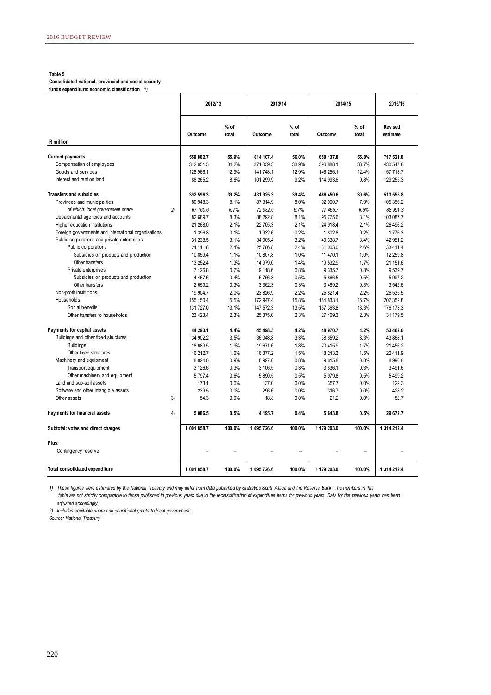## **Consolidated national, provincial and social security**

| funds expenditure: economic classification 1) |  |  |
|-----------------------------------------------|--|--|
|-----------------------------------------------|--|--|

|                                                     |    | 2012/13     |                          |             | 2013/14         | 2014/15     |                          | 2015/16                    |
|-----------------------------------------------------|----|-------------|--------------------------|-------------|-----------------|-------------|--------------------------|----------------------------|
| <b>R</b> million                                    |    | Outcome     | $%$ of<br>total          | Outcome     | $%$ of<br>total | Outcome     | $%$ of<br>total          | <b>Revised</b><br>estimate |
|                                                     |    |             |                          |             |                 |             |                          |                            |
| <b>Current payments</b>                             |    | 559 882.7   | 55.9%                    | 614 107.4   | 56.0%           | 658 137.8   | 55.8%                    | 717 521.8                  |
| Compensation of employees                           |    | 342 651.5   | 34.2%                    | 371 059.3   | 33.9%           | 396 888.1   | 33.7%                    | 430 547.8                  |
| Goods and services                                  |    | 128 966.1   | 12.9%                    | 141 748.1   | 12.9%           | 146 256.1   | 12.4%                    | 157 718.7                  |
| Interest and rent on land                           |    | 88 265.2    | 8.8%                     | 101 299.9   | 9.2%            | 114 993.6   | 9.8%                     | 129 255.3                  |
| <b>Transfers and subsidies</b>                      |    | 392 596.3   | 39.2%                    | 431 925.3   | 39.4%           | 466 450.6   | 39.6%                    | 513 555.8                  |
| Provinces and municipalities                        |    | 80 948.3    | 8.1%                     | 87 314.9    | 8.0%            | 92 960.7    | 7.9%                     | 105 356.2                  |
| of which: local government share                    | 2) | 67 160.6    | 6.7%                     | 72 982.0    | 6.7%            | 77 465.7    | 6.6%                     | 88 991.3                   |
| Departmental agencies and accounts                  |    | 82 689.7    | 8.3%                     | 88 292.8    | 8.1%            | 95 775.6    | 8.1%                     | 103 087.7                  |
| Higher education institutions                       |    | 21 268.0    | 2.1%                     | 22 705.3    | 2.1%            | 24 918.4    | 2.1%                     | 26 49 6.2                  |
| Foreign governments and international organisations |    | 1 396.8     | 0.1%                     | 1932.6      | 0.2%            | 1802.8      | 0.2%                     | 1776.3                     |
| Public corporations and private enterprises         |    | 31 238.5    | 3.1%                     | 34 905.4    | 3.2%            | 40 338.7    | 3.4%                     | 42 951.2                   |
| Public corporations                                 |    | 24 111.8    | 2.4%                     | 25 786.8    | 2.4%            | 31 003.0    | 2.6%                     | 33 411.4                   |
| Subsidies on products and production                |    | 10 859.4    | 1.1%                     | 10 807.8    | 1.0%            | 11 470.1    | 1.0%                     | 12 259.8                   |
| Other transfers                                     |    | 13 25 2.4   | 1.3%                     | 14 979.0    | 1.4%            | 19 532.9    | 1.7%                     | 21 151.6                   |
| Private enterprises                                 |    | 7 126.8     | 0.7%                     | 9 1 18.6    | 0.8%            | 9 3 3 5.7   | 0.8%                     | 9539.7                     |
| Subsidies on products and production                |    | 4 4 6 7 . 6 | 0.4%                     | 5756.3      | 0.5%            | 5 866.5     | 0.5%                     | 5 9 9 7.2                  |
| Other transfers                                     |    | 2659.2      | 0.3%                     | 3 3 6 2 . 3 | 0.3%            | 3 4 6 9.2   | 0.3%                     | 3542.6                     |
| Non-profit institutions                             |    |             |                          | 23 826.9    |                 |             |                          |                            |
|                                                     |    | 19 904.7    | 2.0%                     |             | 2.2%            | 25 821.4    | 2.2%                     | 26 535.5                   |
| Households                                          |    | 155 150.4   | 15.5%                    | 172 947.4   | 15.8%           | 184 833.1   | 15.7%                    | 207 352.8                  |
| Social benefits                                     |    | 131 727.0   | 13.1%                    | 147 572.3   | 13.5%           | 157 363.8   | 13.3%                    | 176 173.3                  |
| Other transfers to households                       |    | 23 4 23.4   | 2.3%                     | 25 375.0    | 2.3%            | 27 469.3    | 2.3%                     | 31 179.5                   |
| Payments for capital assets                         |    | 44 293.1    | 4.4%                     | 45 498.3    | 4.2%            | 48 970.7    | 4.2%                     | 53 462.0                   |
| Buildings and other fixed structures                |    | 34 902.2    | 3.5%                     | 36 048.8    | 3.3%            | 38 659.2    | 3.3%                     | 43 868.1                   |
| <b>Buildings</b>                                    |    | 18 689.5    | 1.9%                     | 19671.6     | 1.8%            | 20 415.9    | 1.7%                     | 21 456.2                   |
| Other fixed structures                              |    | 16 212.7    | 1.6%                     | 16 377.2    | 1.5%            | 18 243.3    | 1.5%                     | 22 411.9                   |
| Machinery and equipment                             |    | 8 9 24.0    | 0.9%                     | 8 9 9 7.0   | 0.8%            | 9615.8      | 0.8%                     | 8 9 9 0.8                  |
| Transport equipment                                 |    | 3 1 26.6    | 0.3%                     | 3 106.5     | 0.3%            | 3636.1      | 0.3%                     | 3491.6                     |
| Other machinery and equipment                       |    | 5 7 9 7.4   | 0.6%                     | 5890.5      | 0.5%            | 5979.8      | 0.5%                     | 5499.2                     |
| Land and sub-soil assets                            |    | 173.1       | 0.0%                     | 137.0       | 0.0%            | 357.7       | 0.0%                     | 122.3                      |
| Software and other intangible assets                |    | 239.5       | 0.0%                     | 296.6       | 0.0%            | 316.7       | 0.0%                     | 428.2                      |
| Other assets                                        | 3) | 54.3        | 0.0%                     | 18.8        | 0.0%            | 21.2        | 0.0%                     | 52.7                       |
| Payments for financial assets                       | 4) | 5 086.5     | 0.5%                     | 4 195.7     | 0.4%            | 5 643.8     | 0.5%                     | 29 672.7                   |
| Subtotal: votes and direct charges                  |    | 1 001 858.7 | 100.0%                   | 1 095 726.6 | 100.0%          | 1 179 203.0 | 100.0%                   | 1 314 212.4                |
| Plus:                                               |    |             |                          |             |                 |             |                          |                            |
| Contingency reserve                                 |    |             | $\overline{\phantom{0}}$ |             | $\overline{a}$  |             | $\overline{\phantom{0}}$ |                            |
| Total consolidated expenditure                      |    | 1 001 858.7 | 100.0%                   | 1 095 726.6 | 100.0%          | 1 179 203.0 | 100.0%                   | 1 314 212.4                |

*1) These figures were estimated by the National Treasury and may differ from data published by Statistics South Africa and the Reserve Bank. The numbers in this table are not strictly comparable to those published in previous years due to the reclassification of expenditure items for previous years. Data for the previous years has been adjusted accordingly.*

*2) Includes equitable share and conditional grants to local government.*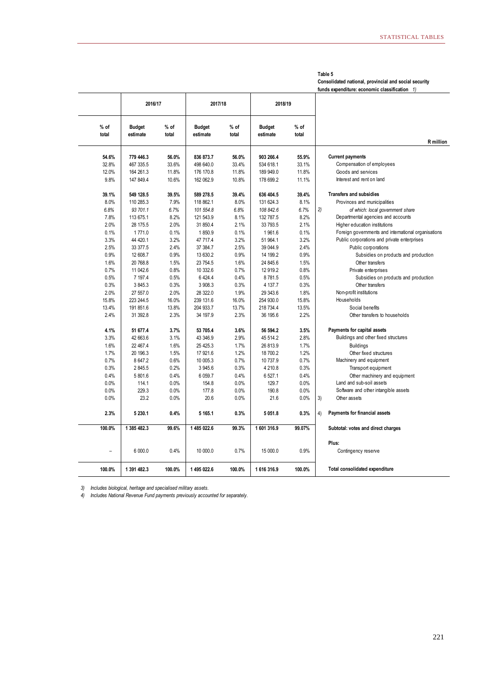| <b>Budget</b><br>% of<br>estimate<br>total<br>779 446.3<br>56.0%<br>467 335.5<br>33.6%<br>164 261.3<br>11.8%<br>147 849.4<br>10.6%<br>39.5%<br>549 128.5<br>110 285.3<br>7.9%<br>93 701.1<br>6.7%<br>8.2%<br>113 675.1<br>2.0%<br>28 175.5<br>1771.0<br>0.1%<br>44 420.1<br>3.2% | <b>Budget</b><br>estimate<br>836 873.7<br>498 640.0<br>176 170.8<br>162 062.9<br>589 278.5<br>118 862.1<br>101 554.8<br>121 543.9<br>31 850.4                                                                                                                                                                                                                                                                              | % of<br>total<br>56.0%<br>33.4%<br>11.8%<br>10.8%<br>39.4%<br>8.0%<br>6.8%<br>8.1%                                                                                             | <b>Budget</b><br>estimate<br>903 266.4<br>534 618.1<br>189 949.0<br>178 699.2<br>636 404.5<br>131 624.3<br>108 842.6                                                 | $%$ of<br>total<br>55.9%<br>33.1%<br>11.8%<br>11.1%<br>39.4%<br>8.1%                             |                                                                              | R million<br><b>Current payments</b><br>Compensation of employees<br>Goods and services<br>Interest and rent on land<br><b>Transfers and subsidies</b><br>Provinces and municipalities |
|----------------------------------------------------------------------------------------------------------------------------------------------------------------------------------------------------------------------------------------------------------------------------------|----------------------------------------------------------------------------------------------------------------------------------------------------------------------------------------------------------------------------------------------------------------------------------------------------------------------------------------------------------------------------------------------------------------------------|--------------------------------------------------------------------------------------------------------------------------------------------------------------------------------|----------------------------------------------------------------------------------------------------------------------------------------------------------------------|--------------------------------------------------------------------------------------------------|------------------------------------------------------------------------------|----------------------------------------------------------------------------------------------------------------------------------------------------------------------------------------|
|                                                                                                                                                                                                                                                                                  |                                                                                                                                                                                                                                                                                                                                                                                                                            |                                                                                                                                                                                |                                                                                                                                                                      |                                                                                                  |                                                                              |                                                                                                                                                                                        |
|                                                                                                                                                                                                                                                                                  |                                                                                                                                                                                                                                                                                                                                                                                                                            |                                                                                                                                                                                |                                                                                                                                                                      |                                                                                                  |                                                                              |                                                                                                                                                                                        |
|                                                                                                                                                                                                                                                                                  |                                                                                                                                                                                                                                                                                                                                                                                                                            |                                                                                                                                                                                |                                                                                                                                                                      |                                                                                                  |                                                                              |                                                                                                                                                                                        |
|                                                                                                                                                                                                                                                                                  |                                                                                                                                                                                                                                                                                                                                                                                                                            |                                                                                                                                                                                |                                                                                                                                                                      |                                                                                                  |                                                                              |                                                                                                                                                                                        |
|                                                                                                                                                                                                                                                                                  |                                                                                                                                                                                                                                                                                                                                                                                                                            |                                                                                                                                                                                |                                                                                                                                                                      |                                                                                                  |                                                                              |                                                                                                                                                                                        |
|                                                                                                                                                                                                                                                                                  |                                                                                                                                                                                                                                                                                                                                                                                                                            |                                                                                                                                                                                |                                                                                                                                                                      |                                                                                                  |                                                                              |                                                                                                                                                                                        |
|                                                                                                                                                                                                                                                                                  |                                                                                                                                                                                                                                                                                                                                                                                                                            |                                                                                                                                                                                |                                                                                                                                                                      |                                                                                                  |                                                                              |                                                                                                                                                                                        |
|                                                                                                                                                                                                                                                                                  |                                                                                                                                                                                                                                                                                                                                                                                                                            |                                                                                                                                                                                |                                                                                                                                                                      | 6.7%                                                                                             | 2)                                                                           | of which: local government share                                                                                                                                                       |
|                                                                                                                                                                                                                                                                                  |                                                                                                                                                                                                                                                                                                                                                                                                                            |                                                                                                                                                                                | 132 787.5                                                                                                                                                            | 8.2%                                                                                             |                                                                              | Departmental agencies and accounts                                                                                                                                                     |
|                                                                                                                                                                                                                                                                                  |                                                                                                                                                                                                                                                                                                                                                                                                                            | 2.1%                                                                                                                                                                           | 33 793.5                                                                                                                                                             | 2.1%                                                                                             |                                                                              | Higher education institutions                                                                                                                                                          |
|                                                                                                                                                                                                                                                                                  | 1850.9<br>47 717.4                                                                                                                                                                                                                                                                                                                                                                                                         | 0.1%<br>3.2%                                                                                                                                                                   | 1961.6<br>51 964.1                                                                                                                                                   | 0.1%<br>3.2%                                                                                     |                                                                              | Foreign governments and international organisations<br>Public corporations and private enterprises                                                                                     |
| 33 377.5<br>2.4%                                                                                                                                                                                                                                                                 | 37 384.7                                                                                                                                                                                                                                                                                                                                                                                                                   | 2.5%                                                                                                                                                                           | 39 044.9                                                                                                                                                             | 2.4%                                                                                             |                                                                              | Public corporations                                                                                                                                                                    |
| 12 608.7<br>0.9%                                                                                                                                                                                                                                                                 | 13 630.2                                                                                                                                                                                                                                                                                                                                                                                                                   | 0.9%                                                                                                                                                                           | 14 199.2                                                                                                                                                             | 0.9%                                                                                             |                                                                              | Subsidies on products and production                                                                                                                                                   |
| 20 768.8<br>1.5%                                                                                                                                                                                                                                                                 | 23 754.5                                                                                                                                                                                                                                                                                                                                                                                                                   | 1.6%                                                                                                                                                                           | 24 845.6                                                                                                                                                             | 1.5%                                                                                             |                                                                              | Other transfers                                                                                                                                                                        |
|                                                                                                                                                                                                                                                                                  |                                                                                                                                                                                                                                                                                                                                                                                                                            |                                                                                                                                                                                |                                                                                                                                                                      |                                                                                                  |                                                                              | Private enterprises                                                                                                                                                                    |
|                                                                                                                                                                                                                                                                                  |                                                                                                                                                                                                                                                                                                                                                                                                                            |                                                                                                                                                                                | 8781.5                                                                                                                                                               |                                                                                                  |                                                                              | Subsidies on products and production                                                                                                                                                   |
|                                                                                                                                                                                                                                                                                  | 3 908.3                                                                                                                                                                                                                                                                                                                                                                                                                    | 0.3%                                                                                                                                                                           | 4 137.7                                                                                                                                                              | 0.3%                                                                                             |                                                                              | Other transfers                                                                                                                                                                        |
|                                                                                                                                                                                                                                                                                  | 28 322.0                                                                                                                                                                                                                                                                                                                                                                                                                   | 1.9%                                                                                                                                                                           | 29 343.6                                                                                                                                                             | 1.8%                                                                                             |                                                                              | Non-profit institutions                                                                                                                                                                |
|                                                                                                                                                                                                                                                                                  | 239 131.6                                                                                                                                                                                                                                                                                                                                                                                                                  | 16.0%                                                                                                                                                                          | 254 930.0                                                                                                                                                            | 15.8%                                                                                            |                                                                              | Households                                                                                                                                                                             |
|                                                                                                                                                                                                                                                                                  | 204 933.7                                                                                                                                                                                                                                                                                                                                                                                                                  | 13.7%                                                                                                                                                                          | 218 734.4                                                                                                                                                            | 13.5%                                                                                            |                                                                              | Social benefits                                                                                                                                                                        |
|                                                                                                                                                                                                                                                                                  | 34 197.9                                                                                                                                                                                                                                                                                                                                                                                                                   | 2.3%                                                                                                                                                                           | 36 195.6                                                                                                                                                             | 2.2%                                                                                             |                                                                              | Other transfers to households                                                                                                                                                          |
|                                                                                                                                                                                                                                                                                  | 53 705.4                                                                                                                                                                                                                                                                                                                                                                                                                   | 3.6%                                                                                                                                                                           | 56 594.2                                                                                                                                                             | 3.5%                                                                                             |                                                                              | Payments for capital assets                                                                                                                                                            |
|                                                                                                                                                                                                                                                                                  |                                                                                                                                                                                                                                                                                                                                                                                                                            |                                                                                                                                                                                |                                                                                                                                                                      |                                                                                                  |                                                                              | Buildings and other fixed structures                                                                                                                                                   |
|                                                                                                                                                                                                                                                                                  |                                                                                                                                                                                                                                                                                                                                                                                                                            |                                                                                                                                                                                |                                                                                                                                                                      |                                                                                                  |                                                                              | <b>Buildings</b>                                                                                                                                                                       |
|                                                                                                                                                                                                                                                                                  |                                                                                                                                                                                                                                                                                                                                                                                                                            |                                                                                                                                                                                |                                                                                                                                                                      |                                                                                                  |                                                                              | Other fixed structures                                                                                                                                                                 |
|                                                                                                                                                                                                                                                                                  |                                                                                                                                                                                                                                                                                                                                                                                                                            |                                                                                                                                                                                |                                                                                                                                                                      |                                                                                                  |                                                                              | Machinery and equipment                                                                                                                                                                |
|                                                                                                                                                                                                                                                                                  |                                                                                                                                                                                                                                                                                                                                                                                                                            |                                                                                                                                                                                |                                                                                                                                                                      |                                                                                                  |                                                                              | Transport equipment<br>Other machinery and equipment                                                                                                                                   |
|                                                                                                                                                                                                                                                                                  |                                                                                                                                                                                                                                                                                                                                                                                                                            |                                                                                                                                                                                |                                                                                                                                                                      |                                                                                                  |                                                                              | Land and sub-soil assets                                                                                                                                                               |
|                                                                                                                                                                                                                                                                                  |                                                                                                                                                                                                                                                                                                                                                                                                                            |                                                                                                                                                                                |                                                                                                                                                                      |                                                                                                  |                                                                              | Software and other intangible assets                                                                                                                                                   |
|                                                                                                                                                                                                                                                                                  | 20.6                                                                                                                                                                                                                                                                                                                                                                                                                       | $0.0\%$                                                                                                                                                                        | 21.6                                                                                                                                                                 | 0.0%                                                                                             | 3)                                                                           | Other assets                                                                                                                                                                           |
|                                                                                                                                                                                                                                                                                  | 5 165.1                                                                                                                                                                                                                                                                                                                                                                                                                    | 0.3%                                                                                                                                                                           | 5 0 5 1.8                                                                                                                                                            | 0.3%                                                                                             | 4)                                                                           | Payments for financial assets                                                                                                                                                          |
|                                                                                                                                                                                                                                                                                  | 1 485 022.6                                                                                                                                                                                                                                                                                                                                                                                                                | 99.3%                                                                                                                                                                          | 1 601 316.9                                                                                                                                                          | 99.07%                                                                                           |                                                                              | Subtotal: votes and direct charges                                                                                                                                                     |
|                                                                                                                                                                                                                                                                                  |                                                                                                                                                                                                                                                                                                                                                                                                                            |                                                                                                                                                                                |                                                                                                                                                                      |                                                                                                  |                                                                              | Plus:                                                                                                                                                                                  |
|                                                                                                                                                                                                                                                                                  | 10 000.0                                                                                                                                                                                                                                                                                                                                                                                                                   |                                                                                                                                                                                | 15 000.0                                                                                                                                                             | 0.9%                                                                                             |                                                                              | Contingency reserve                                                                                                                                                                    |
|                                                                                                                                                                                                                                                                                  | 1 495 022.6                                                                                                                                                                                                                                                                                                                                                                                                                | 100.0%                                                                                                                                                                         | 1616316.9                                                                                                                                                            | 100.0%                                                                                           |                                                                              | Total consolidated expenditure                                                                                                                                                         |
|                                                                                                                                                                                                                                                                                  | 11 042.6<br>0.8%<br>7 197.4<br>0.5%<br>3845.3<br>0.3%<br>27 557.0<br>2.0%<br>223 244.5<br>16.0%<br>191 851.6<br>13.8%<br>31 392.8<br>2.3%<br>51 677.4<br>3.7%<br>42 663.6<br>3.1%<br>22 467.4<br>1.6%<br>20 196.3<br>1.5%<br>8 647.2<br>0.6%<br>2845.5<br>0.2%<br>5 801.6<br>0.4%<br>114.1<br>0.0%<br>229.3<br>0.0%<br>23.2<br>0.0%<br>5 230.1<br>0.4%<br>1 385 482.3<br>99.6%<br>6 000.0<br>0.4%<br>1 391 482.3<br>100.0% | 10 332.6<br>6424.4<br>43 346.9<br>25 4 25.3<br>17 921.6<br>10 005.3<br>3 945.6<br>6 0 59.7<br>154.8<br>177.8<br>Includes biological, heritage and specialised military assets. | 0.7%<br>0.4%<br>2.9%<br>1.7%<br>1.2%<br>0.7%<br>0.3%<br>0.4%<br>0.0%<br>0.0%<br>0.7%<br>Includes National Revenue Fund payments previously accounted for separately. | 12 919.2<br>45 514.2<br>26 813.9<br>18 700.2<br>10 737.9<br>4 210.8<br>6 527.1<br>129.7<br>190.8 | 0.8%<br>0.5%<br>2.8%<br>1.7%<br>1.2%<br>0.7%<br>0.3%<br>0.4%<br>0.0%<br>0.0% |                                                                                                                                                                                        |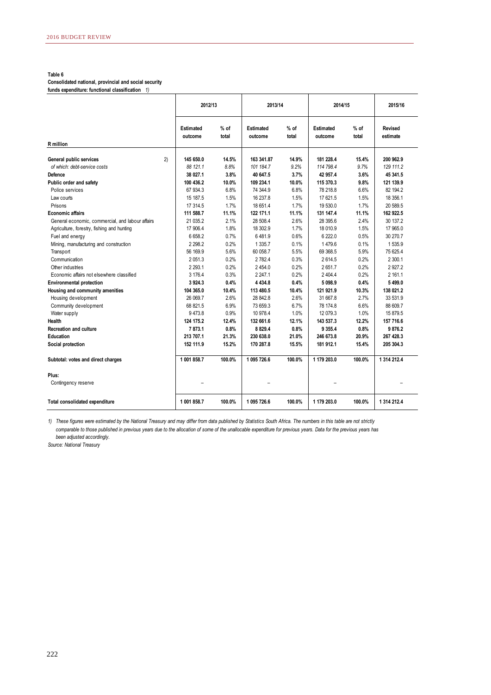### **Consolidated national, provincial and social security funds expenditure: functional classification** *1)*

|                                                  |    | 2012/13              |                 | 2013/14              |               | 2014/15              | 2015/16         |                            |
|--------------------------------------------------|----|----------------------|-----------------|----------------------|---------------|----------------------|-----------------|----------------------------|
|                                                  |    | Estimated<br>outcome | $%$ of<br>total | Estimated<br>outcome | % of<br>total | Estimated<br>outcome | $%$ of<br>total | <b>Revised</b><br>estimate |
| R million                                        |    |                      |                 |                      |               |                      |                 |                            |
| General public services                          | 2) | 145 650.0            | 14.5%           | 163 341.87           | 14.9%         | 181 228.4            | 15.4%           | 200 962.9                  |
| of which: debt-service costs                     |    | 88 121.1             | 8.8%            | 101 184.7            | 9.2%          | 114 798.4            | 9.7%            | 129 111.2                  |
| Defence                                          |    | 38 027.1             | 3.8%            | 40 647.5             | 3.7%          | 42 957.4             | 3.6%            | 45 341.5                   |
| Public order and safety                          |    | 100 436.2            | 10.0%           | 109 234.1            | 10.0%         | 115 370.3            | 9.8%            | 121 139.9                  |
| Police services                                  |    | 67 934.3             | 6.8%            | 74 344.9             | 6.8%          | 78 218.8             | 6.6%            | 82 194.2                   |
| Law courts                                       |    | 15 187.5             | 1.5%            | 16 237.8             | 1.5%          | 17 621.5             | 1.5%            | 18 356.1                   |
| Prisons                                          |    | 17 314.5             | 1.7%            | 18 651.4             | 1.7%          | 19 530.0             | 1.7%            | 20 589.5                   |
| <b>Economic affairs</b>                          |    | 111 588.7            | 11.1%           | 122 171.1            | 11.1%         | 131 147.4            | 11.1%           | 162 922.5                  |
| General economic, commercial, and labour affairs |    | 21 035.2             | 2.1%            | 28 508.4             | 2.6%          | 28 395.6             | 2.4%            | 30 137.2                   |
| Agriculture, forestry, fishing and hunting       |    | 17 906.4             | 1.8%            | 18 302.9             | 1.7%          | 18 010.9             | 1.5%            | 17 965.0                   |
| Fuel and energy                                  |    | 6 6 5 8.2            | 0.7%            | 6481.9               | 0.6%          | 6 222.0              | 0.5%            | 30 270.7                   |
| Mining, manufacturing and construction           |    | 2 2 9 8.2            | 0.2%            | 1 3 3 5.7            | 0.1%          | 1479.6               | 0.1%            | 1535.9                     |
| Transport                                        |    | 56 169.9             | 5.6%            | 60 058.7             | 5.5%          | 69 368.5             | 5.9%            | 75 625.4                   |
| Communication                                    |    | 2 0 5 1 . 3          | 0.2%            | 2 782.4              | 0.3%          | 2614.5               | 0.2%            | 2 300.1                    |
| Other industries                                 |    | 2 2 9 3.1            | 0.2%            | 2454.0               | 0.2%          | 2651.7               | 0.2%            | 2 9 2 7.2                  |
| Economic affairs not elsewhere classified        |    | 3 176.4              | 0.3%            | 2 247.1              | 0.2%          | 2 404.4              | 0.2%            | 2 161.1                    |
| <b>Environmental protection</b>                  |    | 3924.3               | 0.4%            | 4 4 3 4.8            | 0.4%          | 5 098.9              | 0.4%            | 5 499.0                    |
| Housing and community amenities                  |    | 104 365.0            | 10.4%           | 113 480.5            | 10.4%         | 121 921.9            | 10.3%           | 138 021.2                  |
| Housing development                              |    | 26 069.7             | 2.6%            | 28 842.8             | 2.6%          | 31 667.8             | 2.7%            | 33 531.9                   |
| Community development                            |    | 68 821.5             | 6.9%            | 73 659.3             | 6.7%          | 78 174.8             | 6.6%            | 88 609.7                   |
| Water supply                                     |    | 9473.8               | 0.9%            | 10 978.4             | 1.0%          | 12 079.3             | 1.0%            | 15 879.5                   |
| Health                                           |    | 124 175.2            | 12.4%           | 132 661.6            | 12.1%         | 143 537.3            | 12.2%           | 157 716.6                  |
| <b>Recreation and culture</b>                    |    | 7873.1               | 0.8%            | 8 8 29.4             | 0.8%          | 9 3 5 5.4            | 0.8%            | 9876.2                     |
| Education                                        |    | 213 707.1            | 21.3%           | 230 638.0            | 21.0%         | 246 673.8            | 20.9%           | 267 428.3                  |
| Social protection                                |    | 152 111.9            | 15.2%           | 170 287.8            | 15.5%         | 181 912.1            | 15.4%           | 205 304.3                  |
| Subtotal: votes and direct charges               |    | 1 001 858.7          | 100.0%          | 1 095 726.6          | 100.0%        | 1 179 203.0          | 100.0%          | 1 314 212.4                |
| Plus:                                            |    |                      |                 |                      |               |                      |                 |                            |
| Contingency reserve                              |    |                      |                 |                      |               |                      |                 |                            |
| Total consolidated expenditure                   |    | 1 001 858.7          | 100.0%          | 1 095 726.6          | 100.0%        | 1 179 203.0          | 100.0%          | 1 314 212.4                |

*1) These figures were estimated by the National Treasury and may differ from data published by Statistics South Africa. The numbers in this table are not strictly comparable to those published in previous years due to the allocation of some of the unallocable expenditure for previous years. Data for the previous years has been adjusted accordingly.*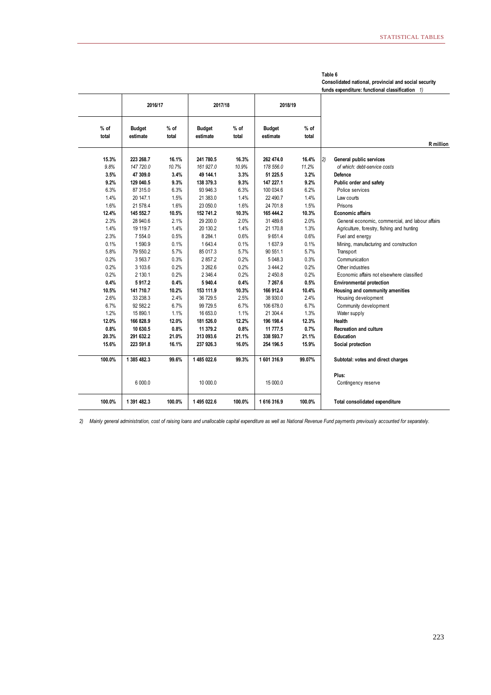| ۰. |  |
|----|--|
|----|--|

| 2017/18<br>2018/19<br>2016/17<br>$%$ of<br><b>Budget</b><br>$%$ of<br><b>Budget</b><br>% of<br><b>Budget</b><br>% of<br>total<br>estimate<br>total<br>estimate<br>total<br>estimate<br>total<br>R million<br>15.3%<br>223 268.7<br>16.1%<br>241 780.5<br>16.3%<br>262 474.0<br>16.4%<br>2)<br>General public services<br>9.8%<br>11.2%<br>147 720.0<br>10.7%<br>161 927.0<br>10.9%<br>of which: debt-service costs<br>178 556.0<br>3.5%<br>47 309.0<br>3.4%<br>49 144.1<br>3.3%<br>51 225.5<br>3.2%<br>Defence<br>9.2%<br>9.2%<br>129 040.5<br>9.3%<br>138 379.3<br>9.3%<br>147 227.1<br>Public order and safety<br>6.3%<br>6.3%<br>93 946.3<br>100 034.6<br>6.2%<br>87 315.0<br>6.3%<br>Police services<br>21 383.0<br>1.4%<br>20 147.1<br>1.5%<br>1.4%<br>22 490.7<br>1.4%<br>Law courts<br>1.6%<br>23 050.0<br>Prisons<br>21 578.4<br>1.6%<br>1.6%<br>24 701.8<br>1.5%<br>12.4%<br>145 552.7<br>10.5%<br>152 741.2<br>10.3%<br>165 444.2<br>10.3%<br><b>Economic affairs</b><br>2.3%<br>28 940.6<br>2.1%<br>29 200.0<br>2.0%<br>31 489.6<br>2.0%<br>General economic, commercial, and labour affairs<br>20 130.2<br>1.3%<br>1.4%<br>19 119.7<br>1.4%<br>1.4%<br>21 170.8<br>Agriculture, forestry, fishing and hunting<br>2.3%<br>7 554.0<br>0.5%<br>8 2 8 4.1<br>0.6%<br>0.6%<br>9651.4<br>Fuel and energy<br>1 643.4<br>0.1%<br>1590.9<br>0.1%<br>0.1%<br>1637.9<br>0.1%<br>Mining, manufacturing and construction<br>5.8%<br>85 017.3<br>79 550.2<br>5.7%<br>5.7%<br>90 551.1<br>5.7%<br>Transport<br>0.2%<br>3 5 6 3.7<br>0.3%<br>2857.2<br>0.2%<br>0.3%<br>5 048.3<br>Communication<br>0.2%<br>3 262.6<br>3 103.6<br>0.2%<br>0.2%<br>3 4 4 4.2<br>0.2%<br>Other industries<br>0.2%<br>2 3 4 6.4<br>2 130.1<br>0.2%<br>0.2%<br>2 450.8<br>0.2%<br>Economic affairs not elsewhere classified<br>0.4%<br>5917.2<br>0.4%<br>5 940.4<br>0.4%<br>7 267.6<br>0.5%<br><b>Environmental protection</b><br>10.5%<br>141 710.7<br>10.2%<br>153 111.9<br>10.3%<br>166 912.4<br>10.4%<br>Housing and community amenities<br>2.6%<br>33 238.3<br>36 729.5<br>2.4%<br>2.5%<br>38 930.0<br>2.4%<br>Housing development<br>6.7%<br>92 582.2<br>99 729.5<br>6.7%<br>Community development<br>6.7%<br>6.7%<br>106 678.0<br>1.2%<br>15 890.1<br>1.1%<br>16 653.0<br>21 304.4<br>1.3%<br>1.1%<br>Water supply<br>12.0%<br>166 828.9<br>181 526.0<br>12.0%<br>12.2%<br>196 198.4<br>12.3%<br>Health<br>0.8%<br>10 630.5<br>0.8%<br>11 379.2<br>0.7%<br><b>Recreation and culture</b><br>0.8%<br>11 777.5<br>20.3%<br>291 632.2<br>21.0%<br>313 093.6<br>21.1%<br>338 593.7<br>21.1%<br>Education<br>15.6%<br>223 591.8<br>16.1%<br>237 926.3<br>16.0%<br>254 196.5<br>15.9%<br>Social protection<br>100.0%<br>1 385 482.3<br>99.6%<br>1 485 022.6<br>1 601 316.9<br>99.3%<br>99.07%<br>Subtotal: votes and direct charges<br>Plus:<br>10 000.0<br>15 000.0<br>6 000.0<br>Contingency reserve<br>100.0%<br>1 391 482.3<br>100.0%<br>1 495 022.6<br>100.0%<br>1616316.9<br>100.0%<br>Total consolidated expenditure<br>Mainly general administration, cost of raising loans and unallocable capital expenditure as well as National Revenue Fund payments previously accounted for separately. |  |  |  |  |
|--------------------------------------------------------------------------------------------------------------------------------------------------------------------------------------------------------------------------------------------------------------------------------------------------------------------------------------------------------------------------------------------------------------------------------------------------------------------------------------------------------------------------------------------------------------------------------------------------------------------------------------------------------------------------------------------------------------------------------------------------------------------------------------------------------------------------------------------------------------------------------------------------------------------------------------------------------------------------------------------------------------------------------------------------------------------------------------------------------------------------------------------------------------------------------------------------------------------------------------------------------------------------------------------------------------------------------------------------------------------------------------------------------------------------------------------------------------------------------------------------------------------------------------------------------------------------------------------------------------------------------------------------------------------------------------------------------------------------------------------------------------------------------------------------------------------------------------------------------------------------------------------------------------------------------------------------------------------------------------------------------------------------------------------------------------------------------------------------------------------------------------------------------------------------------------------------------------------------------------------------------------------------------------------------------------------------------------------------------------------------------------------------------------------------------------------------------------------------------------------------------------------------------------------------------------------------------------------------------------------------------------------------------------------------------------------------------------------------------------------------------------------------------------------------------------------------------------------------------------------------------------------------------------------------------------------------------------------------------------------------------------------------------------------------------------------------------------------------------------------------------------------------------------------------------|--|--|--|--|
|                                                                                                                                                                                                                                                                                                                                                                                                                                                                                                                                                                                                                                                                                                                                                                                                                                                                                                                                                                                                                                                                                                                                                                                                                                                                                                                                                                                                                                                                                                                                                                                                                                                                                                                                                                                                                                                                                                                                                                                                                                                                                                                                                                                                                                                                                                                                                                                                                                                                                                                                                                                                                                                                                                                                                                                                                                                                                                                                                                                                                                                                                                                                                                                |  |  |  |  |
|                                                                                                                                                                                                                                                                                                                                                                                                                                                                                                                                                                                                                                                                                                                                                                                                                                                                                                                                                                                                                                                                                                                                                                                                                                                                                                                                                                                                                                                                                                                                                                                                                                                                                                                                                                                                                                                                                                                                                                                                                                                                                                                                                                                                                                                                                                                                                                                                                                                                                                                                                                                                                                                                                                                                                                                                                                                                                                                                                                                                                                                                                                                                                                                |  |  |  |  |
|                                                                                                                                                                                                                                                                                                                                                                                                                                                                                                                                                                                                                                                                                                                                                                                                                                                                                                                                                                                                                                                                                                                                                                                                                                                                                                                                                                                                                                                                                                                                                                                                                                                                                                                                                                                                                                                                                                                                                                                                                                                                                                                                                                                                                                                                                                                                                                                                                                                                                                                                                                                                                                                                                                                                                                                                                                                                                                                                                                                                                                                                                                                                                                                |  |  |  |  |
|                                                                                                                                                                                                                                                                                                                                                                                                                                                                                                                                                                                                                                                                                                                                                                                                                                                                                                                                                                                                                                                                                                                                                                                                                                                                                                                                                                                                                                                                                                                                                                                                                                                                                                                                                                                                                                                                                                                                                                                                                                                                                                                                                                                                                                                                                                                                                                                                                                                                                                                                                                                                                                                                                                                                                                                                                                                                                                                                                                                                                                                                                                                                                                                |  |  |  |  |
|                                                                                                                                                                                                                                                                                                                                                                                                                                                                                                                                                                                                                                                                                                                                                                                                                                                                                                                                                                                                                                                                                                                                                                                                                                                                                                                                                                                                                                                                                                                                                                                                                                                                                                                                                                                                                                                                                                                                                                                                                                                                                                                                                                                                                                                                                                                                                                                                                                                                                                                                                                                                                                                                                                                                                                                                                                                                                                                                                                                                                                                                                                                                                                                |  |  |  |  |
|                                                                                                                                                                                                                                                                                                                                                                                                                                                                                                                                                                                                                                                                                                                                                                                                                                                                                                                                                                                                                                                                                                                                                                                                                                                                                                                                                                                                                                                                                                                                                                                                                                                                                                                                                                                                                                                                                                                                                                                                                                                                                                                                                                                                                                                                                                                                                                                                                                                                                                                                                                                                                                                                                                                                                                                                                                                                                                                                                                                                                                                                                                                                                                                |  |  |  |  |
|                                                                                                                                                                                                                                                                                                                                                                                                                                                                                                                                                                                                                                                                                                                                                                                                                                                                                                                                                                                                                                                                                                                                                                                                                                                                                                                                                                                                                                                                                                                                                                                                                                                                                                                                                                                                                                                                                                                                                                                                                                                                                                                                                                                                                                                                                                                                                                                                                                                                                                                                                                                                                                                                                                                                                                                                                                                                                                                                                                                                                                                                                                                                                                                |  |  |  |  |
|                                                                                                                                                                                                                                                                                                                                                                                                                                                                                                                                                                                                                                                                                                                                                                                                                                                                                                                                                                                                                                                                                                                                                                                                                                                                                                                                                                                                                                                                                                                                                                                                                                                                                                                                                                                                                                                                                                                                                                                                                                                                                                                                                                                                                                                                                                                                                                                                                                                                                                                                                                                                                                                                                                                                                                                                                                                                                                                                                                                                                                                                                                                                                                                |  |  |  |  |
|                                                                                                                                                                                                                                                                                                                                                                                                                                                                                                                                                                                                                                                                                                                                                                                                                                                                                                                                                                                                                                                                                                                                                                                                                                                                                                                                                                                                                                                                                                                                                                                                                                                                                                                                                                                                                                                                                                                                                                                                                                                                                                                                                                                                                                                                                                                                                                                                                                                                                                                                                                                                                                                                                                                                                                                                                                                                                                                                                                                                                                                                                                                                                                                |  |  |  |  |
|                                                                                                                                                                                                                                                                                                                                                                                                                                                                                                                                                                                                                                                                                                                                                                                                                                                                                                                                                                                                                                                                                                                                                                                                                                                                                                                                                                                                                                                                                                                                                                                                                                                                                                                                                                                                                                                                                                                                                                                                                                                                                                                                                                                                                                                                                                                                                                                                                                                                                                                                                                                                                                                                                                                                                                                                                                                                                                                                                                                                                                                                                                                                                                                |  |  |  |  |
|                                                                                                                                                                                                                                                                                                                                                                                                                                                                                                                                                                                                                                                                                                                                                                                                                                                                                                                                                                                                                                                                                                                                                                                                                                                                                                                                                                                                                                                                                                                                                                                                                                                                                                                                                                                                                                                                                                                                                                                                                                                                                                                                                                                                                                                                                                                                                                                                                                                                                                                                                                                                                                                                                                                                                                                                                                                                                                                                                                                                                                                                                                                                                                                |  |  |  |  |
|                                                                                                                                                                                                                                                                                                                                                                                                                                                                                                                                                                                                                                                                                                                                                                                                                                                                                                                                                                                                                                                                                                                                                                                                                                                                                                                                                                                                                                                                                                                                                                                                                                                                                                                                                                                                                                                                                                                                                                                                                                                                                                                                                                                                                                                                                                                                                                                                                                                                                                                                                                                                                                                                                                                                                                                                                                                                                                                                                                                                                                                                                                                                                                                |  |  |  |  |
|                                                                                                                                                                                                                                                                                                                                                                                                                                                                                                                                                                                                                                                                                                                                                                                                                                                                                                                                                                                                                                                                                                                                                                                                                                                                                                                                                                                                                                                                                                                                                                                                                                                                                                                                                                                                                                                                                                                                                                                                                                                                                                                                                                                                                                                                                                                                                                                                                                                                                                                                                                                                                                                                                                                                                                                                                                                                                                                                                                                                                                                                                                                                                                                |  |  |  |  |
|                                                                                                                                                                                                                                                                                                                                                                                                                                                                                                                                                                                                                                                                                                                                                                                                                                                                                                                                                                                                                                                                                                                                                                                                                                                                                                                                                                                                                                                                                                                                                                                                                                                                                                                                                                                                                                                                                                                                                                                                                                                                                                                                                                                                                                                                                                                                                                                                                                                                                                                                                                                                                                                                                                                                                                                                                                                                                                                                                                                                                                                                                                                                                                                |  |  |  |  |
|                                                                                                                                                                                                                                                                                                                                                                                                                                                                                                                                                                                                                                                                                                                                                                                                                                                                                                                                                                                                                                                                                                                                                                                                                                                                                                                                                                                                                                                                                                                                                                                                                                                                                                                                                                                                                                                                                                                                                                                                                                                                                                                                                                                                                                                                                                                                                                                                                                                                                                                                                                                                                                                                                                                                                                                                                                                                                                                                                                                                                                                                                                                                                                                |  |  |  |  |
|                                                                                                                                                                                                                                                                                                                                                                                                                                                                                                                                                                                                                                                                                                                                                                                                                                                                                                                                                                                                                                                                                                                                                                                                                                                                                                                                                                                                                                                                                                                                                                                                                                                                                                                                                                                                                                                                                                                                                                                                                                                                                                                                                                                                                                                                                                                                                                                                                                                                                                                                                                                                                                                                                                                                                                                                                                                                                                                                                                                                                                                                                                                                                                                |  |  |  |  |
|                                                                                                                                                                                                                                                                                                                                                                                                                                                                                                                                                                                                                                                                                                                                                                                                                                                                                                                                                                                                                                                                                                                                                                                                                                                                                                                                                                                                                                                                                                                                                                                                                                                                                                                                                                                                                                                                                                                                                                                                                                                                                                                                                                                                                                                                                                                                                                                                                                                                                                                                                                                                                                                                                                                                                                                                                                                                                                                                                                                                                                                                                                                                                                                |  |  |  |  |
|                                                                                                                                                                                                                                                                                                                                                                                                                                                                                                                                                                                                                                                                                                                                                                                                                                                                                                                                                                                                                                                                                                                                                                                                                                                                                                                                                                                                                                                                                                                                                                                                                                                                                                                                                                                                                                                                                                                                                                                                                                                                                                                                                                                                                                                                                                                                                                                                                                                                                                                                                                                                                                                                                                                                                                                                                                                                                                                                                                                                                                                                                                                                                                                |  |  |  |  |
|                                                                                                                                                                                                                                                                                                                                                                                                                                                                                                                                                                                                                                                                                                                                                                                                                                                                                                                                                                                                                                                                                                                                                                                                                                                                                                                                                                                                                                                                                                                                                                                                                                                                                                                                                                                                                                                                                                                                                                                                                                                                                                                                                                                                                                                                                                                                                                                                                                                                                                                                                                                                                                                                                                                                                                                                                                                                                                                                                                                                                                                                                                                                                                                |  |  |  |  |
|                                                                                                                                                                                                                                                                                                                                                                                                                                                                                                                                                                                                                                                                                                                                                                                                                                                                                                                                                                                                                                                                                                                                                                                                                                                                                                                                                                                                                                                                                                                                                                                                                                                                                                                                                                                                                                                                                                                                                                                                                                                                                                                                                                                                                                                                                                                                                                                                                                                                                                                                                                                                                                                                                                                                                                                                                                                                                                                                                                                                                                                                                                                                                                                |  |  |  |  |
|                                                                                                                                                                                                                                                                                                                                                                                                                                                                                                                                                                                                                                                                                                                                                                                                                                                                                                                                                                                                                                                                                                                                                                                                                                                                                                                                                                                                                                                                                                                                                                                                                                                                                                                                                                                                                                                                                                                                                                                                                                                                                                                                                                                                                                                                                                                                                                                                                                                                                                                                                                                                                                                                                                                                                                                                                                                                                                                                                                                                                                                                                                                                                                                |  |  |  |  |
|                                                                                                                                                                                                                                                                                                                                                                                                                                                                                                                                                                                                                                                                                                                                                                                                                                                                                                                                                                                                                                                                                                                                                                                                                                                                                                                                                                                                                                                                                                                                                                                                                                                                                                                                                                                                                                                                                                                                                                                                                                                                                                                                                                                                                                                                                                                                                                                                                                                                                                                                                                                                                                                                                                                                                                                                                                                                                                                                                                                                                                                                                                                                                                                |  |  |  |  |
|                                                                                                                                                                                                                                                                                                                                                                                                                                                                                                                                                                                                                                                                                                                                                                                                                                                                                                                                                                                                                                                                                                                                                                                                                                                                                                                                                                                                                                                                                                                                                                                                                                                                                                                                                                                                                                                                                                                                                                                                                                                                                                                                                                                                                                                                                                                                                                                                                                                                                                                                                                                                                                                                                                                                                                                                                                                                                                                                                                                                                                                                                                                                                                                |  |  |  |  |
|                                                                                                                                                                                                                                                                                                                                                                                                                                                                                                                                                                                                                                                                                                                                                                                                                                                                                                                                                                                                                                                                                                                                                                                                                                                                                                                                                                                                                                                                                                                                                                                                                                                                                                                                                                                                                                                                                                                                                                                                                                                                                                                                                                                                                                                                                                                                                                                                                                                                                                                                                                                                                                                                                                                                                                                                                                                                                                                                                                                                                                                                                                                                                                                |  |  |  |  |
|                                                                                                                                                                                                                                                                                                                                                                                                                                                                                                                                                                                                                                                                                                                                                                                                                                                                                                                                                                                                                                                                                                                                                                                                                                                                                                                                                                                                                                                                                                                                                                                                                                                                                                                                                                                                                                                                                                                                                                                                                                                                                                                                                                                                                                                                                                                                                                                                                                                                                                                                                                                                                                                                                                                                                                                                                                                                                                                                                                                                                                                                                                                                                                                |  |  |  |  |
|                                                                                                                                                                                                                                                                                                                                                                                                                                                                                                                                                                                                                                                                                                                                                                                                                                                                                                                                                                                                                                                                                                                                                                                                                                                                                                                                                                                                                                                                                                                                                                                                                                                                                                                                                                                                                                                                                                                                                                                                                                                                                                                                                                                                                                                                                                                                                                                                                                                                                                                                                                                                                                                                                                                                                                                                                                                                                                                                                                                                                                                                                                                                                                                |  |  |  |  |
|                                                                                                                                                                                                                                                                                                                                                                                                                                                                                                                                                                                                                                                                                                                                                                                                                                                                                                                                                                                                                                                                                                                                                                                                                                                                                                                                                                                                                                                                                                                                                                                                                                                                                                                                                                                                                                                                                                                                                                                                                                                                                                                                                                                                                                                                                                                                                                                                                                                                                                                                                                                                                                                                                                                                                                                                                                                                                                                                                                                                                                                                                                                                                                                |  |  |  |  |
|                                                                                                                                                                                                                                                                                                                                                                                                                                                                                                                                                                                                                                                                                                                                                                                                                                                                                                                                                                                                                                                                                                                                                                                                                                                                                                                                                                                                                                                                                                                                                                                                                                                                                                                                                                                                                                                                                                                                                                                                                                                                                                                                                                                                                                                                                                                                                                                                                                                                                                                                                                                                                                                                                                                                                                                                                                                                                                                                                                                                                                                                                                                                                                                |  |  |  |  |
|                                                                                                                                                                                                                                                                                                                                                                                                                                                                                                                                                                                                                                                                                                                                                                                                                                                                                                                                                                                                                                                                                                                                                                                                                                                                                                                                                                                                                                                                                                                                                                                                                                                                                                                                                                                                                                                                                                                                                                                                                                                                                                                                                                                                                                                                                                                                                                                                                                                                                                                                                                                                                                                                                                                                                                                                                                                                                                                                                                                                                                                                                                                                                                                |  |  |  |  |
|                                                                                                                                                                                                                                                                                                                                                                                                                                                                                                                                                                                                                                                                                                                                                                                                                                                                                                                                                                                                                                                                                                                                                                                                                                                                                                                                                                                                                                                                                                                                                                                                                                                                                                                                                                                                                                                                                                                                                                                                                                                                                                                                                                                                                                                                                                                                                                                                                                                                                                                                                                                                                                                                                                                                                                                                                                                                                                                                                                                                                                                                                                                                                                                |  |  |  |  |
|                                                                                                                                                                                                                                                                                                                                                                                                                                                                                                                                                                                                                                                                                                                                                                                                                                                                                                                                                                                                                                                                                                                                                                                                                                                                                                                                                                                                                                                                                                                                                                                                                                                                                                                                                                                                                                                                                                                                                                                                                                                                                                                                                                                                                                                                                                                                                                                                                                                                                                                                                                                                                                                                                                                                                                                                                                                                                                                                                                                                                                                                                                                                                                                |  |  |  |  |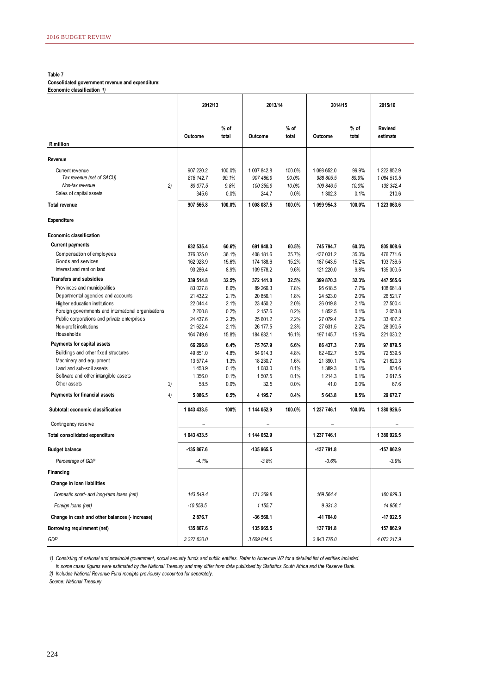### **Consolidated government revenue and expenditure:**

**Economic classification** *1)*

|                                                                     | 2012/13              |                 | 2013/14              |                 | 2014/15              |                 | 2015/16                    |
|---------------------------------------------------------------------|----------------------|-----------------|----------------------|-----------------|----------------------|-----------------|----------------------------|
| R million                                                           | Outcome              | $%$ of<br>total | Outcome              | $%$ of<br>total | Outcome              | $%$ of<br>total | <b>Revised</b><br>estimate |
|                                                                     |                      |                 |                      |                 |                      |                 |                            |
| Revenue                                                             |                      |                 |                      |                 |                      |                 |                            |
| Current revenue                                                     | 907 220.2            | 100.0%          | 1 007 842.8          | 100.0%          | 1 098 652.0          | 99.9%           | 1 222 852.9                |
| Tax revenue (net of SACU)                                           | 818 142.7            | 90.1%           | 907 486.9            | 90.0%           | 988 805.5            | 89.9%           | 1 084 510.5                |
| Non-tax revenue<br>2)                                               | 89 077.5             | 9.8%            | 100 355.9            | 10.0%           | 109 846.5            | 10.0%           | 138 342.4                  |
| Sales of capital assets                                             | 345.6                | 0.0%            | 244.7                | 0.0%            | 1 302.3              | 0.1%            | 210.6                      |
| <b>Total revenue</b>                                                | 907 565.8            | 100.0%          | 1 008 087.5          | 100.0%          | 1 099 954.3          | 100.0%          | 1 223 063.6                |
| Expenditure                                                         |                      |                 |                      |                 |                      |                 |                            |
| <b>Economic classification</b>                                      |                      |                 |                      |                 |                      |                 |                            |
| <b>Current payments</b>                                             | 632 535.4            | 60.6%           | 691 948.3            | 60.5%           | 745 794.7            | 60.3%           | 805 808.6                  |
| Compensation of employees                                           | 376 325.0            | 36.1%           | 408 181.6            | 35.7%           | 437 031.2            | 35.3%           | 476 771.6                  |
| Goods and services                                                  | 162 923.9            | 15.6%           | 174 188.6            | 15.2%           | 187 543.5            | 15.2%           | 193 736.5                  |
| Interest and rent on land                                           | 93 286.4             | 8.9%            | 109 578.2            | 9.6%            | 121 220.0            | 9.8%            | 135 300.5                  |
| <b>Transfers and subsidies</b>                                      | 339 514.8            | 32.5%           | 372 141.0            | 32.5%           | 399 870.3            | 32.3%           | 447 565.6                  |
| Provinces and municipalities                                        | 83 027.8<br>21 432.2 | 8.0%<br>2.1%    | 89 266.3<br>20 856.1 | 7.8%<br>1.8%    | 95 618.5<br>24 523.0 | 7.7%<br>2.0%    | 108 661.8<br>26 521.7      |
| Departmental agencies and accounts<br>Higher education institutions | 22 044.4             | 2.1%            | 23 450.2             | 2.0%            | 26 019.8             | 2.1%            | 27 500.4                   |
| Foreign governments and international organisations                 | 2 200.8              | 0.2%            | 2 157.6              | 0.2%            | 1852.5               | 0.1%            | 2 0 5 3.8                  |
| Public corporations and private enterprises                         | 24 437.6             | 2.3%            | 25 601.2             | 2.2%            | 27 079.4             | 2.2%            | 33 407.2                   |
| Non-profit institutions                                             | 21 622.4             | 2.1%            | 26 177.5             | 2.3%            | 27 631.5             | 2.2%            | 28 390.5                   |
| Households                                                          | 164 749.6            | 15.8%           | 184 632.1            | 16.1%           | 197 145.7            | 15.9%           | 221 030.2                  |
| Payments for capital assets                                         | 66 296.8             | 6.4%            | 75 767.9             | 6.6%            | 86 437.3             | 7.0%            | 97 879.5                   |
| Buildings and other fixed structures                                | 49 851.0             | 4.8%            | 54 914.3             | 4.8%            | 62 402.7             | 5.0%            | 72 539.5                   |
| Machinery and equipment                                             | 13 577.4             | 1.3%            | 18 230.7             | 1.6%            | 21 390.1             | 1.7%            | 21 820.3                   |
| Land and sub-soil assets                                            | 1453.9               | 0.1%            | 1 083.0              | 0.1%            | 1 389.3              | 0.1%            | 834.6                      |
| Software and other intangible assets<br>Other assets                | 1 356.0<br>58.5      | 0.1%<br>0.0%    | 1 507.5<br>32.5      | 0.1%<br>$0.0\%$ | 1 2 1 4 . 3<br>41.0  | 0.1%<br>0.0%    | 2617.5<br>67.6             |
| 3)                                                                  |                      |                 |                      |                 |                      |                 |                            |
| Payments for financial assets<br>4)                                 | 5 086.5              | 0.5%            | 4 195.7              | 0.4%            | 5 643.8              | 0.5%            | 29 672.7                   |
| Subtotal: economic classification                                   | 1 043 433.5          | 100%            | 1 144 052.9          | 100.0%          | 1 237 746.1          | 100.0%          | 1 380 926.5                |
| Contingency reserve                                                 |                      |                 |                      |                 |                      |                 |                            |
| Total consolidated expenditure                                      | 1 043 433.5          |                 | 1 144 052.9          |                 | 1 237 746.1          |                 | 1 380 926.5                |
| <b>Budget balance</b>                                               | -135 867.6           |                 | -135 965.5           |                 | -137 791.8           |                 | $-157862.9$                |
| Percentage of GDP                                                   | $-4.1%$              |                 | $-3.8%$              |                 | $-3.6%$              |                 | $-3.9%$                    |
| Financing                                                           |                      |                 |                      |                 |                      |                 |                            |
| Change in Ioan liabilities                                          |                      |                 |                      |                 |                      |                 |                            |
| Domestic short- and long-term loans (net)                           | 143 549.4            |                 | 171 369.8            |                 | 169 564.4            |                 | 160 829.3                  |
| Foreign loans (net)                                                 | $-10\,558.5$         |                 | 1 1 5 5.7            |                 | 9 9 3 1 . 3          |                 | 14 956.1                   |
| Change in cash and other balances (- increase)                      | 2876.7               |                 | -36 560.1            |                 | -41 704.0            |                 | -17 922.5                  |
| Borrowing requirement (net)                                         | 135 867.6            |                 | 135 965.5            |                 | 137 791.8            |                 | 157 862.9                  |
| GDP                                                                 | 3 327 630.0          |                 | 3 609 844.0          |                 | 3 843 776.0          |                 | 4 073 217.9                |

*1) Consisting of national and provincial government, social security funds and public entities. Refer to Annexure W2 for a detailed list of entities included.*

*In some cases figures were estimated by the National Treasury and may differ from data published by Statistics South Africa and the Reserve Bank.*

*2) Includes National Revenue Fund receipts previously accounted for separately.*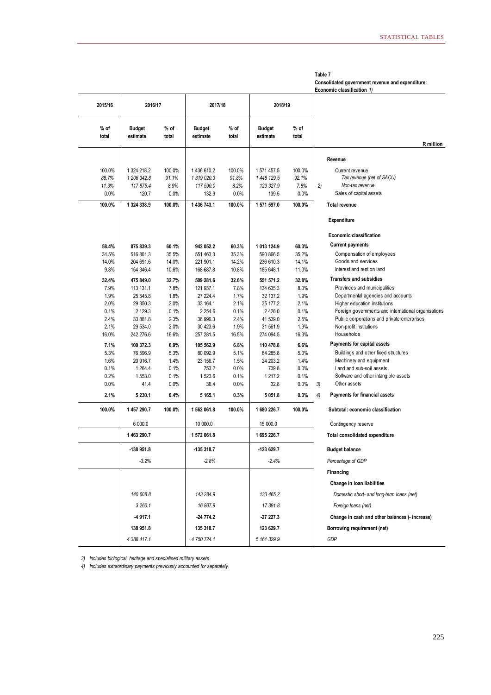## **Consolidated government revenue and expenditure:**

| 2015/16         | 2016/17                    |                 | 2017/18                   |                 | 2018/19                    |                 |                                                                |
|-----------------|----------------------------|-----------------|---------------------------|-----------------|----------------------------|-----------------|----------------------------------------------------------------|
| % of<br>total   | <b>Budget</b><br>estimate  | $%$ of<br>total | <b>Budget</b><br>estimate | $%$ of<br>total | <b>Budget</b><br>estimate  | $%$ of<br>total | R million                                                      |
|                 |                            |                 |                           |                 |                            |                 |                                                                |
|                 |                            |                 |                           |                 |                            |                 | Revenue                                                        |
| 100.0%<br>88.7% | 1 324 218.2<br>1 206 342.8 | 100.0%<br>91.1% | 1436 610.2<br>1 319 020.3 | 100.0%<br>91.8% | 1 571 457.5<br>1 448 129.5 | 100.0%<br>92.1% | Current revenue<br>Tax revenue (net of SACU)                   |
| 11.3%           | 117 875.4                  | 8.9%            | 117 590.0                 | 8.2%            | 123 327.9                  | 7.8%            | 2)<br>Non-tax revenue                                          |
| 0.0%            | 120.7                      | 0.0%            | 132.9                     | 0.0%            | 139.5                      | 0.0%            | Sales of capital assets                                        |
| 100.0%          | 1 324 338.9                | 100.0%          | 1 436 743.1               | 100.0%          | 1 571 597.0                | 100.0%          | <b>Total revenue</b>                                           |
|                 |                            |                 |                           |                 |                            |                 | Expenditure                                                    |
|                 |                            |                 |                           |                 |                            |                 | Economic classification                                        |
| 58.4%           | 875 839.3                  | 60.1%           | 942 052.2                 | 60.3%           | 1 013 124.9                | 60.3%           | <b>Current payments</b>                                        |
| 34.5%           | 516 801.3                  | 35.5%           | 551 463.3                 | 35.3%           | 590 866.5                  | 35.2%           | Compensation of employees                                      |
| 14.0%           | 204 691.6                  | 14.0%           | 221 901.1                 | 14.2%           | 236 610.3                  | 14.1%           | Goods and services                                             |
| 9.8%            | 154 346.4                  | 10.6%           | 168 687.8                 | 10.8%           | 185 648.1                  | 11.0%           | Interest and rent on land                                      |
| 32.4%           | 475 849.0                  | 32.7%           | 509 281.6<br>121 937.1    | 32.6%           | 551 571.2                  | 32.8%<br>8.0%   | <b>Transfers and subsidies</b><br>Provinces and municipalities |
| 7.9%<br>1.9%    | 113 131.1<br>25 545.8      | 7.8%<br>1.8%    | 27 224.4                  | 7.8%<br>1.7%    | 134 635.3<br>32 137.2      | 1.9%            | Departmental agencies and accounts                             |
| 2.0%            | 29 350.3                   | 2.0%            | 33 164.1                  | 2.1%            | 35 177.2                   | 2.1%            | Higher education institutions                                  |
| 0.1%            | 2 129.3                    | 0.1%            | 2 2 5 4.6                 | 0.1%            | 2 4 2 6.0                  | 0.1%            | Foreign governments and international organisations            |
| 2.4%            | 33 881.8                   | 2.3%            | 36 996.3                  | 2.4%            | 41 539.0                   | 2.5%            | Public corporations and private enterprises                    |
| 2.1%<br>16.0%   | 29 534.0<br>242 276.6      | 2.0%<br>16.6%   | 30 423.6<br>257 281.5     | 1.9%<br>16.5%   | 31 561.9<br>274 094.5      | 1.9%<br>16.3%   | Non-profit institutions<br>Households                          |
| 7.1%            | 100 372.3                  | 6.9%            | 105 562.9                 | 6.8%            | 110 478.8                  | 6.6%            | <b>Payments for capital assets</b>                             |
| 5.3%            | 76 596.9                   | 5.3%            | 80 092.9                  | 5.1%            | 84 285.8                   | 5.0%            | Buildings and other fixed structures                           |
| 1.6%            | 20 916.7                   | 1.4%            | 23 156.7                  | 1.5%            | 24 203.2                   | 1.4%            | Machinery and equipment                                        |
| 0.1%            | 1 2 64.4                   | 0.1%            | 753.2                     | 0.0%            | 739.8                      | 0.0%            | Land and sub-soil assets                                       |
| 0.2%<br>0.0%    | 1553.0<br>41.4             | 0.1%<br>0.0%    | 1523.6<br>36.4            | 0.1%<br>0.0%    | 1 217.2<br>32.8            | 0.1%<br>0.0%    | Software and other intangible assets<br>Other assets<br>3)     |
| 2.1%            | 5 230.1                    | 0.4%            | 5 165.1                   | 0.3%            | 5 0 5 1.8                  | 0.3%            | Payments for financial assets<br>4)                            |
| 100.0%          | 1457290.7                  | 100.0%          | 1 562 061.8               | 100.0%          | 1680 226.7                 | 100.0%          | Subtotal: economic classification                              |
|                 | 6 000.0                    |                 | 10 000.0                  |                 | 15 000.0                   |                 | Contingency reserve                                            |
|                 | 1 463 290.7                |                 | 1 572 061.8               |                 | 1695226.7                  |                 | <b>Total consolidated expenditure</b>                          |
|                 | -138 951.8                 |                 | -135 318.7                |                 | -123 629.7                 |                 | <b>Budget balance</b>                                          |
|                 | $-3.2%$                    |                 | $-2.8%$                   |                 | $-2.4%$                    |                 | Percentage of GDP                                              |
|                 |                            |                 |                           |                 |                            |                 | Financing                                                      |
|                 |                            |                 |                           |                 |                            |                 | Change in Ioan liabilities                                     |
|                 | 140 608.8                  |                 | 143 284.9                 |                 | 133 465.2                  |                 | Domestic short- and long-term loans (net)                      |
|                 | 3 260.1                    |                 | 16 807.9                  |                 | 17 391.8                   |                 | Foreign loans (net)                                            |
|                 |                            |                 | -24 774.2                 |                 | -27 227.3                  |                 | Change in cash and other balances (- increase)                 |
|                 | -4 917.1<br>138 951.8      |                 | 135 318.7                 |                 | 123 629.7                  |                 | Borrowing requirement (net)                                    |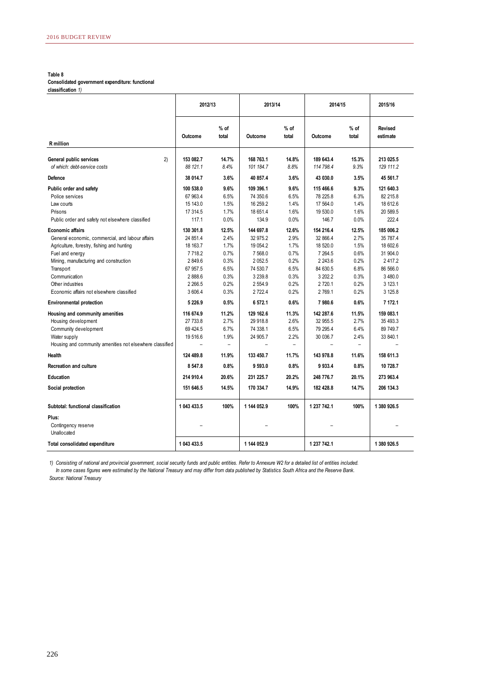### **Consolidated government expenditure: functional**

**classification** *1)*

|                                                               |                       | 2012/13                  |                        | 2013/14       | 2014/15                |                 | 2015/16                    |
|---------------------------------------------------------------|-----------------------|--------------------------|------------------------|---------------|------------------------|-----------------|----------------------------|
| R million                                                     | Outcome               | % of<br>total            | Outcome                | % of<br>total | Outcome                | $%$ of<br>total | <b>Revised</b><br>estimate |
|                                                               |                       |                          |                        |               |                        |                 |                            |
| 2)<br>General public services<br>of which: debt-service costs | 153 082.7<br>88 121.1 | 14.7%<br>8.4%            | 168 763.1<br>101 184.7 | 14.8%<br>8.8% | 189 643.4<br>114 798.4 | 15.3%<br>9.3%   | 213 025.5<br>129 111.2     |
| Defence                                                       | 38 014.7              | 3.6%                     | 40 857.4               | 3.6%          | 43 030.0               | 3.5%            | 45 561.7                   |
|                                                               |                       |                          |                        |               |                        |                 |                            |
| Public order and safety                                       | 100 538.0             | 9.6%                     | 109 396.1              | 9.6%          | 115 466.6              | 9.3%            | 121 640.3                  |
| Police services                                               | 67 963.4              | 6.5%                     | 74 350.6               | 6.5%          | 78 225.8               | 6.3%            | 82 215.8                   |
| Law courts                                                    | 15 143.0              | 1.5%                     | 16 259.2               | 1.4%          | 17 564.0               | 1.4%            | 18 612.6                   |
| Prisons                                                       | 17 314.5              | 1.7%                     | 18 651.4               | 1.6%          | 19 530.0               | 1.6%            | 20 589.5                   |
| Public order and safety not elsewhere classified              | 117.1                 | 0.0%                     | 134.9                  | 0.0%          | 146.7                  | 0.0%            | 222.4                      |
| Economic affairs                                              | 130 301.8             | 12.5%                    | 144 697.8              | 12.6%         | 154 216.4              | 12.5%           | 185 006.2                  |
| General economic, commercial, and labour affairs              | 24 851.4              | 2.4%                     | 32 975.2               | 2.9%          | 32 866.4               | 2.7%            | 35 787.4                   |
| Agriculture, forestry, fishing and hunting                    | 18 163.7              | 1.7%                     | 19 054.2               | 1.7%          | 18 520.0               | 1.5%            | 18 602.6                   |
| Fuel and energy                                               | 7 7 18.2              | 0.7%                     | 7 5 68.0               | 0.7%          | 7 264.5                | 0.6%            | 31 904.0                   |
| Mining, manufacturing and construction                        | 2849.6                | 0.3%                     | 2 0 5 2.5              | 0.2%          | 2 2 4 3 . 6            | 0.2%            | 2417.2                     |
| Transport                                                     | 67 957.5              | 6.5%                     | 74 530.7               | 6.5%          | 84 630.5               | 6.8%            | 86 566.0                   |
| Communication                                                 | 2888.6                | 0.3%                     | 3 2 3 9.8              | 0.3%          | 3 202.2                | 0.3%            | 3 480.0                    |
| Other industries                                              | 2 2 66.5              | 0.2%                     | 2 5 5 4 9              | 0.2%          | 2 7 2 0.1              | 0.2%            | 3 123.1                    |
| Economic affairs not elsewhere classified                     | 3 606.4               | 0.3%                     | 2 7 2 2.4              | 0.2%          | 2 769.1                | 0.2%            | 3 125.8                    |
| <b>Environmental protection</b>                               | 5 2 2 6.9             | 0.5%                     | 6 572.1                | 0.6%          | 7980.6                 | 0.6%            | 7 172.1                    |
| Housing and community amenities                               | 116 674.9             | 11.2%                    | 129 162.6              | 11.3%         | 142 287.6              | 11.5%           | 159 083.1                  |
| Housing development                                           | 27 733.8              | 2.7%                     | 29 918.8               | 2.6%          | 32 955.5               | 2.7%            | 35 493.3                   |
| Community development                                         | 69 424.5              | 6.7%                     | 74 338.1               | 6.5%          | 79 295.4               | 6.4%            | 89 749.7                   |
| Water supply                                                  | 19 516.6              | 1.9%                     | 24 905.7               | 2.2%          | 30 036.7               | 2.4%            | 33 840.1                   |
| Housing and community amenities not elsewhere classified      |                       | $\overline{\phantom{0}}$ |                        | $\equiv$      |                        | $\overline{a}$  |                            |
| Health                                                        | 124 489.8             | 11.9%                    | 133 450.7              | 11.7%         | 143 978.8              | 11.6%           | 158 611.3                  |
| <b>Recreation and culture</b>                                 | 8 5 4 7 . 8           | 0.8%                     | 9593.0                 | 0.8%          | 9933.4                 | 0.8%            | 10 728.7                   |
| Education                                                     | 214 910.4             | 20.6%                    | 231 225.7              | 20.2%         | 248 776.7              | 20.1%           | 273 963.4                  |
| Social protection                                             | 151 646.5             | 14.5%                    | 170 334.7              | 14.9%         | 182 428.8              | 14.7%           | 206 134.3                  |
| Subtotal: functional classification                           | 1 043 433.5           | 100%                     | 1 144 052.9            | 100%          | 1 237 742.1            | 100%            | 1 380 926.5                |
| Plus:                                                         |                       |                          |                        |               |                        |                 |                            |
| Contingency reserve<br>Unallocated                            |                       |                          |                        |               |                        |                 |                            |
| <b>Total consolidated expenditure</b>                         | 1 043 433.5           |                          | 1 144 052.9            |               | 1 237 742.1            |                 | 1 380 926.5                |

*1) Consisting of national and provincial government, social security funds and public entities. Refer to Annexure W2 for a detailed list of entities included.*

*In some cases figures were estimated by the National Treasury and may differ from data published by Statistics South Africa and the Reserve Bank.*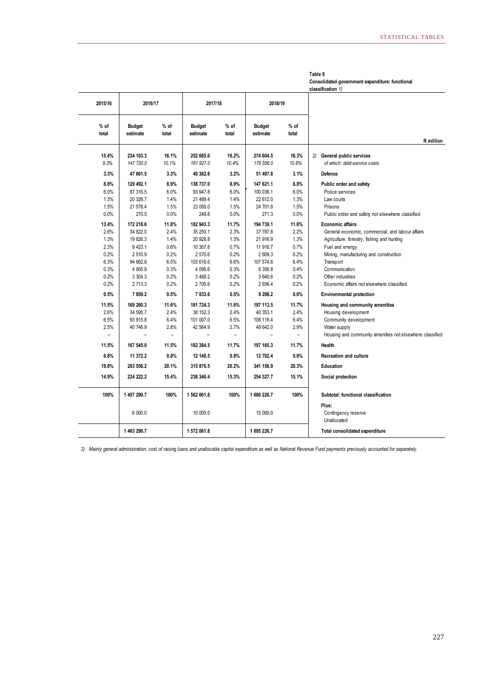|               |                        |                          |                        |                |                        |                | Table 8<br>Consolidated government expenditure: functional                                                                                                                 |
|---------------|------------------------|--------------------------|------------------------|----------------|------------------------|----------------|----------------------------------------------------------------------------------------------------------------------------------------------------------------------------|
|               |                        |                          |                        |                |                        |                | classification 1)                                                                                                                                                          |
| 2015/16       | 2016/17                |                          | 2017/18                |                | 2018/19                |                |                                                                                                                                                                            |
| $%$ of        | <b>Budget</b>          | $%$ of                   | <b>Budget</b>          | $%$ of         | <b>Budget</b>          | $%$ of         |                                                                                                                                                                            |
| total         | estimate               | total                    | estimate               | total          | estimate               | total          |                                                                                                                                                                            |
|               |                        |                          |                        |                |                        |                | R million                                                                                                                                                                  |
| 15.4%<br>9.3% | 234 103.3<br>147 720.0 | 16.1%<br>10.1%           | 252 685.0<br>161 927.0 | 16.2%<br>10.4% | 274 604.5<br>178 556.0 | 16.3%<br>10.6% | General public services<br>2)<br>of which: debt-service costs                                                                                                              |
| 3.3%          | 47 661.5               | 3.3%                     | 49 382.8               | 3.2%           | 51 497.8               | 3.1%           | Defence                                                                                                                                                                    |
| 8.8%          | 129 492.1              | 8.9%                     | 138 737.0              | 8.9%           | 147 621.1              | 8.8%           | Public order and safety                                                                                                                                                    |
| 6.0%          | 87 316.5               | 6.0%                     | 93 947.8               | 6.0%           | 100 036.1              | 6.0%           | Police services                                                                                                                                                            |
| 1.3%          | 20 326.7               | 1.4%                     | 21 489.4               | 1.4%           | 22 612.0               | 1.3%           | Law courts                                                                                                                                                                 |
| 1.5%          | 21 578.4               | 1.5%                     | 23 050.0               | 1.5%           | 24 701.8               | 1.5%           | Prisons                                                                                                                                                                    |
| 0.0%          | 270.5                  | 0.0%                     | 249.8                  | 0.0%           | 271.3                  | 0.0%           | Public order and safety not elsewhere classified                                                                                                                           |
| 13.4%         | 172 218.6              | 11.8%                    | 182 943.3              | 11.7%          | 194 739.1              | 11.6%          | <b>Economic affairs</b>                                                                                                                                                    |
| 2.6%<br>1.3%  | 34 822.0<br>19 826.3   | 2.4%<br>1.4%             | 35 250.1<br>20 928.8   | 2.3%<br>1.3%   | 37 787.8<br>21 916.9   | 2.2%<br>1.3%   | General economic, commercial, and labour affairs<br>Agriculture, forestry, fishing and hunting                                                                             |
| 2.3%          | 9 4 23.1               | 0.6%                     | 10 307.8               | 0.7%           | 11 916.7               | 0.7%           | Fuel and energy                                                                                                                                                            |
| 0.2%          | 2510.9                 | 0.2%                     | 2570.6                 | 0.2%           | 2 609.3                | 0.2%           | Mining, manufacturing and construction                                                                                                                                     |
| 6.3%          | 94 662.8               | 6.5%                     | 103 616.6              | 6.6%           | 107 574.6              | 6.4%           | Transport                                                                                                                                                                  |
| 0.3%          | 4 9 5 5.9              | 0.3%                     | 4 095.6                | 0.3%           | 6 356.8                | 0.4%           | Communication                                                                                                                                                              |
| 0.2%          | 3 3 0 4 . 3            | 0.2%                     | 3 4 68.2               | 0.2%           | 3 640.6                | 0.2%           | Other industries                                                                                                                                                           |
| 0.2%          | 2 7 1 3 . 3            | 0.2%                     | 2705.6                 | 0.2%           | 2 9 3 6.4              | 0.2%           | Economic affairs not elsewhere classified                                                                                                                                  |
| 0.5%          | 7859.2                 | 0.5%                     | 7833.6                 | 0.5%           | 9 2 9 8.2              | 0.6%           | <b>Environmental protection</b>                                                                                                                                            |
| 11.5%         | 169 260.3              | 11.6%                    | 181 724.3              | 11.6%          | 197 113.5              | 11.7%          | Housing and community amenities                                                                                                                                            |
| 2.6%          | 34 595.7               | 2.4%                     | 38 152.3               | 2.4%           | 40 353.1               | 2.4%           | Housing development                                                                                                                                                        |
| 6.5%<br>2.5%  | 93 915.8<br>40 748.9   | 6.4%<br>2.8%             | 101 007.0<br>42 564.9  | 6.5%<br>2.7%   | 108 118.4<br>48 642.0  | 6.4%<br>2.9%   | Community development<br>Water supply                                                                                                                                      |
|               |                        | $\overline{\phantom{0}}$ |                        |                |                        |                | Housing and community amenities not elsewhere classified                                                                                                                   |
| 11.5%         | 167 545.0              | 11.5%                    | 182 384.5              | 11.7%          | 197 165.3              | 11.7%          | <b>Health</b>                                                                                                                                                              |
| 0.8%          | 11 372.2               | 0.8%                     | 12 148.5               | 0.8%           | 12 702.4               | 0.8%           | <b>Recreation and culture</b>                                                                                                                                              |
| 19.8%         | 293 556.2              | 20.1%                    | 315 876.5              | 20.2%          | 341 156.9              | 20.3%          | Education                                                                                                                                                                  |
| 14.9%         | 224 222.2              | 15.4%                    | 238 346.4              | 15.3%          | 254 327.7              | 15.1%          | Social protection                                                                                                                                                          |
| 100%          | 1 457 290.7            | 100%                     | 1 562 061.8            | 100%           | 1680 226.7             | 100%           | Subtotal: functional classification                                                                                                                                        |
|               |                        |                          |                        |                |                        |                | Plus:                                                                                                                                                                      |
|               | 6 000.0                |                          | 10 000.0               |                | 15 000.0               |                | Contingency reserve<br>Unallocated                                                                                                                                         |
|               | 1 463 290.7            |                          | 1 572 061.8            |                | 1 695 226.7            |                | Total consolidated expenditure                                                                                                                                             |
|               |                        |                          |                        |                |                        |                |                                                                                                                                                                            |
|               |                        |                          |                        |                |                        |                | 2) Mainly general administration, cost of raising loans and unallocable capital expenditure as well as National Revenue Fund payments previously accounted for separately. |
|               |                        |                          |                        |                |                        |                | 227                                                                                                                                                                        |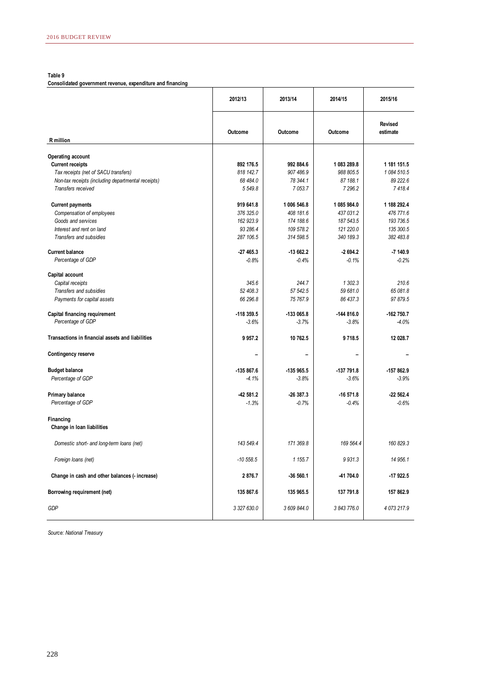**Consolidated government revenue, expenditure and financing**

| Consolidated government revenue, expenditure and financing |             |             |             |                            |
|------------------------------------------------------------|-------------|-------------|-------------|----------------------------|
|                                                            | 2012/13     | 2013/14     | 2014/15     | 2015/16                    |
| <b>R</b> million                                           | Outcome     | Outcome     | Outcome     | <b>Revised</b><br>estimate |
|                                                            |             |             |             |                            |
| <b>Operating account</b>                                   |             |             |             |                            |
| <b>Current receipts</b>                                    | 892 176.5   | 992 884.6   | 1 083 289.8 | 1 181 151.5                |
| Tax receipts (net of SACU transfers)                       | 818 142.7   | 907 486.9   | 988 805.5   | 1 084 510.5                |
| Non-tax receipts (including departmental receipts)         | 68 484.0    | 78 344.1    | 87 188.1    | 89 222.6                   |
| Transfers received                                         | 5 5 4 9.8   | 7 0 5 3.7   | 7 296.2     | 7418.4                     |
| <b>Current payments</b>                                    | 919 641.8   | 1 006 546.8 | 1 085 984.0 | 1 188 292.4                |
| Compensation of employees                                  | 376 325.0   | 408 181.6   | 437 031.2   | 476 771.6                  |
| Goods and services                                         | 162 923.9   | 174 188.6   | 187 543.5   | 193 736.5                  |
| Interest and rent on land                                  | 93 286.4    | 109 578.2   | 121 220.0   | 135 300.5                  |
| Transfers and subsidies                                    | 287 106.5   | 314 598.5   | 340 189.3   | 382 483.8                  |
| <b>Current balance</b>                                     | $-27465.3$  | $-13662.2$  | $-2694.2$   | $-7140.9$                  |
| Percentage of GDP                                          | $-0.8%$     | $-0.4%$     | -0.1%       | $-0.2%$                    |
| Capital account                                            |             |             |             |                            |
| Capital receipts                                           | 345.6       | 244.7       | 1 302.3     | 210.6                      |
| Transfers and subsidies                                    | 52 408.3    | 57 542.5    | 59 681.0    | 65 081.8                   |
| Payments for capital assets                                | 66 296.8    | 75 767.9    | 86 437.3    | 97 879.5                   |
|                                                            |             |             |             |                            |
| Capital financing requirement                              | -118 359.5  | -133 065.8  | $-144816.0$ | -162 750.7                 |
| Percentage of GDP                                          | $-3.6%$     | $-3.7%$     | $-3.8%$     | $-4.0%$                    |
| Transactions in financial assets and liabilities           | 9957.2      | 10 762.5    | 9718.5      | 12 028.7                   |
| <b>Contingency reserve</b>                                 | ۰           |             |             |                            |
| <b>Budget balance</b>                                      | -135 867.6  | -135 965.5  | -137 791.8  | -157 862.9                 |
| Percentage of GDP                                          | $-4.1%$     | $-3.8%$     | $-3.6%$     | $-3.9%$                    |
| <b>Primary balance</b>                                     | -42 581.2   | $-26387.3$  | $-16571.8$  | $-22562.4$                 |
| Percentage of GDP                                          | $-1.3%$     | $-0.7%$     | $-0.4%$     | $-0.6%$                    |
| Financing<br>Change in Ioan liabilities                    |             |             |             |                            |
| Domestic short- and long-term loans (net)                  | 143 549.4   | 171 369.8   | 169 564.4   | 160 829.3                  |
| Foreign loans (net)                                        | $-10558.5$  | 1 155.7     | 9 9 3 1.3   | 14 956.1                   |
| Change in cash and other balances (- increase)             | 2876.7      | $-36560.1$  | -41 704.0   | -17 922.5                  |
| Borrowing requirement (net)                                | 135 867.6   | 135 965.5   | 137 791.8   | 157 862.9                  |
| GDP                                                        | 3 327 630.0 | 3 609 844.0 | 3 843 776.0 | 4 073 217.9                |
|                                                            |             |             |             |                            |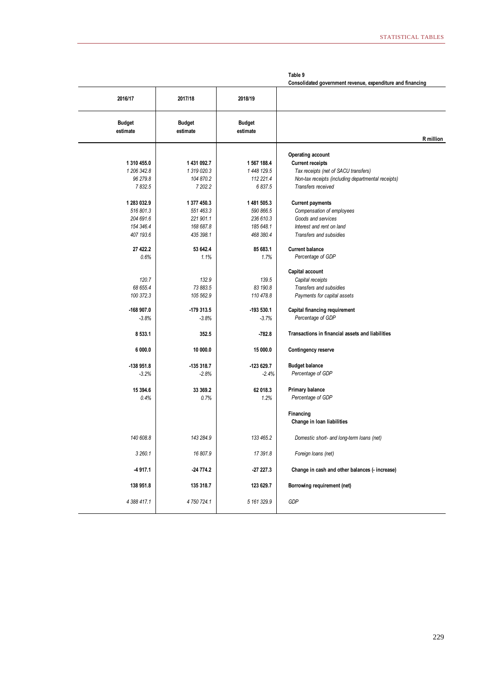| 2016/17       | 2017/18       | 2018/19       |                                                    |           |
|---------------|---------------|---------------|----------------------------------------------------|-----------|
| <b>Budget</b> | <b>Budget</b> | <b>Budget</b> |                                                    |           |
| estimate      | estimate      | estimate      |                                                    | R million |
|               |               |               | <b>Operating account</b>                           |           |
| 1 310 455.0   | 1 431 092.7   | 1 567 188.4   | <b>Current receipts</b>                            |           |
| 1 206 342.8   | 1 319 020.3   | 1 448 129.5   | Tax receipts (net of SACU transfers)               |           |
| 96 279.8      | 104 870.2     | 112 221.4     | Non-tax receipts (including departmental receipts) |           |
| 7832.5        | 7 202.2       | 6837.5        | Transfers received                                 |           |
| 1 283 032.9   | 1 377 450.3   | 1 481 505.3   | <b>Current payments</b>                            |           |
| 516 801.3     | 551 463.3     | 590 866.5     | Compensation of employees                          |           |
| 204 691.6     | 221 901.1     | 236 610.3     | Goods and services                                 |           |
| 154 346.4     | 168 687.8     | 185 648.1     | Interest and rent on land                          |           |
| 407 193.6     | 435 398.1     | 468 380.4     | Transfers and subsidies                            |           |
| 27 422.2      | 53 642.4      | 85 683.1      | <b>Current balance</b>                             |           |
| 0.6%          | 1.1%          | 1.7%          | Percentage of GDP                                  |           |
|               |               |               | Capital account                                    |           |
| 120.7         | 132.9         | 139.5         | Capital receipts                                   |           |
| 68 655.4      | 73 883.5      | 83 190.8      | Transfers and subsidies                            |           |
| 100 372.3     | 105 562.9     | 110 478.8     | Payments for capital assets                        |           |
| $-168907.0$   | -179 313.5    | -193 530.1    | Capital financing requirement                      |           |
| $-3.8%$       | $-3.8%$       | $-3.7%$       | Percentage of GDP                                  |           |
| 8 533.1       | 352.5         | $-782.8$      | Transactions in financial assets and liabilities   |           |
| 6 000.0       | 10 000.0      | 15 000.0      | <b>Contingency reserve</b>                         |           |
| $-138951.8$   | -135 318.7    | -123 629.7    | <b>Budget balance</b>                              |           |
| $-3.2%$       | $-2.8%$       | $-2.4%$       | Percentage of GDP                                  |           |
| 15 394.6      | 33 369.2      | 62 018.3      | Primary balance                                    |           |
| 0.4%          | 0.7%          | 1.2%          | Percentage of GDP                                  |           |
|               |               |               | Financing                                          |           |
|               |               |               | Change in Ioan liabilities                         |           |
| 140 608.8     | 143 284.9     | 133 465.2     | Domestic short- and long-term loans (net)          |           |
| 3 260.1       | 16 807.9      | 17 391.8      | Foreign loans (net)                                |           |
| -4917.1       | $-24774.2$    | $-27227.3$    | Change in cash and other balances (- increase)     |           |
| 138 951.8     | 135 318.7     | 123 629.7     | Borrowing requirement (net)                        |           |
|               | 4 750 724.1   | 5 161 329.9   | GDP                                                |           |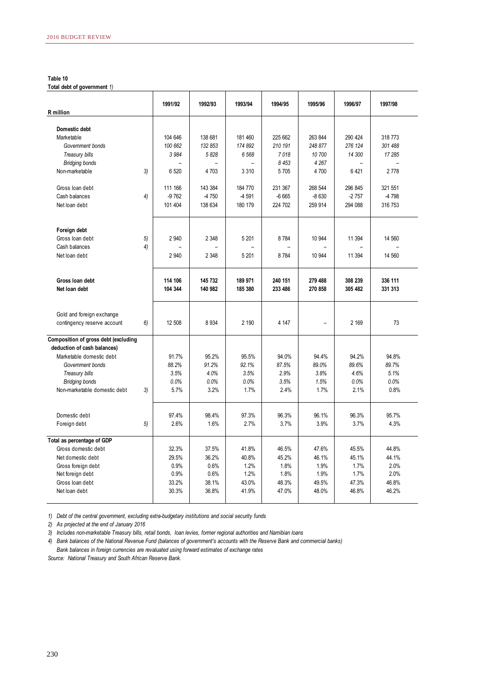Total debt of government 1)

|                                             |    | 1991/92 | 1992/93 | 1993/94 | 1994/95 | 1995/96 | 1996/97 | 1997/98 |
|---------------------------------------------|----|---------|---------|---------|---------|---------|---------|---------|
| R million                                   |    |         |         |         |         |         |         |         |
|                                             |    |         |         |         |         |         |         |         |
| Domestic debt                               |    |         |         |         |         |         |         |         |
| Marketable                                  |    | 104 646 | 138 681 | 181 460 | 225 662 | 263 844 | 290 424 | 318 773 |
| Government bonds                            |    | 100 662 | 132 853 | 174 892 | 210 191 | 248 877 | 276 124 | 301 488 |
| Treasury bills                              |    | 3984    | 5828    | 6 5 68  | 7018    | 10 700  | 14 300  | 17 285  |
| <b>Bridging bonds</b>                       |    |         |         |         | 8 4 5 3 | 4 2 6 7 |         |         |
| Non-marketable                              | 3) | 6 5 20  | 4 703   | 3 3 1 0 | 5 7 0 5 | 4700    | 6421    | 2 7 7 8 |
| Gross Ioan debt                             |    | 111 166 | 143 384 | 184 770 | 231 367 | 268 544 | 296 845 | 321 551 |
| Cash balances                               | 4) | $-9762$ | -4 750  | -4 591  | $-6665$ | $-8630$ | $-2757$ | -4798   |
| Net loan debt                               |    | 101 404 | 138 634 | 180 179 | 224 702 | 259 914 | 294 088 | 316 753 |
|                                             |    |         |         |         |         |         |         |         |
| Foreign debt<br>Gross Ioan debt             |    | 2 9 4 0 | 2 3 4 8 | 5 201   | 8784    | 10 944  | 11 394  | 14 560  |
| Cash balances                               | 5) |         |         |         |         |         |         |         |
|                                             | 4) |         |         |         |         |         |         |         |
| Net loan debt                               |    | 2 9 4 0 | 2 3 4 8 | 5 201   | 8784    | 10 944  | 11 394  | 14 560  |
| Gross Ioan debt                             |    | 114 106 | 145 732 | 189 971 | 240 151 | 279 488 | 308 239 | 336 111 |
| Net Ioan debt                               |    | 104 344 | 140 982 | 185 380 | 233 486 | 270 858 | 305 482 | 331 313 |
|                                             |    |         |         |         |         |         |         |         |
|                                             |    |         |         |         |         |         |         |         |
| Gold and foreign exchange                   |    |         |         |         |         |         |         |         |
| contingency reserve account                 | 6) | 12 508  | 8 9 3 4 | 2 190   | 4 1 4 7 |         | 2 1 6 9 | 73      |
| <b>Composition of gross debt (excluding</b> |    |         |         |         |         |         |         |         |
| deduction of cash balances)                 |    |         |         |         |         |         |         |         |
| Marketable domestic debt                    |    | 91.7%   | 95.2%   | 95.5%   | 94.0%   | 94.4%   | 94.2%   | 94.8%   |
| Government bonds                            |    | 88.2%   | 91.2%   | 92.1%   | 87.5%   | 89.0%   | 89.6%   | 89.7%   |
| Treasury bills                              |    | 3.5%    | 4.0%    | 3.5%    | 2.9%    | 3.8%    | 4.6%    | 5.1%    |
| <b>Bridging bonds</b>                       |    | 0.0%    | 0.0%    | 0.0%    | 3.5%    | 1.5%    | 0.0%    | 0.0%    |
| Non-marketable domestic debt                | 3) | 5.7%    | 3.2%    | 1.7%    | 2.4%    | 1.7%    | 2.1%    | 0.8%    |
| Domestic debt                               |    | 97.4%   | 98.4%   | 97.3%   | 96.3%   | 96.1%   | 96.3%   | 95.7%   |
|                                             | 5) | 2.6%    | 1.6%    | 2.7%    | 3.7%    | 3.9%    | 3.7%    | 4.3%    |
| Foreign debt                                |    |         |         |         |         |         |         |         |
| Total as percentage of GDP                  |    |         |         |         |         |         |         |         |
| Gross domestic debt                         |    | 32.3%   | 37.5%   | 41.8%   | 46.5%   | 47.6%   | 45.5%   | 44.8%   |
| Net domestic debt                           |    | 29.5%   | 36.2%   | 40.8%   | 45.2%   | 46.1%   | 45.1%   | 44.1%   |
| Gross foreign debt                          |    | 0.9%    | 0.6%    | 1.2%    | 1.8%    | 1.9%    | 1.7%    | 2.0%    |
| Net foreign debt                            |    | 0.9%    | 0.6%    | 1.2%    | 1.8%    | 1.9%    | 1.7%    | 2.0%    |
| Gross Ioan debt                             |    | 33.2%   | 38.1%   | 43.0%   | 48.3%   | 49.5%   | 47.3%   | 46.8%   |
| Net loan debt                               |    | 30.3%   | 36.8%   | 41.9%   | 47.0%   | 48.0%   | 46.8%   | 46.2%   |
|                                             |    |         |         |         |         |         |         |         |

*1) Debt of the central government, excluding extra-budgetary institutions and social security funds*

*2) As projected at the end of January 2016*

*3) Includes non-marketable Treasury bills, retail bonds, loan levies, former regional authorities and Namibian loans*

*4) Bank balances of the National Revenue Fund (balances of government's accounts with the Reserve Bank and commercial banks)*

*Bank balances in foreign currencies are revaluated using forward estimates of exchange rates Source: National Treasury and South African Reserve Bank.*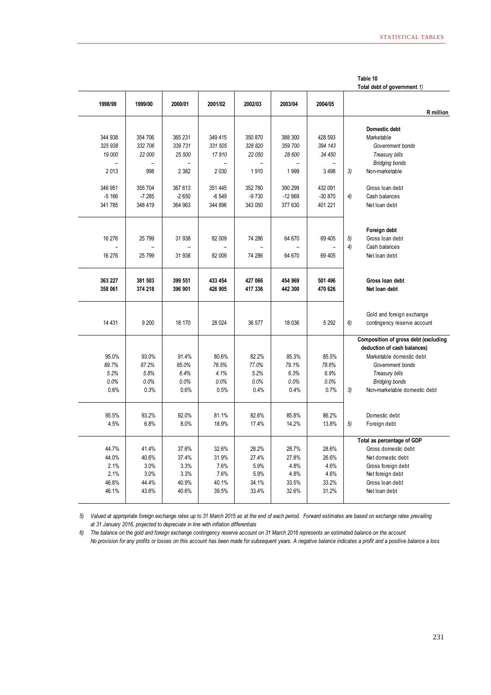| 1998/99<br>1999/00<br>2000/01<br>2001/02<br>2002/03<br>2003/04<br>2004/05<br>Domestic debt                                                                                                 |           |
|--------------------------------------------------------------------------------------------------------------------------------------------------------------------------------------------|-----------|
|                                                                                                                                                                                            | R million |
|                                                                                                                                                                                            |           |
|                                                                                                                                                                                            |           |
| 344 938<br>354 706<br>365 231<br>349 415<br>350 870<br>388 300<br>428 593<br>Marketable                                                                                                    |           |
| 332 706<br>339 731<br>331 505<br>328 820<br>394 143<br>325 938<br>359 700<br>Government bonds                                                                                              |           |
| 19 000<br>22 000<br>25 500<br>17910<br>34 450<br>22 050<br>28 600<br>Treasury bills                                                                                                        |           |
| <b>Bridging bonds</b>                                                                                                                                                                      |           |
| 2013<br>998<br>2 3 8 2<br>2 0 3 0<br>1910<br>1 9 9 9<br>3 4 9 8<br>3)<br>Non-marketable                                                                                                    |           |
| 346 951<br>355 704<br>367 613<br>351 445<br>352 780<br>390 299<br>432 091<br>Gross loan debt                                                                                               |           |
| $-5166$<br>$-7285$<br>$-2650$<br>$-6549$<br>-9 730<br>$-30870$<br>4)<br>$-12669$<br>Cash balances                                                                                          |           |
| 341 785<br>364 963<br>401 221<br>348 419<br>344 896<br>343 050<br>377 630<br>Net loan debt                                                                                                 |           |
| Foreign debt                                                                                                                                                                               |           |
| 16 276<br>25 799<br>31 938<br>82 009<br>74 286<br>64 670<br>69 40 5<br>Gross loan debt<br>5)                                                                                               |           |
| 4)<br>Cash balances                                                                                                                                                                        |           |
| 16 276<br>74 286<br>25 799<br>31 938<br>82 009<br>64 670<br>69 40 5<br>Net loan debt                                                                                                       |           |
|                                                                                                                                                                                            |           |
| 363 227<br>381 503<br>399 551<br>433 454<br>427 066<br>454 969<br>501 496<br>Gross Ioan debt<br>358 061<br>374 218<br>396 901<br>426 905<br>417 336<br>442 300<br>470 626<br>Net Ioan debt |           |
|                                                                                                                                                                                            |           |
| Gold and foreign exchange                                                                                                                                                                  |           |
| 14 4 31<br>9 200<br>18 170<br>28 0 24<br>18 0 36<br>5 2 9 2<br>6)<br>36 577<br>contingency reserve account                                                                                 |           |
| Composition of gross debt (excluding                                                                                                                                                       |           |
| deduction of cash balances)                                                                                                                                                                |           |
| 95.0%<br>93.0%<br>91.4%<br>80.6%<br>82.2%<br>85.3%<br>85.5%<br>Marketable domestic debt<br>89.7%<br>87.2%<br>85.0%<br>76.5%<br>77.0%<br>79.1%<br>78.6%                                     |           |
| Government bonds<br>5.2%<br>5.8%<br>4.1%<br>5.2%<br>6.3%<br>6.9%<br>6.4%<br>Treasury bills                                                                                                 |           |
| 0.0%<br>0.0%<br>0.0%<br>0.0%<br>0.0%<br>0.0%<br>0.0%<br><b>Bridging bonds</b>                                                                                                              |           |
| 0.6%<br>0.3%<br>0.6%<br>0.5%<br>0.4%<br>0.4%<br>0.7%<br>3)<br>Non-marketable domestic debt                                                                                                 |           |
|                                                                                                                                                                                            |           |
| 95.5%<br>93.2%<br>92.0%<br>81.1%<br>82.6%<br>85.8%<br>86.2%<br>Domestic debt                                                                                                               |           |
| 4.5%<br>6.8%<br>8.0%<br>18.9%<br>17.4%<br>14.2%<br>13.8%<br>5)<br>Foreign debt                                                                                                             |           |
| Total as percentage of GDP                                                                                                                                                                 |           |
| 44.7%<br>41.4%<br>32.6%<br>28.2%<br>28.7%<br>28.6%<br>37.6%<br>Gross domestic debt                                                                                                         |           |
| 44.0%<br>40.6%<br>37.4%<br>31.9%<br>27.4%<br>27.8%<br>26.6%<br>Net domestic debt                                                                                                           |           |
| 2.1%<br>5.9%<br>3.0%<br>3.3%<br>7.6%<br>4.8%<br>4.6%<br>Gross foreign debt                                                                                                                 |           |
| 2.1%<br>3.0%<br>3.3%<br>5.9%<br>4.8%<br>7.6%<br>4.6%<br>Net foreign debt                                                                                                                   |           |
| 46.8%<br>44.4%<br>40.9%<br>40.1%<br>34.1%<br>33.5%<br>33.2%<br>Gross loan debt                                                                                                             |           |
| 46.1%<br>43.6%<br>40.6%<br>39.5%<br>32.6%<br>31.2%<br>Net loan debt<br>33.4%                                                                                                               |           |

Table 10 Total debt of government 1)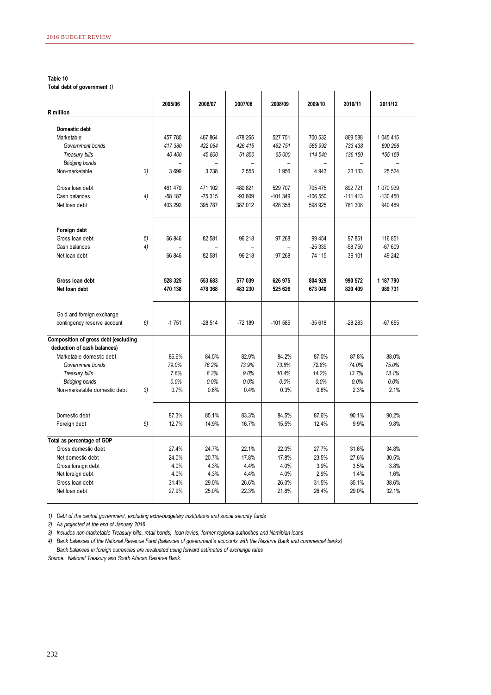Total debt of government 1)

|                                             |    | 2005/06  | 2006/07  | 2007/08  | 2008/09   | 2009/10      | 2010/11      | 2011/12   |
|---------------------------------------------|----|----------|----------|----------|-----------|--------------|--------------|-----------|
| R million                                   |    |          |          |          |           |              |              |           |
| Domestic debt                               |    |          |          |          |           |              |              |           |
| Marketable                                  |    | 457 780  | 467 864  | 478 265  | 527 751   | 700 532      | 869 588      | 1 045 415 |
|                                             |    |          |          |          |           |              |              |           |
| Government bonds                            |    | 417 380  | 422 064  | 426 415  | 462 751   | 585 992      | 733 438      | 890 256   |
| Treasury bills                              |    | 40 400   | 45 800   | 51 850   | 65 000    | 114 540      | 136 150      | 155 159   |
| <b>Bridging bonds</b>                       |    |          |          |          |           |              |              |           |
| Non-marketable                              | 3) | 3699     | 3 2 3 8  | 2 5 5 5  | 1956      | 4 9 4 3      | 23 133       | 25 5 24   |
| Gross Ioan debt                             |    | 461 479  | 471 102  | 480 821  | 529 707   | 705 475      | 892 721      | 1 070 939 |
| Cash balances                               | 4) | $-58187$ | $-75315$ | $-93809$ | $-101349$ | $-106550$    | $-111413$    | $-130450$ |
| Net loan debt                               |    | 403 292  | 395 787  | 387 012  | 428 358   | 598 925      | 781 308      | 940 489   |
|                                             |    |          |          |          |           |              |              |           |
| Foreign debt                                |    |          |          |          |           |              |              |           |
| Gross Ioan debt                             | 5) | 66 846   | 82 581   | 96 218   | 97 268    | 99 454       | 97 851       | 116 851   |
| Cash balances                               | 4) |          |          |          |           | $-25339$     | -58 750      | $-67609$  |
| Net loan debt                               |    | 66 846   | 82 581   | 96 218   | 97 268    | 74 115       | 39 101       | 49 24 2   |
|                                             |    |          |          |          |           |              |              |           |
| Gross Ioan debt                             |    | 528 325  | 553 683  | 577 039  | 626 975   | 804 929      | 990 572      | 1 187 790 |
| Net Ioan debt                               |    | 470 138  | 478 368  | 483 230  | 525 626   | 673 040      | 820 409      | 989 731   |
|                                             |    |          |          |          |           |              |              |           |
|                                             |    |          |          |          |           |              |              |           |
| Gold and foreign exchange                   |    |          |          |          |           |              |              |           |
| contingency reserve account                 | 6) | $-1751$  | $-28514$ | $-72189$ | $-101585$ | $-35618$     | $-28283$     | $-67655$  |
|                                             |    |          |          |          |           |              |              |           |
| <b>Composition of gross debt (excluding</b> |    |          |          |          |           |              |              |           |
| deduction of cash balances)                 |    |          |          |          |           |              |              |           |
| Marketable domestic debt                    |    | 86.6%    | 84.5%    | 82.9%    | 84.2%     | 87.0%        | 87.8%        | 88.0%     |
| Government bonds                            |    | 79.0%    | 76.2%    | 73.9%    | 73.8%     | 72.8%        | 74.0%        | 75.0%     |
| Treasury bills                              |    | 7.6%     | 8.3%     | 9.0%     | 10.4%     | 14.2%        | 13.7%        | 13.1%     |
| <b>Bridging bonds</b>                       |    | 0.0%     | 0.0%     | 0.0%     | 0.0%      | 0.0%         | 0.0%         | 0.0%      |
| Non-marketable domestic debt                | 3) | 0.7%     | 0.6%     | 0.4%     | 0.3%      | 0.6%         | 2.3%         | 2.1%      |
|                                             |    |          |          |          |           |              |              |           |
| Domestic debt                               |    | 87.3%    | 85.1%    | 83.3%    | 84.5%     | 87.6%        | 90.1%        | 90.2%     |
| Foreign debt                                | 5) | 12.7%    | 14.9%    | 16.7%    | 15.5%     | 12.4%        | 9.9%         | 9.8%      |
| Total as percentage of GDP                  |    |          |          |          |           |              |              |           |
| Gross domestic debt                         |    | 27.4%    | 24.7%    | 22.1%    | 22.0%     | 27.7%        | 31.6%        | 34.8%     |
| Net domestic debt                           |    | 24.0%    | 20.7%    | 17.8%    | 17.8%     | 23.5%        | 27.6%        | 30.5%     |
|                                             |    | 4.0%     | 4.3%     | 4.4%     | 4.0%      |              |              | 3.8%      |
| Gross foreign debt                          |    | 4.0%     | 4.3%     | 4.4%     | 4.0%      | 3.9%<br>2.9% | 3.5%<br>1.4% | 1.6%      |
| Net foreign debt                            |    |          |          |          |           |              |              |           |
| Gross Ioan debt                             |    | 31.4%    | 29.0%    | 26.6%    | 26.0%     | 31.5%        | 35.1%        | 38.6%     |
| Net loan debt                               |    | 27.9%    | 25.0%    | 22.3%    | 21.8%     | 26.4%        | 29.0%        | 32.1%     |

*1) Debt of the central government, excluding extra-budgetary institutions and social security funds*

*2) As projected at the end of January 2016*

*3) Includes non-marketable Treasury bills, retail bonds, loan levies, former regional authorities and Namibian loans*

*4) Bank balances of the National Revenue Fund (balances of government's accounts with the Reserve Bank and commercial banks)*

*Bank balances in foreign currencies are revaluated using forward estimates of exchange rates Source: National Treasury and South African Reserve Bank.*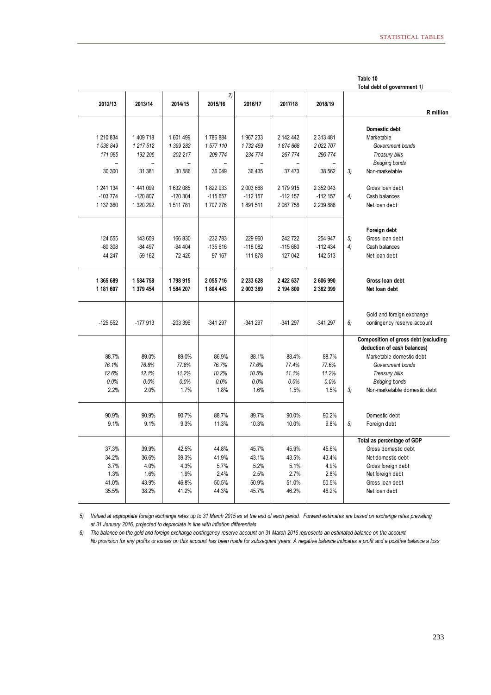|               |                                                                                  |               |                |                |                |               |    | Table 10<br>Total debt of government 1)                                                                                                                        |
|---------------|----------------------------------------------------------------------------------|---------------|----------------|----------------|----------------|---------------|----|----------------------------------------------------------------------------------------------------------------------------------------------------------------|
|               |                                                                                  |               | 2)             |                |                |               |    |                                                                                                                                                                |
| 2012/13       | 2013/14                                                                          | 2014/15       | 2015/16        | 2016/17        | 2017/18        | 2018/19       |    |                                                                                                                                                                |
|               |                                                                                  |               |                |                |                |               |    | R million                                                                                                                                                      |
|               |                                                                                  |               |                |                |                |               |    | Domestic debt                                                                                                                                                  |
| 1 210 834     | 1 409 718                                                                        | 1 601 499     | 1786884        | 1 967 233      | 2 142 442      | 2 313 481     |    | Marketable                                                                                                                                                     |
| 1 038 849     | 1 217 512                                                                        | 1 399 282     | 1 577 110      | 1 732 459      | 1874668        | 2 022 707     |    | Government bonds                                                                                                                                               |
| 171 985       | 192 206                                                                          | 202 217       | 209 774        | 234 774        | 267 774        | 290 774       |    | Treasury bills                                                                                                                                                 |
|               |                                                                                  |               |                |                |                |               |    | <b>Bridging bonds</b>                                                                                                                                          |
| 30 300        | 31 381                                                                           | 30 586        | 36 049         | 36 435         | 37473          | 38 562        | 3) | Non-marketable                                                                                                                                                 |
| 1 241 134     | 1441099                                                                          | 1 632 085     | 1822933        | 2 003 668      | 2 179 915      | 2 352 043     |    | Gross loan debt                                                                                                                                                |
| $-103774$     | $-120807$                                                                        | $-120304$     | $-115657$      | $-112157$      | $-112$ 157     | $-112$ 157    | 4) | Cash balances                                                                                                                                                  |
| 1 137 360     | 1 320 292                                                                        | 1 511 781     | 1707276        | 1891511        | 2 067 758      | 2 239 886     |    | Net loan debt                                                                                                                                                  |
|               |                                                                                  |               |                |                |                |               |    |                                                                                                                                                                |
|               |                                                                                  |               |                |                |                |               |    |                                                                                                                                                                |
|               |                                                                                  |               |                |                |                |               |    | Foreign debt                                                                                                                                                   |
| 124 555       | 143 659                                                                          | 166 830       | 232 783        | 229 960        | 242722         | 254 947       | 5) | Gross loan debt                                                                                                                                                |
| $-80308$      | $-84497$                                                                         | $-94404$      | $-135616$      | -118 082       | $-115680$      | $-112434$     | 4) | Cash balances                                                                                                                                                  |
| 44 247        | 59 162                                                                           | 72 4 26       | 97 167         | 111 878        | 127 042        | 142 513       |    | Net loan debt                                                                                                                                                  |
|               |                                                                                  |               |                |                |                |               |    |                                                                                                                                                                |
| 1 365 689     | 1 584 758                                                                        | 1798915       | 2 055 716      | 2 233 628      | 2 422 637      | 2 606 990     |    | Gross Ioan debt                                                                                                                                                |
| 1 181 607     | 1 379 454                                                                        | 1 584 207     | 1804 443       | 2 003 389      | 2 194 800      | 2 382 399     |    | Net Ioan debt                                                                                                                                                  |
|               |                                                                                  |               |                |                |                |               |    |                                                                                                                                                                |
|               |                                                                                  |               |                |                |                |               |    |                                                                                                                                                                |
|               |                                                                                  |               |                |                |                |               |    | Gold and foreign exchange                                                                                                                                      |
| $-125552$     | $-177913$                                                                        | -203 396      | $-341297$      | -341 297       | -341 297       | $-341297$     | 6) | contingency reserve account                                                                                                                                    |
|               |                                                                                  |               |                |                |                |               |    | Composition of gross debt (excluding                                                                                                                           |
|               |                                                                                  |               |                |                |                |               |    | deduction of cash balances)                                                                                                                                    |
| 88.7%         | 89.0%                                                                            | 89.0%         | 86.9%          | 88.1%          | 88.4%          | 88.7%         |    | Marketable domestic debt                                                                                                                                       |
| 76.1%         | 76.8%                                                                            | 77.8%         | 76.7%          | 77.6%          | 77.4%          | 77.6%         |    | Government bonds                                                                                                                                               |
| 12.6%         | 12.1%                                                                            | 11.2%         | 10.2%          | 10.5%          | 11.1%          | 11.2%         |    | Treasury bills                                                                                                                                                 |
| 0.0%          | 0.0%                                                                             | 0.0%          | 0.0%           | 0.0%           | 0.0%           | 0.0%          |    | <b>Bridging bonds</b>                                                                                                                                          |
| 2.2%          | 2.0%                                                                             | 1.7%          | 1.8%           | 1.6%           | 1.5%           | 1.5%          | 3) | Non-marketable domestic debt                                                                                                                                   |
|               |                                                                                  |               |                |                |                |               |    |                                                                                                                                                                |
|               |                                                                                  |               |                |                |                |               |    |                                                                                                                                                                |
| 90.9%<br>9.1% | 90.9%<br>9.1%                                                                    | 90.7%<br>9.3% | 88.7%<br>11.3% | 89.7%<br>10.3% | 90.0%<br>10.0% | 90.2%<br>9.8% | 5) | Domestic debt<br>Foreign debt                                                                                                                                  |
|               |                                                                                  |               |                |                |                |               |    |                                                                                                                                                                |
|               |                                                                                  |               |                |                |                |               |    | Total as percentage of GDP                                                                                                                                     |
| 37.3%         | 39.9%                                                                            | 42.5%         | 44.8%          | 45.7%          | 45.9%          | 45.6%         |    | Gross domestic debt                                                                                                                                            |
| 34.2%         | 36.6%                                                                            | 39.3%         | 41.9%          | 43.1%          | 43.5%          | 43.4%         |    | Net domestic debt                                                                                                                                              |
| 3.7%          | 4.0%                                                                             | 4.3%          | 5.7%           | 5.2%           | 5.1%           | 4.9%          |    | Gross foreign debt                                                                                                                                             |
| 1.3%          | 1.6%                                                                             | 1.9%          | 2.4%           | 2.5%           | 2.7%           | 2.8%          |    | Net foreign debt                                                                                                                                               |
| 41.0%         | 43.9%                                                                            | 46.8%         | 50.5%          | 50.9%          | 51.0%          | 50.5%         |    | Gross loan debt                                                                                                                                                |
| 35.5%         | 38.2%                                                                            | 41.2%         | 44.3%          | 45.7%          | 46.2%          | 46.2%         |    | Net loan debt                                                                                                                                                  |
|               |                                                                                  |               |                |                |                |               |    |                                                                                                                                                                |
| 5)            |                                                                                  |               |                |                |                |               |    | Valued at appropriate foreign exchange rates up to 31 March 2015 as at the end of each period. Forward estimates are based on exchange rates prevailing        |
|               | at 31 January 2016, projected to depreciate in line with inflation differentials |               |                |                |                |               |    |                                                                                                                                                                |
| 6)            |                                                                                  |               |                |                |                |               |    | The balance on the gold and foreign exchange contingency reserve account on 31 March 2016 represents an estimated balance on the account                       |
|               |                                                                                  |               |                |                |                |               |    | No provision for any profits or losses on this account has been made for subsequent years. A negative balance indicates a profit and a positive balance a loss |
|               |                                                                                  |               |                |                |                |               |    |                                                                                                                                                                |
|               |                                                                                  |               |                |                |                |               |    |                                                                                                                                                                |
|               |                                                                                  |               |                |                |                |               |    |                                                                                                                                                                |
|               |                                                                                  |               |                |                |                |               |    |                                                                                                                                                                |
|               |                                                                                  |               |                |                |                |               |    |                                                                                                                                                                |
|               |                                                                                  |               |                |                |                |               |    |                                                                                                                                                                |
|               |                                                                                  |               |                |                |                |               |    |                                                                                                                                                                |
|               |                                                                                  |               |                |                |                |               |    |                                                                                                                                                                |
|               |                                                                                  |               |                |                |                |               |    |                                                                                                                                                                |
|               |                                                                                  |               |                |                |                |               |    |                                                                                                                                                                |
|               |                                                                                  |               |                |                |                |               |    | 233                                                                                                                                                            |

Table 10 Total debt of government 1)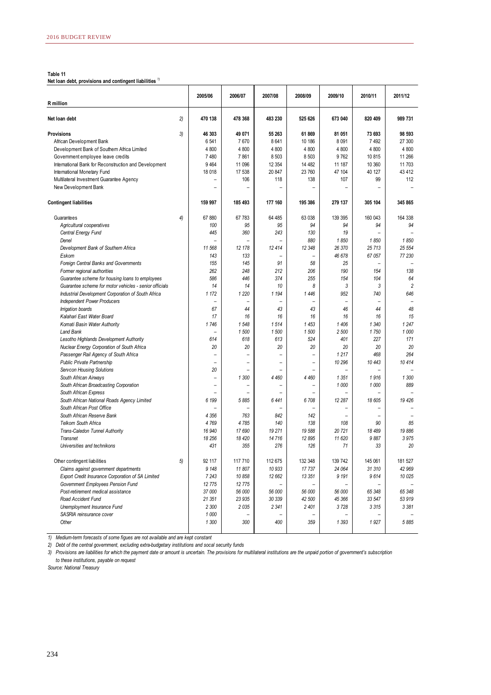### **Net loan debt, provisions and contingent liabilities** *1)*

| Net ioan debt, provisions and contingent nabilities    |    |                          |                          |                          |                          |                          |         |                |
|--------------------------------------------------------|----|--------------------------|--------------------------|--------------------------|--------------------------|--------------------------|---------|----------------|
|                                                        |    | 2005/06                  | 2006/07                  | 2007/08                  | 2008/09                  | 2009/10                  | 2010/11 | 2011/12        |
| R million                                              |    |                          |                          |                          |                          |                          |         |                |
| Net loan debt                                          | 2) | 470 138                  | 478 368                  | 483 230                  | 525 626                  | 673 040                  | 820 409 | 989 731        |
|                                                        |    |                          |                          |                          |                          |                          |         |                |
| <b>Provisions</b>                                      | 3) | 46 303                   | 49 071                   | 55 263                   | 61 869                   | 81 051                   | 73 693  | 98 593         |
| African Development Bank                               |    | 6 5 41                   | 7670                     | 8641                     | 10 186                   | 8 0 9 1                  | 7 4 9 2 | 27 300         |
| Development Bank of Southern Africa Limited            |    | 4 800                    | 4 800                    | 4 800                    | 4 800                    | 4 800                    | 4 800   | 4 800          |
| Government employee leave credits                      |    | 7480                     | 7861                     | 8 5 0 3                  | 8 5 0 3                  | 9762                     | 10815   | 11 266         |
| International Bank for Reconstruction and Development  |    | 9 4 6 4                  | 11 096                   | 12 3 54                  | 14 482                   | 11 187                   | 10 360  | 11 703         |
| International Monetary Fund                            |    | 18 018                   | 17 538                   | 20 847                   | 23 760                   | 47 104                   | 40 127  | 43 412         |
| Multilateral Investment Guarantee Agency               |    |                          | 106                      | 118                      | 138                      | 107                      | 99      | 112            |
| New Development Bank                                   |    |                          |                          |                          |                          | $\overline{\phantom{0}}$ |         |                |
| <b>Contingent liabilities</b>                          |    | 159 997                  | 185 493                  | 177 160                  | 195 386                  | 279 137                  | 305 104 | 345 865        |
|                                                        |    |                          |                          |                          |                          |                          |         |                |
| Guarantees                                             | 4) | 67 880                   | 67 783                   | 64 485                   | 63 038                   | 139 395                  | 160 043 | 164 338        |
| Agricultural cooperatives                              |    | 100                      | 95                       | 95                       | 94                       | 94                       | 94      | 94             |
| Central Energy Fund                                    |    | 445                      | 360                      | 243                      | 130                      | 19                       |         |                |
| Denel                                                  |    |                          |                          |                          | 880                      | 1850                     | 1850    | 1850           |
| Development Bank of Southem Africa                     |    | 11 568                   | 12 178                   | 12 414                   | 12 348                   | 26 370                   | 25 713  | 25 554         |
| Eskom                                                  |    | 143                      | 133                      |                          |                          | 46 678                   | 67 057  | 77 230         |
| <b>Foreign Central Banks and Governments</b>           |    | 155                      | 145                      | 91                       | 58                       | 25                       |         |                |
| Former regional authorities                            |    | 262                      | 248                      | 212                      | 206                      | 190                      | 154     | 138            |
| Guarantee scheme for housing loans to employees        |    | 586                      | 446                      | 374                      | 255                      | 154                      | 104     | 64             |
| Guarantee scheme for motor vehicles - senior officials |    | 14                       | 14                       | 10                       | 8                        | 3                        | 3       | $\overline{2}$ |
| Industrial Development Corporation of South Africa     |    | 1 1 7 2                  | 1 2 2 0                  | 1 1 9 4                  | 1446                     | 952                      | 740     | 646            |
| <b>Independent Power Producers</b>                     |    |                          | $\overline{\phantom{0}}$ | $\overline{\phantom{0}}$ |                          | $\overline{\phantom{a}}$ |         |                |
| Irrigation boards                                      |    | 67                       | 44                       | 43                       | 43                       | 46                       | 44      | 48             |
| Kalahari East Water Board                              |    | 17                       | 16                       | 16                       | 16                       | 16                       | 16      | 15             |
| Komati Basin Water Authority                           |    | 1746                     | 1548                     | 1514                     | 1 4 5 3                  | 1406                     | 1 340   | 1 2 4 7        |
| <b>Land Bank</b>                                       |    |                          | 1500                     | 1 500                    | 1 500                    | 2 500                    | 1750    | 1 0 0 0        |
| Lesotho Highlands Development Authority                |    | 614                      | 618                      | 613                      | 524                      | 401                      | 227     | 171            |
| Nuclear Energy Corporation of South Africa             |    | 20                       | 20                       | 20                       | 20                       | 20                       | 20      | 20             |
| Passenger Rail Agency of South Africa                  |    |                          |                          | L,                       |                          | 1 2 1 7                  | 468     | 264            |
| <b>Public Private Partnership</b>                      |    |                          |                          |                          |                          | 10 296                   | 10 443  | 10 414         |
| Servcon Housing Solutions                              |    | 20                       |                          |                          |                          | $\equiv$                 |         |                |
| South African Airways                                  |    |                          | 1 300                    | 4 4 6 0                  | 4 4 6 0                  | 1 3 5 1                  | 1916    | 1 300          |
| South African Broadcasting Corporation                 |    | $\overline{\phantom{0}}$ |                          |                          | $\overline{\phantom{0}}$ | 1 000                    | 1 000   | 889            |
| South African Express                                  |    |                          |                          |                          |                          |                          |         |                |
| South African National Roads Agency Limited            |    | 6 199                    | 5885                     | 6441                     | 6708                     | 12 287                   | 18 605  | 19 4 26        |
| South African Post Office                              |    |                          |                          |                          |                          |                          |         |                |
| South African Reserve Bank                             |    | 4 3 5 6                  | 763                      | 842                      | 142                      |                          |         |                |
| Telkom South Africa                                    |    | 4769                     | 4785                     | 140                      | 138                      | 108                      | 90      | 85             |
| Trans-Caledon Tunnel Authority                         |    | 16 940                   | 17690                    | 19 271                   | 19 588                   | 20 721                   | 18 489  | 19886          |
| Transnet                                               |    | 18 256                   | 18 4 20                  | 14 716                   | 12 895                   | 11 620                   | 9887    | 3975           |
| Universities and technikons                            |    | 431                      | 355                      | 276                      | 126                      | 71                       | 33      | 20             |
| Other contingent liabilities                           | 5) | 92 117                   | 117710                   | 112 675                  | 132 348                  | 139 742                  | 145 061 | 181 527        |
| Claims against government departments                  |    | 9 1 4 8                  | 11 807                   | 10 933                   | 17 737                   | 24 064                   | 31 310  | 42 969         |
| Export Credit Insurance Corporation of SA Limited      |    | 7 2 4 3                  | 10 858                   | 12 662                   | 13 351                   | 9 1 9 1                  | 9614    | 10 0 25        |
| Government Employees Pension Fund                      |    | 12775                    | 12775                    |                          |                          |                          |         |                |
| Post-retirement medical assistance                     |    | 37 000                   | 56 000                   | 56 000                   | 56 000                   | 56 000                   | 65 348  | 65 348         |
| Road Accident Fund                                     |    | 21 351                   | 23 935                   | 30 339                   | 42 500                   | 45 366                   | 33 547  | 53 919         |
| Unemployment Insurance Fund                            |    | 2 300                    | 2035                     | 2 3 4 1                  | 2 4 0 1                  | 3728                     | 3 3 1 5 | 3 3 8 1        |
| SASRIA reinsurance cover                               |    | 1 000                    |                          |                          |                          | $\qquad \qquad -$        |         |                |
| Other                                                  |    | 1 300                    | 300                      | 400                      | 359                      | 1 3 9 3                  | 1927    | 5885           |
|                                                        |    |                          |                          |                          |                          |                          |         |                |

*1) Medium-term forecasts of some figues are not available and are kept constant*

*2) Debt of the central government, excluding extra-budgetary institutions and socal security funds*

*3) Provisions are liabilities for which the payment date or amount is uncertain. The provisions for multilateral institutions are the unpaid portion of government's subscription to these institutions, payable on request*